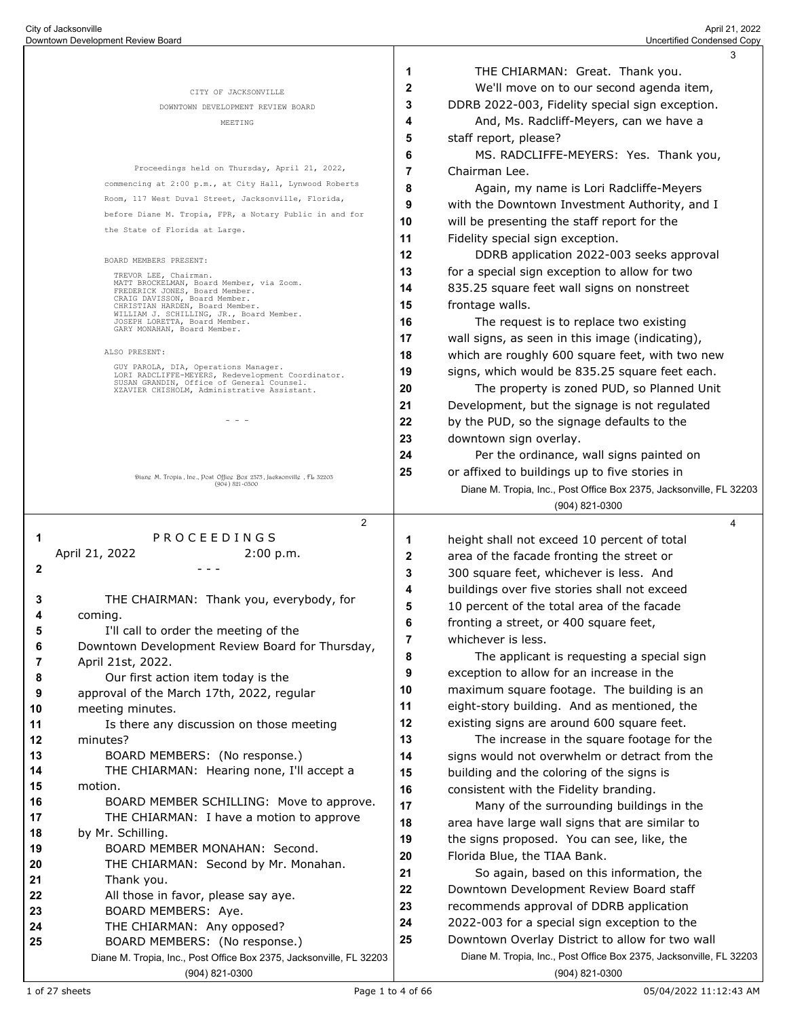|          |                                                                                                          |    | 3                                                                   |
|----------|----------------------------------------------------------------------------------------------------------|----|---------------------------------------------------------------------|
|          |                                                                                                          | 1  | THE CHIARMAN: Great. Thank you.                                     |
|          | CITY OF JACKSONVILLE                                                                                     | 2  | We'll move on to our second agenda item,                            |
|          | DOWNTOWN DEVELOPMENT REVIEW BOARD                                                                        | 3  | DDRB 2022-003, Fidelity special sign exception.                     |
|          | MEETING                                                                                                  | 4  | And, Ms. Radcliff-Meyers, can we have a                             |
|          |                                                                                                          | 5  | staff report, please?                                               |
|          |                                                                                                          | 6  | MS. RADCLIFFE-MEYERS: Yes. Thank you,                               |
|          | Proceedings held on Thursday, April 21, 2022,                                                            | 7  | Chairman Lee.                                                       |
|          | commencing at 2:00 p.m., at City Hall, Lynwood Roberts                                                   | 8  | Again, my name is Lori Radcliffe-Meyers                             |
|          | Room, 117 West Duval Street, Jacksonville, Florida,                                                      | 9  | with the Downtown Investment Authority, and I                       |
|          | before Diane M. Tropia, FPR, a Notary Public in and for                                                  | 10 | will be presenting the staff report for the                         |
|          | the State of Florida at Large.                                                                           | 11 | Fidelity special sign exception.                                    |
|          | BOARD MEMBERS PRESENT:                                                                                   | 12 | DDRB application 2022-003 seeks approval                            |
|          | TREVOR LEE, Chairman.                                                                                    | 13 | for a special sign exception to allow for two                       |
|          | MATT BROCKELMAN, Board Member, via Zoom.<br>FREDERICK JONES, Board Member.                               | 14 | 835.25 square feet wall signs on nonstreet                          |
|          | CRAIG DAVISSON, Board Member.<br>CHRISTIAN HARDEN, Board Member.                                         | 15 | frontage walls.                                                     |
|          | WILLIAM J. SCHILLING, JR., Board Member.<br>JOSEPH LORETTA, Board Member.<br>GARY MONAHAN, Board Member. | 16 | The request is to replace two existing                              |
|          |                                                                                                          | 17 | wall signs, as seen in this image (indicating),                     |
|          | ALSO PRESENT:                                                                                            | 18 | which are roughly 600 square feet, with two new                     |
|          | GUY PAROLA, DIA, Operations Manager.<br>LORI RADCLIFFE-MEYERS, Redevelopment Coordinator.                | 19 | signs, which would be 835.25 square feet each.                      |
|          | SUSAN GRANDIN, Office of General Counsel.<br>XZAVIER CHISHOLM, Administrative Assistant.                 | 20 | The property is zoned PUD, so Planned Unit                          |
|          |                                                                                                          | 21 | Development, but the signage is not regulated                       |
|          | - - -                                                                                                    | 22 | by the PUD, so the signage defaults to the                          |
|          |                                                                                                          | 23 | downtown sign overlay.                                              |
|          |                                                                                                          | 24 | Per the ordinance, wall signs painted on                            |
|          | Diang M. Tropia, Ine., Post Offieg Box 2375, Jacksonvillg, FL 32203                                      | 25 | or affixed to buildings up to five stories in                       |
|          | $(904) 821 - 0300$                                                                                       |    | Diane M. Tropia, Inc., Post Office Box 2375, Jacksonville, FL 32203 |
|          |                                                                                                          |    | (904) 821-0300                                                      |
|          | $\overline{2}$                                                                                           |    | 4                                                                   |
| 1        | PROCEEDINGS                                                                                              | 1  | height shall not exceed 10 percent of total                         |
|          | 2:00 p.m.<br>April 21, 2022                                                                              | 2  | area of the facade fronting the street or                           |
| 2        |                                                                                                          | 3  | 300 square feet, whichever is less. And                             |
| 3        | THE CHAIRMAN: Thank you, everybody, for                                                                  | 4  | buildings over five stories shall not exceed                        |
| 4        | coming.                                                                                                  | 5  | 10 percent of the total area of the facade                          |
| 5        | I'll call to order the meeting of the                                                                    | 6  | fronting a street, or 400 square feet,                              |
| 6        | Downtown Development Review Board for Thursday,                                                          | 7  | whichever is less.                                                  |
| 7        | April 21st, 2022.                                                                                        | 8  | The applicant is requesting a special sign                          |
| 8        | Our first action item today is the                                                                       | 9  | exception to allow for an increase in the                           |
| 9        | approval of the March 17th, 2022, regular                                                                | 10 | maximum square footage. The building is an                          |
| 10       | meeting minutes.                                                                                         | 11 | eight-story building. And as mentioned, the                         |
| 11       | Is there any discussion on those meeting                                                                 | 12 | existing signs are around 600 square feet.                          |
| 12       | minutes?                                                                                                 | 13 | The increase in the square footage for the                          |
| 13       | BOARD MEMBERS: (No response.)                                                                            | 14 | signs would not overwhelm or detract from the                       |
| 14       | THE CHIARMAN: Hearing none, I'll accept a                                                                | 15 | building and the coloring of the signs is                           |
| 15       | motion.                                                                                                  | 16 | consistent with the Fidelity branding.                              |
| 16<br>17 | BOARD MEMBER SCHILLING: Move to approve.<br>THE CHIARMAN: I have a motion to approve                     | 17 | Many of the surrounding buildings in the                            |
| 18       | by Mr. Schilling.                                                                                        | 18 | area have large wall signs that are similar to                      |
| 19       | BOARD MEMBER MONAHAN: Second.                                                                            | 19 | the signs proposed. You can see, like, the                          |
| 20       | THE CHIARMAN: Second by Mr. Monahan.                                                                     | 20 | Florida Blue, the TIAA Bank.                                        |
| 21       | Thank you.                                                                                               | 21 | So again, based on this information, the                            |
| 22       | All those in favor, please say aye.                                                                      | 22 | Downtown Development Review Board staff                             |
| 23       | BOARD MEMBERS: Aye.                                                                                      | 23 | recommends approval of DDRB application                             |
| 24       | THE CHIARMAN: Any opposed?                                                                               | 24 | 2022-003 for a special sign exception to the                        |
| 25       | BOARD MEMBERS: (No response.)                                                                            | 25 | Downtown Overlay District to allow for two wall                     |
|          | Diane M. Tropia, Inc., Post Office Box 2375, Jacksonville, FL 32203                                      |    | Diane M. Tropia, Inc., Post Office Box 2375, Jacksonville, FL 32203 |
|          | (904) 821-0300                                                                                           |    | (904) 821-0300                                                      |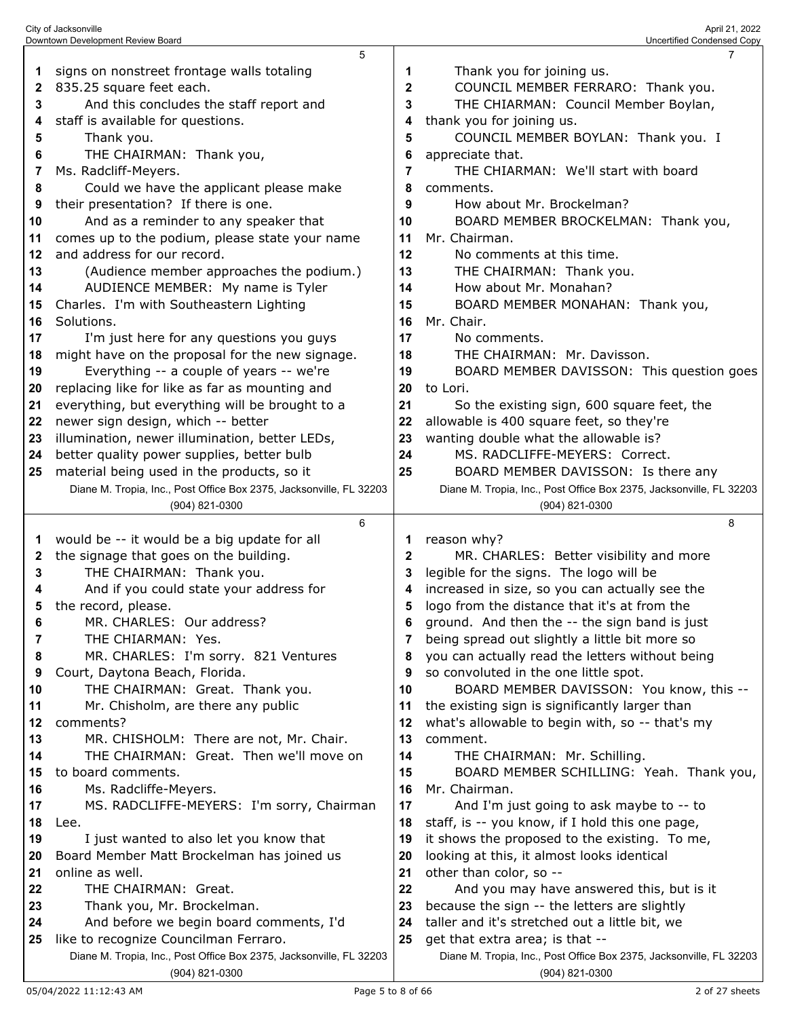| And this concludes the staff report and<br>staff is available for questions.<br>Thank you.<br>THE CHAIRMAN: Thank you,<br>Ms. Radcliff-Meyers.<br>Could we have the applicant please make<br>their presentation? If there is one.<br>And as a reminder to any speaker that<br>comes up to the podium, please state your name<br>and address for our record.<br>(Audience member approaches the podium.)<br>AUDIENCE MEMBER: My name is Tyler<br>Charles. I'm with Southeastern Lighting<br>Solutions.<br>I'm just here for any questions you guys<br>might have on the proposal for the new signage.<br>Everything -- a couple of years -- we're<br>replacing like for like as far as mounting and<br>everything, but everything will be brought to a<br>newer sign design, which -- better<br>illumination, newer illumination, better LEDs,<br>better quality power supplies, better bulb<br>material being used in the products, so it | $\mathbf{2}$<br>3<br>4<br>5<br>6<br>7<br>8<br>9<br>10<br>11<br>12<br>13<br>14<br>15<br>16<br>17<br>18<br>19<br>20<br>21<br>22<br>23<br>24<br>25         | COUNCIL MEMBER FERRARO: Thank you.<br>THE CHIARMAN: Council Member Boylan,<br>thank you for joining us.<br>COUNCIL MEMBER BOYLAN: Thank you. I<br>appreciate that.<br>THE CHIARMAN: We'll start with board<br>comments.<br>How about Mr. Brockelman?<br>BOARD MEMBER BROCKELMAN: Thank you,<br>Mr. Chairman.<br>No comments at this time.<br>THE CHAIRMAN: Thank you.<br>How about Mr. Monahan?<br>BOARD MEMBER MONAHAN: Thank you,<br>Mr. Chair.<br>No comments.<br>THE CHAIRMAN: Mr. Davisson.<br>BOARD MEMBER DAVISSON: This question goes<br>to Lori.<br>So the existing sign, 600 square feet, the<br>allowable is 400 square feet, so they're<br>wanting double what the allowable is?<br>MS. RADCLIFFE-MEYERS: Correct.<br>BOARD MEMBER DAVISSON: Is there any                                                                                                                                                                                                                                                                                                                                                                                            |
|-------------------------------------------------------------------------------------------------------------------------------------------------------------------------------------------------------------------------------------------------------------------------------------------------------------------------------------------------------------------------------------------------------------------------------------------------------------------------------------------------------------------------------------------------------------------------------------------------------------------------------------------------------------------------------------------------------------------------------------------------------------------------------------------------------------------------------------------------------------------------------------------------------------------------------------------|---------------------------------------------------------------------------------------------------------------------------------------------------------|------------------------------------------------------------------------------------------------------------------------------------------------------------------------------------------------------------------------------------------------------------------------------------------------------------------------------------------------------------------------------------------------------------------------------------------------------------------------------------------------------------------------------------------------------------------------------------------------------------------------------------------------------------------------------------------------------------------------------------------------------------------------------------------------------------------------------------------------------------------------------------------------------------------------------------------------------------------------------------------------------------------------------------------------------------------------------------------------------------------------------------------------------------------|
|                                                                                                                                                                                                                                                                                                                                                                                                                                                                                                                                                                                                                                                                                                                                                                                                                                                                                                                                           |                                                                                                                                                         | Diane M. Tropia, Inc., Post Office Box 2375, Jacksonville, FL 32203<br>(904) 821-0300                                                                                                                                                                                                                                                                                                                                                                                                                                                                                                                                                                                                                                                                                                                                                                                                                                                                                                                                                                                                                                                                            |
| 6                                                                                                                                                                                                                                                                                                                                                                                                                                                                                                                                                                                                                                                                                                                                                                                                                                                                                                                                         |                                                                                                                                                         | 8                                                                                                                                                                                                                                                                                                                                                                                                                                                                                                                                                                                                                                                                                                                                                                                                                                                                                                                                                                                                                                                                                                                                                                |
| the signage that goes on the building.<br>THE CHAIRMAN: Thank you.<br>And if you could state your address for<br>the record, please.<br>MR. CHARLES: Our address?<br>THE CHIARMAN: Yes.<br>MR. CHARLES: I'm sorry. 821 Ventures<br>Court, Daytona Beach, Florida.<br>THE CHAIRMAN: Great. Thank you.<br>Mr. Chisholm, are there any public<br>comments?<br>MR. CHISHOLM: There are not, Mr. Chair.<br>THE CHAIRMAN: Great. Then we'll move on<br>to board comments.<br>Ms. Radcliffe-Meyers.<br>MS. RADCLIFFE-MEYERS: I'm sorry, Chairman<br>Lee.<br>I just wanted to also let you know that<br>Board Member Matt Brockelman has joined us<br>online as well.<br>THE CHAIRMAN: Great.<br>Thank you, Mr. Brockelman.<br>And before we begin board comments, I'd<br>like to recognize Councilman Ferraro.<br>Diane M. Tropia, Inc., Post Office Box 2375, Jacksonville, FL 32203                                                            | $\mathbf{2}$<br>3<br>4<br>5<br>6<br>7<br>8<br>9<br>10<br>11<br>12<br>13<br>14<br>15<br>16<br>17<br>18<br>19<br>20<br>21<br>22<br>23<br>24<br>25         | reason why?<br>MR. CHARLES: Better visibility and more<br>legible for the signs. The logo will be<br>increased in size, so you can actually see the<br>logo from the distance that it's at from the<br>ground. And then the -- the sign band is just<br>being spread out slightly a little bit more so<br>you can actually read the letters without being<br>so convoluted in the one little spot.<br>BOARD MEMBER DAVISSON: You know, this --<br>the existing sign is significantly larger than<br>what's allowable to begin with, so -- that's my<br>comment.<br>THE CHAIRMAN: Mr. Schilling.<br>BOARD MEMBER SCHILLING: Yeah. Thank you,<br>Mr. Chairman.<br>And I'm just going to ask maybe to -- to<br>staff, is -- you know, if I hold this one page,<br>it shows the proposed to the existing. To me,<br>looking at this, it almost looks identical<br>other than color, so --<br>And you may have answered this, but is it<br>because the sign -- the letters are slightly<br>taller and it's stretched out a little bit, we<br>get that extra area; is that --<br>Diane M. Tropia, Inc., Post Office Box 2375, Jacksonville, FL 32203<br>(904) 821-0300 |
|                                                                                                                                                                                                                                                                                                                                                                                                                                                                                                                                                                                                                                                                                                                                                                                                                                                                                                                                           | Diane M. Tropia, Inc., Post Office Box 2375, Jacksonville, FL 32203<br>(904) 821-0300<br>would be -- it would be a big update for all<br>(904) 821-0300 | 1                                                                                                                                                                                                                                                                                                                                                                                                                                                                                                                                                                                                                                                                                                                                                                                                                                                                                                                                                                                                                                                                                                                                                                |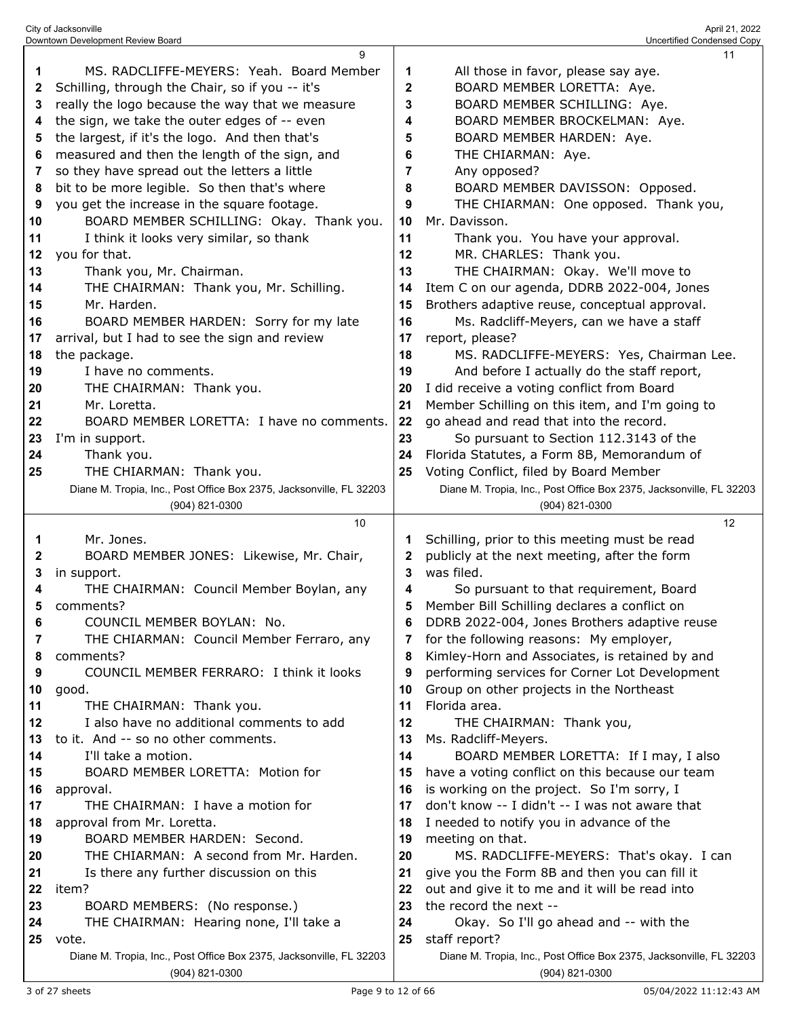|    | City of Jacksonville<br>Downtown Development Review Board             |    | April 21, 2022<br>Uncertified Condensed Copy                        |
|----|-----------------------------------------------------------------------|----|---------------------------------------------------------------------|
|    | 9                                                                     |    | 11                                                                  |
| 1  | MS. RADCLIFFE-MEYERS: Yeah. Board Member                              | 1  | All those in favor, please say aye.                                 |
| 2  | Schilling, through the Chair, so if you -- it's                       | 2  | BOARD MEMBER LORETTA: Aye.                                          |
| 3  | really the logo because the way that we measure                       | 3  | BOARD MEMBER SCHILLING: Aye.                                        |
| 4  | the sign, we take the outer edges of -- even                          | 4  | BOARD MEMBER BROCKELMAN: Aye.                                       |
| 5  | the largest, if it's the logo. And then that's                        | 5  | BOARD MEMBER HARDEN: Aye.                                           |
| 6  | measured and then the length of the sign, and                         | 6  | THE CHIARMAN: Aye.                                                  |
| 7  | so they have spread out the letters a little                          | 7  | Any opposed?                                                        |
| 8  | bit to be more legible. So then that's where                          | 8  | BOARD MEMBER DAVISSON: Opposed.                                     |
| 9  | you get the increase in the square footage.                           | 9  | THE CHIARMAN: One opposed. Thank you,                               |
| 10 | BOARD MEMBER SCHILLING: Okay. Thank you.                              | 10 | Mr. Davisson.                                                       |
| 11 | I think it looks very similar, so thank                               | 11 |                                                                     |
| 12 | you for that.                                                         | 12 | Thank you. You have your approval.<br>MR. CHARLES: Thank you.       |
|    |                                                                       | 13 | THE CHAIRMAN: Okay. We'll move to                                   |
| 13 | Thank you, Mr. Chairman.                                              |    |                                                                     |
| 14 | THE CHAIRMAN: Thank you, Mr. Schilling.                               | 14 | Item C on our agenda, DDRB 2022-004, Jones                          |
| 15 | Mr. Harden.                                                           | 15 | Brothers adaptive reuse, conceptual approval.                       |
| 16 | BOARD MEMBER HARDEN: Sorry for my late                                | 16 | Ms. Radcliff-Meyers, can we have a staff                            |
| 17 | arrival, but I had to see the sign and review                         | 17 | report, please?                                                     |
| 18 | the package.                                                          | 18 | MS. RADCLIFFE-MEYERS: Yes, Chairman Lee.                            |
| 19 | I have no comments.                                                   | 19 | And before I actually do the staff report,                          |
| 20 | THE CHAIRMAN: Thank you.                                              | 20 | I did receive a voting conflict from Board                          |
| 21 | Mr. Loretta.                                                          | 21 | Member Schilling on this item, and I'm going to                     |
| 22 | BOARD MEMBER LORETTA: I have no comments.                             | 22 | go ahead and read that into the record.                             |
| 23 | I'm in support.                                                       | 23 | So pursuant to Section 112.3143 of the                              |
| 24 | Thank you.                                                            | 24 | Florida Statutes, a Form 8B, Memorandum of                          |
| 25 | THE CHIARMAN: Thank you.                                              | 25 | Voting Conflict, filed by Board Member                              |
|    | Diane M. Tropia, Inc., Post Office Box 2375, Jacksonville, FL 32203   |    | Diane M. Tropia, Inc., Post Office Box 2375, Jacksonville, FL 32203 |
|    | (904) 821-0300<br>10                                                  |    | (904) 821-0300<br>12                                                |
| 1  | Mr. Jones.                                                            | 1  | Schilling, prior to this meeting must be read                       |
| 2  | BOARD MEMBER JONES: Likewise, Mr. Chair,                              | 2  | publicly at the next meeting, after the form                        |
| 3  | in support.                                                           | 3  | was filed.                                                          |
| 4  | THE CHAIRMAN: Council Member Boylan, any                              | 4  | So pursuant to that requirement, Board                              |
| 5  | comments?                                                             | 5  | Member Bill Schilling declares a conflict on                        |
| 6  | COUNCIL MEMBER BOYLAN: No.                                            | 6  | DDRB 2022-004, Jones Brothers adaptive reuse                        |
| 7  | THE CHIARMAN: Council Member Ferraro, any                             | 7  | for the following reasons: My employer,                             |
| 8  | comments?                                                             | 8  | Kimley-Horn and Associates, is retained by and                      |
| 9  | COUNCIL MEMBER FERRARO: I think it looks                              | 9  | performing services for Corner Lot Development                      |
| 10 | good.                                                                 | 10 | Group on other projects in the Northeast                            |
| 11 |                                                                       |    |                                                                     |
|    |                                                                       | 11 | Florida area.                                                       |
| 12 | THE CHAIRMAN: Thank you.<br>I also have no additional comments to add | 12 | THE CHAIRMAN: Thank you,                                            |
| 13 | to it. And -- so no other comments.                                   | 13 | Ms. Radcliff-Meyers.                                                |
| 14 | I'll take a motion.                                                   | 14 | BOARD MEMBER LORETTA: If I may, I also                              |
| 15 | BOARD MEMBER LORETTA: Motion for                                      | 15 | have a voting conflict on this because our team                     |
| 16 | approval.                                                             | 16 | is working on the project. So I'm sorry, I                          |
| 17 | THE CHAIRMAN: I have a motion for                                     | 17 | don't know -- I didn't -- I was not aware that                      |
| 18 | approval from Mr. Loretta.                                            | 18 | I needed to notify you in advance of the                            |
| 19 | BOARD MEMBER HARDEN: Second.                                          | 19 | meeting on that.                                                    |
| 20 | THE CHIARMAN: A second from Mr. Harden.                               | 20 | MS. RADCLIFFE-MEYERS: That's okay. I can                            |
| 21 | Is there any further discussion on this                               | 21 | give you the Form 8B and then you can fill it                       |
| 22 | item?                                                                 | 22 | out and give it to me and it will be read into                      |
| 23 | BOARD MEMBERS: (No response.)                                         | 23 | the record the next --                                              |
| 24 | THE CHAIRMAN: Hearing none, I'll take a                               | 24 | Okay. So I'll go ahead and -- with the                              |
| 25 | vote.                                                                 | 25 | staff report?                                                       |
|    | Diane M. Tropia, Inc., Post Office Box 2375, Jacksonville, FL 32203   |    | Diane M. Tropia, Inc., Post Office Box 2375, Jacksonville, FL 32203 |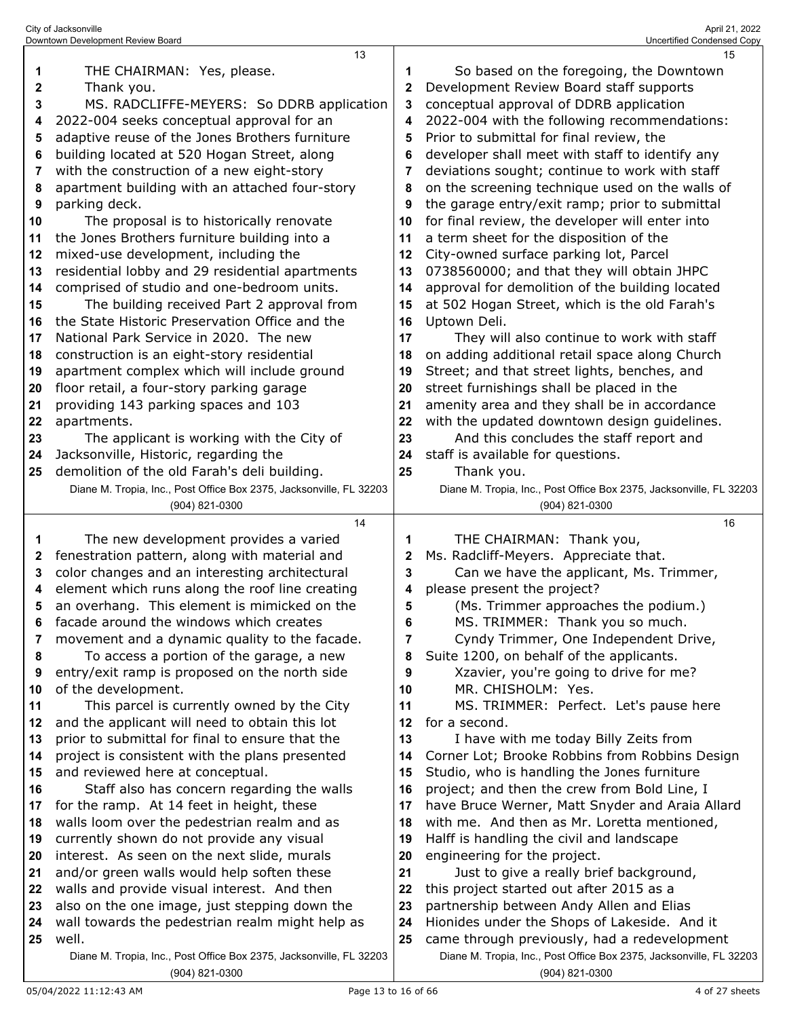|              | 13                                                                                    |              | 15                                                                                    |
|--------------|---------------------------------------------------------------------------------------|--------------|---------------------------------------------------------------------------------------|
| 1            | THE CHAIRMAN: Yes, please.                                                            |              | So based on the foregoing, the Downtown                                               |
| $\mathbf{2}$ | Thank you.                                                                            | $\mathbf{2}$ | Development Review Board staff supports                                               |
| 3            | MS. RADCLIFFE-MEYERS: So DDRB application                                             | 3            | conceptual approval of DDRB application                                               |
| 4            | 2022-004 seeks conceptual approval for an                                             | 4            | 2022-004 with the following recommendations:                                          |
| 5            | adaptive reuse of the Jones Brothers furniture                                        | 5            | Prior to submittal for final review, the                                              |
| 6            | building located at 520 Hogan Street, along                                           | 6            | developer shall meet with staff to identify any                                       |
| 7            | with the construction of a new eight-story                                            | 7            | deviations sought; continue to work with staff                                        |
| 8            | apartment building with an attached four-story                                        | 8            | on the screening technique used on the walls of                                       |
| 9            | parking deck.                                                                         | 9            | the garage entry/exit ramp; prior to submittal                                        |
| 10           | The proposal is to historically renovate                                              | 10           | for final review, the developer will enter into                                       |
| 11           | the Jones Brothers furniture building into a                                          | 11           | a term sheet for the disposition of the                                               |
| 12           | mixed-use development, including the                                                  | 12           | City-owned surface parking lot, Parcel                                                |
| 13           | residential lobby and 29 residential apartments                                       | 13           | 0738560000; and that they will obtain JHPC                                            |
| 14           | comprised of studio and one-bedroom units.                                            | 14           | approval for demolition of the building located                                       |
| 15           | The building received Part 2 approval from                                            | 15           | at 502 Hogan Street, which is the old Farah's                                         |
| 16           | the State Historic Preservation Office and the                                        | 16           | Uptown Deli.                                                                          |
| 17           | National Park Service in 2020. The new                                                | 17           | They will also continue to work with staff                                            |
| 18           | construction is an eight-story residential                                            | 18           | on adding additional retail space along Church                                        |
| 19           | apartment complex which will include ground                                           | 19           | Street; and that street lights, benches, and                                          |
| 20           | floor retail, a four-story parking garage                                             | 20           | street furnishings shall be placed in the                                             |
| 21           | providing 143 parking spaces and 103                                                  | 21           | amenity area and they shall be in accordance                                          |
| 22           | apartments.                                                                           | 22           | with the updated downtown design guidelines.                                          |
| 23           | The applicant is working with the City of                                             | 23           | And this concludes the staff report and                                               |
| 24           | Jacksonville, Historic, regarding the                                                 | 24           | staff is available for questions.                                                     |
| 25           | demolition of the old Farah's deli building.                                          | 25           | Thank you.                                                                            |
|              | Diane M. Tropia, Inc., Post Office Box 2375, Jacksonville, FL 32203                   |              | Diane M. Tropia, Inc., Post Office Box 2375, Jacksonville, FL 32203                   |
|              | (904) 821-0300                                                                        |              | (904) 821-0300                                                                        |
|              |                                                                                       |              |                                                                                       |
|              | 14                                                                                    |              | 16                                                                                    |
| 1            | The new development provides a varied                                                 | 1            | THE CHAIRMAN: Thank you,                                                              |
| 2            | fenestration pattern, along with material and                                         | 2            | Ms. Radcliff-Meyers. Appreciate that.                                                 |
| 3            | color changes and an interesting architectural                                        | 3            | Can we have the applicant, Ms. Trimmer,                                               |
| 4            | element which runs along the roof line creating                                       | 4            | please present the project?                                                           |
| 5            | an overhang. This element is mimicked on the                                          | 5            | (Ms. Trimmer approaches the podium.)                                                  |
| 6            | facade around the windows which creates                                               | 6            | MS. TRIMMER: Thank you so much.                                                       |
| 7            | movement and a dynamic quality to the facade.                                         | 7            | Cyndy Trimmer, One Independent Drive,                                                 |
| 8            | To access a portion of the garage, a new                                              | 8            | Suite 1200, on behalf of the applicants.                                              |
| 9            | entry/exit ramp is proposed on the north side                                         | 9            | Xzavier, you're going to drive for me?                                                |
| 10           | of the development.                                                                   | 10           | MR. CHISHOLM: Yes.                                                                    |
| 11           | This parcel is currently owned by the City                                            | 11           | MS. TRIMMER: Perfect. Let's pause here                                                |
| 12           | and the applicant will need to obtain this lot                                        | 12           | for a second.                                                                         |
| 13           | prior to submittal for final to ensure that the                                       | 13           | I have with me today Billy Zeits from                                                 |
| 14           | project is consistent with the plans presented                                        | 14           | Corner Lot; Brooke Robbins from Robbins Design                                        |
| 15           | and reviewed here at conceptual.                                                      | 15           | Studio, who is handling the Jones furniture                                           |
| 16           | Staff also has concern regarding the walls                                            | 16           | project; and then the crew from Bold Line, I                                          |
| 17           | for the ramp. At 14 feet in height, these                                             | 17           | have Bruce Werner, Matt Snyder and Araia Allard                                       |
| 18           | walls loom over the pedestrian realm and as                                           | 18           | with me. And then as Mr. Loretta mentioned,                                           |
| 19           | currently shown do not provide any visual                                             | 19           | Halff is handling the civil and landscape                                             |
| 20           | interest. As seen on the next slide, murals                                           | 20           | engineering for the project.                                                          |
| 21           | and/or green walls would help soften these                                            | 21           | Just to give a really brief background,                                               |
| 22           | walls and provide visual interest. And then                                           | 22           | this project started out after 2015 as a                                              |
| 23           | also on the one image, just stepping down the                                         | 23           | partnership between Andy Allen and Elias                                              |
| 24           | wall towards the pedestrian realm might help as                                       | 24           | Hionides under the Shops of Lakeside. And it                                          |
| 25           | well.                                                                                 | 25           | came through previously, had a redevelopment                                          |
|              | Diane M. Tropia, Inc., Post Office Box 2375, Jacksonville, FL 32203<br>(904) 821-0300 |              | Diane M. Tropia, Inc., Post Office Box 2375, Jacksonville, FL 32203<br>(904) 821-0300 |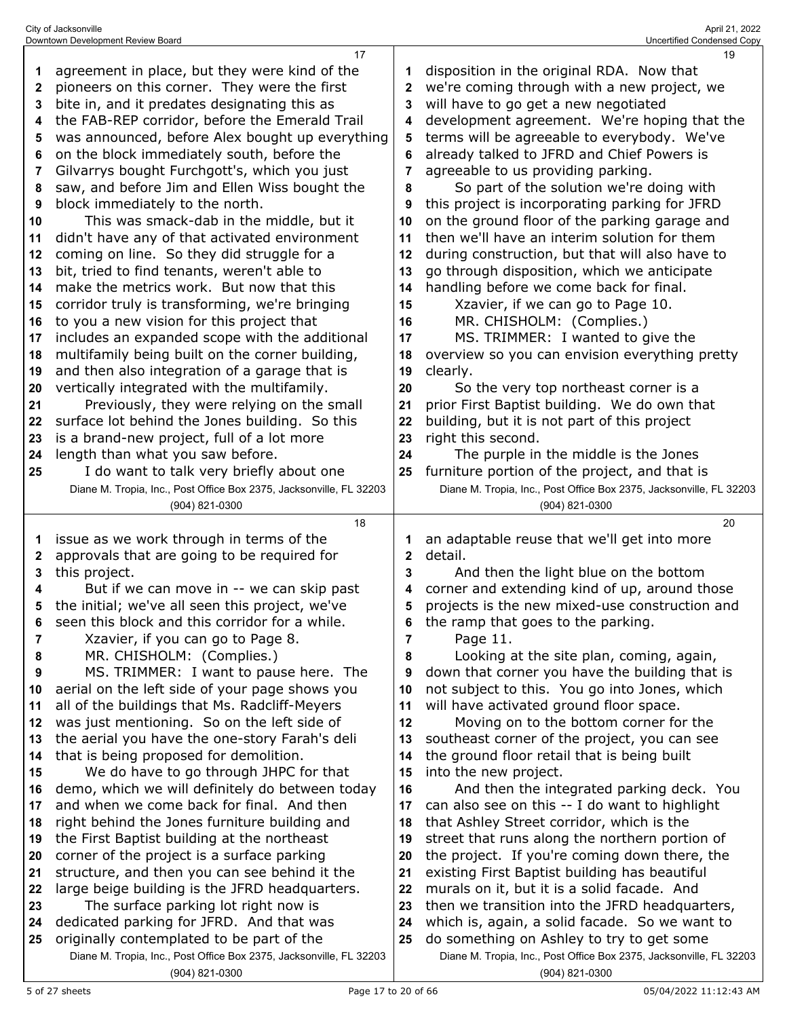|          | 17                                                                                                               |              | 19                                                                                                               |
|----------|------------------------------------------------------------------------------------------------------------------|--------------|------------------------------------------------------------------------------------------------------------------|
| 1        | agreement in place, but they were kind of the                                                                    |              | disposition in the original RDA. Now that                                                                        |
| 2        | pioneers on this corner. They were the first                                                                     | 2            | we're coming through with a new project, we                                                                      |
| 3        | bite in, and it predates designating this as                                                                     | 3            | will have to go get a new negotiated                                                                             |
| 4        | the FAB-REP corridor, before the Emerald Trail                                                                   | 4            | development agreement. We're hoping that the                                                                     |
| 5        | was announced, before Alex bought up everything                                                                  | 5            | terms will be agreeable to everybody. We've                                                                      |
| 6        | on the block immediately south, before the                                                                       | 6            | already talked to JFRD and Chief Powers is                                                                       |
| 7        | Gilvarrys bought Furchgott's, which you just                                                                     | 7            | agreeable to us providing parking.                                                                               |
| 8        | saw, and before Jim and Ellen Wiss bought the                                                                    | 8            | So part of the solution we're doing with                                                                         |
| 9        | block immediately to the north.                                                                                  | 9            | this project is incorporating parking for JFRD                                                                   |
| 10       | This was smack-dab in the middle, but it                                                                         | 10           | on the ground floor of the parking garage and                                                                    |
| 11       | didn't have any of that activated environment                                                                    | 11           | then we'll have an interim solution for them                                                                     |
| 12       | coming on line. So they did struggle for a                                                                       | 12           | during construction, but that will also have to                                                                  |
| 13       | bit, tried to find tenants, weren't able to                                                                      | 13           | go through disposition, which we anticipate                                                                      |
| 14       | make the metrics work. But now that this                                                                         | 14           | handling before we come back for final.                                                                          |
| 15       | corridor truly is transforming, we're bringing                                                                   | 15           | Xzavier, if we can go to Page 10.                                                                                |
| 16       | to you a new vision for this project that                                                                        | 16           | MR. CHISHOLM: (Complies.)                                                                                        |
| 17       | includes an expanded scope with the additional                                                                   | 17           | MS. TRIMMER: I wanted to give the                                                                                |
| 18       | multifamily being built on the corner building,                                                                  | 18           | overview so you can envision everything pretty                                                                   |
| 19       | and then also integration of a garage that is                                                                    | 19           | clearly.                                                                                                         |
| 20       | vertically integrated with the multifamily.                                                                      | 20           | So the very top northeast corner is a                                                                            |
| 21       | Previously, they were relying on the small                                                                       | 21           | prior First Baptist building. We do own that                                                                     |
| 22       | surface lot behind the Jones building. So this                                                                   | 22           | building, but it is not part of this project                                                                     |
| 23       | is a brand-new project, full of a lot more                                                                       | 23           | right this second.                                                                                               |
| 24       | length than what you saw before.                                                                                 | 24           | The purple in the middle is the Jones                                                                            |
| 25       | I do want to talk very briefly about one                                                                         | 25           | furniture portion of the project, and that is                                                                    |
|          | Diane M. Tropia, Inc., Post Office Box 2375, Jacksonville, FL 32203                                              |              | Diane M. Tropia, Inc., Post Office Box 2375, Jacksonville, FL 32203                                              |
|          | (904) 821-0300                                                                                                   |              | (904) 821-0300                                                                                                   |
|          |                                                                                                                  |              |                                                                                                                  |
|          | 18                                                                                                               |              | 20                                                                                                               |
| 1        | issue as we work through in terms of the                                                                         |              | an adaptable reuse that we'll get into more                                                                      |
| 2        | approvals that are going to be required for                                                                      | $\mathbf{2}$ | detail.                                                                                                          |
| 3        | this project.                                                                                                    | 3            | And then the light blue on the bottom                                                                            |
| 4        | But if we can move in -- we can skip past                                                                        | 4            | corner and extending kind of up, around those                                                                    |
| 5        | the initial; we've all seen this project, we've                                                                  | 5            | projects is the new mixed-use construction and                                                                   |
| 6        | seen this block and this corridor for a while.                                                                   |              | the ramp that goes to the parking.                                                                               |
| 7        | Xzavier, if you can go to Page 8.                                                                                | 7            | Page 11.                                                                                                         |
| 8        | MR. CHISHOLM: (Complies.)                                                                                        | 8            | Looking at the site plan, coming, again,                                                                         |
| 9        | MS. TRIMMER: I want to pause here. The                                                                           | 9            | down that corner you have the building that is                                                                   |
| 10       | aerial on the left side of your page shows you                                                                   | 10           | not subject to this. You go into Jones, which                                                                    |
| 11       | all of the buildings that Ms. Radcliff-Meyers                                                                    | 11           | will have activated ground floor space.                                                                          |
| 12       | was just mentioning. So on the left side of                                                                      | 12           | Moving on to the bottom corner for the                                                                           |
| 13       | the aerial you have the one-story Farah's deli                                                                   | 13           | southeast corner of the project, you can see                                                                     |
| 14       | that is being proposed for demolition.                                                                           | 14           | the ground floor retail that is being built                                                                      |
| 15       | We do have to go through JHPC for that                                                                           | 15           | into the new project.                                                                                            |
| 16       | demo, which we will definitely do between today                                                                  | 16           | And then the integrated parking deck. You                                                                        |
| 17       | and when we come back for final. And then                                                                        | 17           | can also see on this -- I do want to highlight                                                                   |
| 18       | right behind the Jones furniture building and                                                                    | 18           | that Ashley Street corridor, which is the                                                                        |
| 19       | the First Baptist building at the northeast                                                                      | 19           | street that runs along the northern portion of                                                                   |
| 20       | corner of the project is a surface parking                                                                       | 20           | the project. If you're coming down there, the                                                                    |
| 21       | structure, and then you can see behind it the                                                                    | 21           | existing First Baptist building has beautiful                                                                    |
| 22       | large beige building is the JFRD headquarters.                                                                   | 22           | murals on it, but it is a solid facade. And                                                                      |
| 23       | The surface parking lot right now is                                                                             | 23           | then we transition into the JFRD headquarters,                                                                   |
| 24<br>25 | dedicated parking for JFRD. And that was                                                                         | 24<br>25     | which is, again, a solid facade. So we want to                                                                   |
|          | originally contemplated to be part of the<br>Diane M. Tropia, Inc., Post Office Box 2375, Jacksonville, FL 32203 |              | do something on Ashley to try to get some<br>Diane M. Tropia, Inc., Post Office Box 2375, Jacksonville, FL 32203 |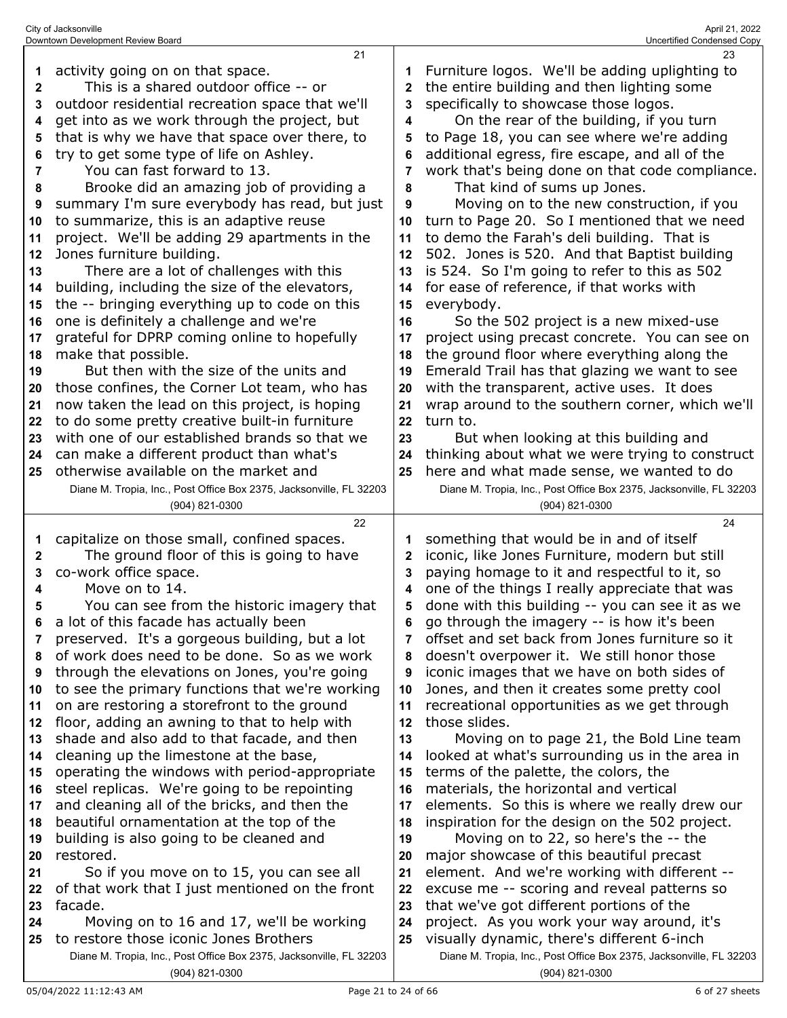|              | Downtown Development Review Board                                   |              | Uncertified Condensed Copy                                          |
|--------------|---------------------------------------------------------------------|--------------|---------------------------------------------------------------------|
|              | 21                                                                  |              | 23                                                                  |
| 1            | activity going on on that space.                                    |              | Furniture logos. We'll be adding uplighting to                      |
| $\mathbf{2}$ | This is a shared outdoor office -- or                               | $\mathbf{2}$ | the entire building and then lighting some                          |
| 3            | outdoor residential recreation space that we'll                     | 3            | specifically to showcase those logos.                               |
| 4            | get into as we work through the project, but                        | 4            | On the rear of the building, if you turn                            |
| 5            | that is why we have that space over there, to                       | 5            | to Page 18, you can see where we're adding                          |
| 6            | try to get some type of life on Ashley.                             |              | additional egress, fire escape, and all of the                      |
| 7            | You can fast forward to 13.                                         |              | work that's being done on that code compliance.                     |
| 8            | Brooke did an amazing job of providing a                            | 8            | That kind of sums up Jones.                                         |
| 9            | summary I'm sure everybody has read, but just                       | 9            | Moving on to the new construction, if you                           |
| 10           | to summarize, this is an adaptive reuse                             | 10           | turn to Page 20. So I mentioned that we need                        |
| 11           | project. We'll be adding 29 apartments in the                       | 11           | to demo the Farah's deli building. That is                          |
| 12           | Jones furniture building.                                           | 12           | 502. Jones is 520. And that Baptist building                        |
|              | There are a lot of challenges with this                             |              | is 524. So I'm going to refer to this as 502                        |
| 13           |                                                                     | 13           |                                                                     |
| 14           | building, including the size of the elevators,                      | 14           | for ease of reference, if that works with                           |
| 15           | the -- bringing everything up to code on this                       | 15           | everybody.                                                          |
| 16           | one is definitely a challenge and we're                             | 16           | So the 502 project is a new mixed-use                               |
| 17           | grateful for DPRP coming online to hopefully                        | 17           | project using precast concrete. You can see on                      |
| 18           | make that possible.                                                 | 18           | the ground floor where everything along the                         |
| 19           | But then with the size of the units and                             | 19           | Emerald Trail has that glazing we want to see                       |
| 20           | those confines, the Corner Lot team, who has                        | 20           | with the transparent, active uses. It does                          |
| 21           | now taken the lead on this project, is hoping                       | 21           | wrap around to the southern corner, which we'll                     |
| 22           | to do some pretty creative built-in furniture                       | 22           | turn to.                                                            |
| 23           | with one of our established brands so that we                       | 23           | But when looking at this building and                               |
| 24           | can make a different product than what's                            | 24           | thinking about what we were trying to construct                     |
| 25           | otherwise available on the market and                               | 25           | here and what made sense, we wanted to do                           |
|              | Diane M. Tropia, Inc., Post Office Box 2375, Jacksonville, FL 32203 |              | Diane M. Tropia, Inc., Post Office Box 2375, Jacksonville, FL 32203 |
|              |                                                                     |              |                                                                     |
|              | (904) 821-0300                                                      |              | (904) 821-0300                                                      |
|              | 22                                                                  |              | 24                                                                  |
| 1            | capitalize on those small, confined spaces.                         |              | something that would be in and of itself                            |
| 2            | The ground floor of this is going to have                           | 2            | iconic, like Jones Furniture, modern but still                      |
| 3            | co-work office space.                                               | 3            | paying homage to it and respectful to it, so                        |
| 4            | Move on to 14.                                                      | 4            | one of the things I really appreciate that was                      |
| 5            | You can see from the historic imagery that                          | 5            | done with this building -- you can see it as we                     |
| 6            | a lot of this facade has actually been                              | 6            | go through the imagery -- is how it's been                          |
| 7            | preserved. It's a gorgeous building, but a lot                      | 7            | offset and set back from Jones furniture so it                      |
| 8            | of work does need to be done. So as we work                         | 8            | doesn't overpower it. We still honor those                          |
| 9            | through the elevations on Jones, you're going                       | 9            | iconic images that we have on both sides of                         |
| 10           | to see the primary functions that we're working                     | 10           | Jones, and then it creates some pretty cool                         |
| 11           | on are restoring a storefront to the ground                         | 11           | recreational opportunities as we get through                        |
| 12           | floor, adding an awning to that to help with                        | 12           | those slides.                                                       |
| 13           | shade and also add to that facade, and then                         | 13           | Moving on to page 21, the Bold Line team                            |
| 14           | cleaning up the limestone at the base,                              | 14           | looked at what's surrounding us in the area in                      |
| 15           | operating the windows with period-appropriate                       | 15           | terms of the palette, the colors, the                               |
| 16           | steel replicas. We're going to be repointing                        | 16           | materials, the horizontal and vertical                              |
| 17           | and cleaning all of the bricks, and then the                        | 17           | elements. So this is where we really drew our                       |
| 18           | beautiful ornamentation at the top of the                           | 18           | inspiration for the design on the 502 project.                      |
| 19           | building is also going to be cleaned and                            | 19           | Moving on to 22, so here's the -- the                               |
| 20           | restored.                                                           | 20           | major showcase of this beautiful precast                            |
| 21           | So if you move on to 15, you can see all                            | 21           | element. And we're working with different --                        |
| 22           | of that work that I just mentioned on the front                     | 22           | excuse me -- scoring and reveal patterns so                         |
| 23           | facade.                                                             | 23           | that we've got different portions of the                            |
| 24           | Moving on to 16 and 17, we'll be working                            | 24           | project. As you work your way around, it's                          |
| 25           | to restore those iconic Jones Brothers                              | 25           | visually dynamic, there's different 6-inch                          |

(904) 821-0300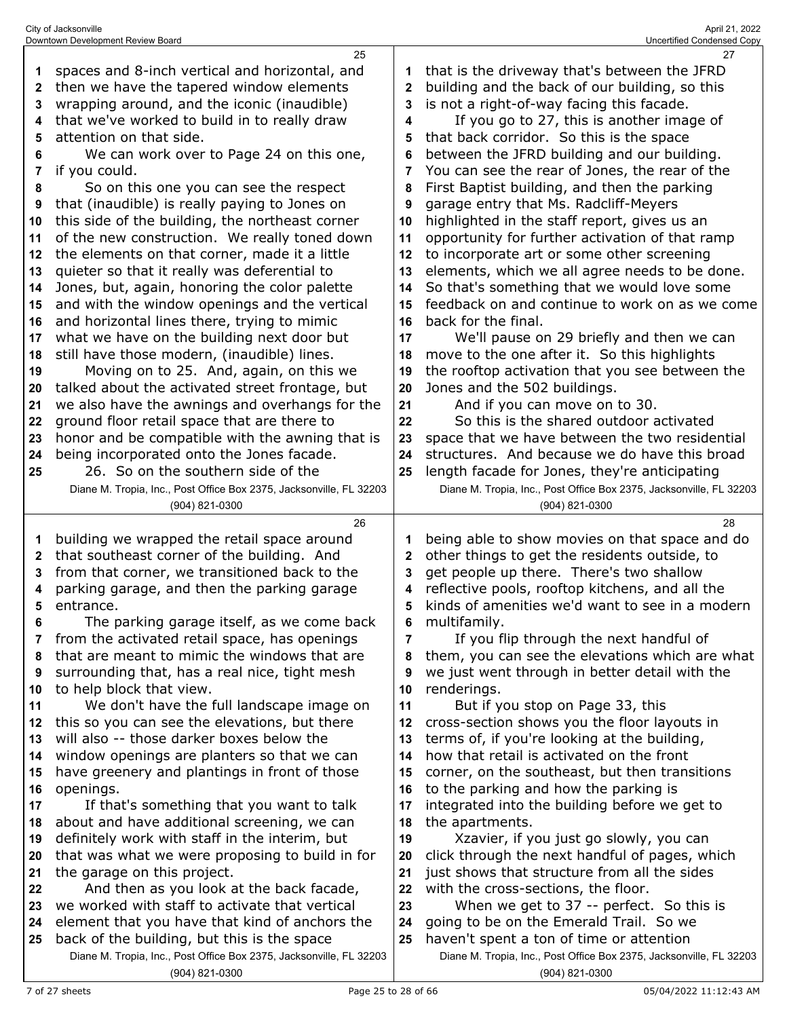|    | 25                                                                                          |              | 27                                                                                    |
|----|---------------------------------------------------------------------------------------------|--------------|---------------------------------------------------------------------------------------|
| 1  | spaces and 8-inch vertical and horizontal, and                                              |              | that is the driveway that's between the JFRD                                          |
| 2  | then we have the tapered window elements                                                    | $\mathbf{2}$ | building and the back of our building, so this                                        |
| 3  | wrapping around, and the iconic (inaudible)                                                 | 3            | is not a right-of-way facing this facade.                                             |
| 4  | that we've worked to build in to really draw                                                | 4            | If you go to 27, this is another image of                                             |
|    |                                                                                             |              |                                                                                       |
| 5  | attention on that side.                                                                     | 5            | that back corridor. So this is the space                                              |
| 6  | We can work over to Page 24 on this one,                                                    | 6            | between the JFRD building and our building.                                           |
| 7  | if you could.                                                                               | 7            | You can see the rear of Jones, the rear of the                                        |
| 8  | So on this one you can see the respect                                                      | 8            | First Baptist building, and then the parking                                          |
| 9  | that (inaudible) is really paying to Jones on                                               | 9            | garage entry that Ms. Radcliff-Meyers                                                 |
| 10 | this side of the building, the northeast corner                                             | 10           | highlighted in the staff report, gives us an                                          |
| 11 | of the new construction. We really toned down                                               | 11           | opportunity for further activation of that ramp                                       |
| 12 | the elements on that corner, made it a little                                               | 12           | to incorporate art or some other screening                                            |
| 13 | quieter so that it really was deferential to                                                | 13           | elements, which we all agree needs to be done.                                        |
| 14 | Jones, but, again, honoring the color palette                                               | 14           | So that's something that we would love some                                           |
| 15 | and with the window openings and the vertical                                               | 15           | feedback on and continue to work on as we come                                        |
| 16 | and horizontal lines there, trying to mimic                                                 | 16           | back for the final.                                                                   |
|    | what we have on the building next door but                                                  | 17           | We'll pause on 29 briefly and then we can                                             |
| 17 |                                                                                             |              | move to the one after it. So this highlights                                          |
| 18 | still have those modern, (inaudible) lines.                                                 | 18           |                                                                                       |
| 19 | Moving on to 25. And, again, on this we                                                     | 19           | the rooftop activation that you see between the                                       |
| 20 | talked about the activated street frontage, but                                             | 20           | Jones and the 502 buildings.                                                          |
| 21 | we also have the awnings and overhangs for the                                              | 21           | And if you can move on to 30.                                                         |
| 22 | ground floor retail space that are there to                                                 | 22           | So this is the shared outdoor activated                                               |
| 23 | honor and be compatible with the awning that is                                             | 23           | space that we have between the two residential                                        |
| 24 | being incorporated onto the Jones facade.                                                   | 24           | structures. And because we do have this broad                                         |
| 25 | 26. So on the southern side of the                                                          | 25           | length facade for Jones, they're anticipating                                         |
|    | Diane M. Tropia, Inc., Post Office Box 2375, Jacksonville, FL 32203                         |              | Diane M. Tropia, Inc., Post Office Box 2375, Jacksonville, FL 32203                   |
|    | (904) 821-0300                                                                              |              | (904) 821-0300                                                                        |
|    |                                                                                             |              |                                                                                       |
|    | 26                                                                                          |              | 28                                                                                    |
| 1  | building we wrapped the retail space around                                                 | 1            | being able to show movies on that space and do                                        |
| 2  | that southeast corner of the building. And                                                  | 2            | other things to get the residents outside, to                                         |
| 3  | from that corner, we transitioned back to the                                               | 3            | get people up there. There's two shallow                                              |
| 4  | parking garage, and then the parking garage                                                 | 4            | reflective pools, rooftop kitchens, and all the                                       |
| 5  | entrance.                                                                                   | 5            | kinds of amenities we'd want to see in a modern                                       |
|    |                                                                                             | 6            | multifamily.                                                                          |
| 7  | The parking garage itself, as we come back<br>from the activated retail space, has openings | 7            |                                                                                       |
| 8  | that are meant to mimic the windows that are                                                | 8            | If you flip through the next handful of                                               |
|    |                                                                                             | 9            | them, you can see the elevations which are what                                       |
| 9  | surrounding that, has a real nice, tight mesh                                               |              | we just went through in better detail with the                                        |
| 10 | to help block that view.                                                                    | 10           | renderings.                                                                           |
| 11 | We don't have the full landscape image on                                                   | 11           | But if you stop on Page 33, this                                                      |
| 12 | this so you can see the elevations, but there                                               | 12           | cross-section shows you the floor layouts in                                          |
| 13 | will also -- those darker boxes below the                                                   | 13           | terms of, if you're looking at the building,                                          |
| 14 | window openings are planters so that we can                                                 | 14           | how that retail is activated on the front                                             |
| 15 | have greenery and plantings in front of those                                               | 15           | corner, on the southeast, but then transitions                                        |
| 16 | openings.                                                                                   | 16           | to the parking and how the parking is                                                 |
| 17 | If that's something that you want to talk                                                   | 17           | integrated into the building before we get to                                         |
| 18 | about and have additional screening, we can                                                 | 18           | the apartments.                                                                       |
| 19 | definitely work with staff in the interim, but                                              | 19           | Xzavier, if you just go slowly, you can                                               |
| 20 | that was what we were proposing to build in for                                             | 20           | click through the next handful of pages, which                                        |
| 21 | the garage on this project.                                                                 | 21           | just shows that structure from all the sides                                          |
| 22 | And then as you look at the back facade,                                                    | 22           | with the cross-sections, the floor.                                                   |
| 23 | we worked with staff to activate that vertical                                              | 23           | When we get to 37 -- perfect. So this is                                              |
| 24 | element that you have that kind of anchors the                                              | 24           | going to be on the Emerald Trail. So we                                               |
| 25 | back of the building, but this is the space                                                 | 25           | haven't spent a ton of time or attention                                              |
|    | Diane M. Tropia, Inc., Post Office Box 2375, Jacksonville, FL 32203<br>(904) 821-0300       |              | Diane M. Tropia, Inc., Post Office Box 2375, Jacksonville, FL 32203<br>(904) 821-0300 |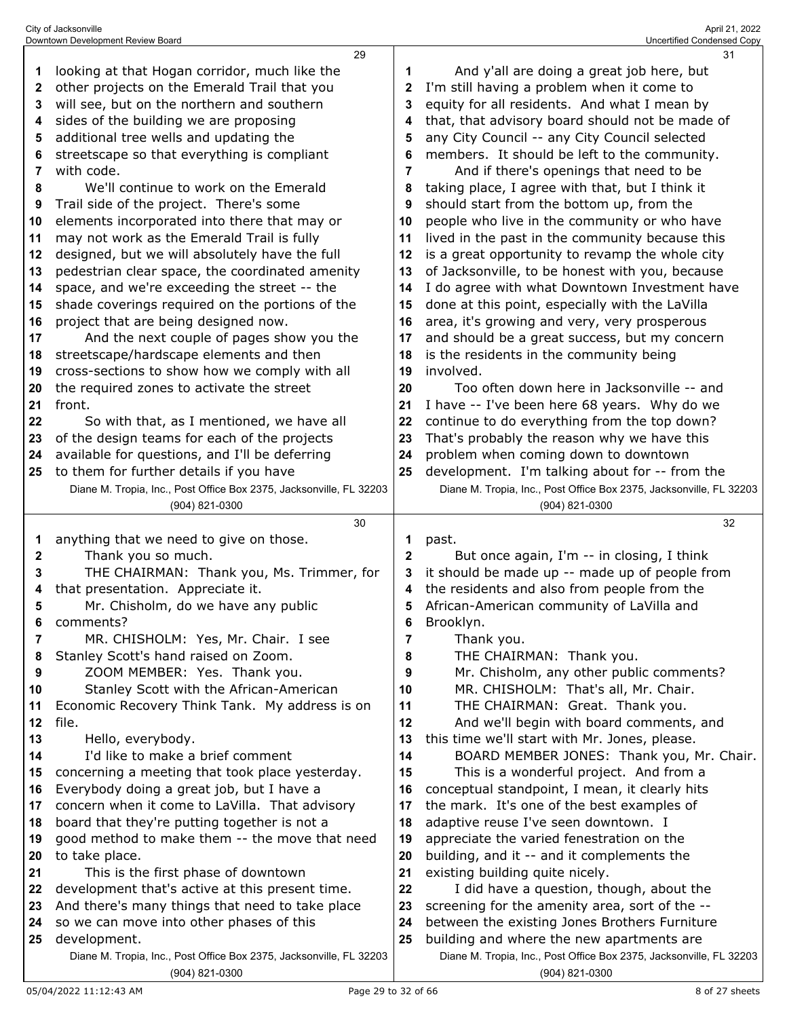|              | 29                                                                                           |                | 31                                                                                         |
|--------------|----------------------------------------------------------------------------------------------|----------------|--------------------------------------------------------------------------------------------|
| 1            | looking at that Hogan corridor, much like the                                                | 1              | And y'all are doing a great job here, but                                                  |
| 2            | other projects on the Emerald Trail that you                                                 | $\mathbf{2}$   | I'm still having a problem when it come to                                                 |
| 3            | will see, but on the northern and southern                                                   | 3              | equity for all residents. And what I mean by                                               |
| 4            | sides of the building we are proposing                                                       | 4              | that, that advisory board should not be made of                                            |
| 5            | additional tree wells and updating the                                                       | 5              | any City Council -- any City Council selected                                              |
| 6            | streetscape so that everything is compliant                                                  | 6              | members. It should be left to the community.                                               |
| 7            | with code.                                                                                   | $\overline{7}$ | And if there's openings that need to be                                                    |
| 8            | We'll continue to work on the Emerald                                                        | 8              | taking place, I agree with that, but I think it                                            |
| 9            | Trail side of the project. There's some                                                      | 9              | should start from the bottom up, from the                                                  |
| 10           | elements incorporated into there that may or                                                 | 10             | people who live in the community or who have                                               |
| 11           | may not work as the Emerald Trail is fully                                                   | 11             | lived in the past in the community because this                                            |
| 12           | designed, but we will absolutely have the full                                               | 12             | is a great opportunity to revamp the whole city                                            |
| 13           | pedestrian clear space, the coordinated amenity                                              | 13             | of Jacksonville, to be honest with you, because                                            |
|              | space, and we're exceeding the street -- the                                                 |                | I do agree with what Downtown Investment have                                              |
| 14           |                                                                                              | 14             | done at this point, especially with the LaVilla                                            |
| 15           | shade coverings required on the portions of the                                              | 15             |                                                                                            |
| 16           | project that are being designed now.                                                         | 16             | area, it's growing and very, very prosperous                                               |
| 17           | And the next couple of pages show you the                                                    | 17             | and should be a great success, but my concern                                              |
| 18           | streetscape/hardscape elements and then                                                      | 18             | is the residents in the community being<br>involved.                                       |
| 19<br>20     | cross-sections to show how we comply with all<br>the required zones to activate the street   | 19<br>20       | Too often down here in Jacksonville -- and                                                 |
| 21           | front.                                                                                       | 21             | I have -- I've been here 68 years. Why do we                                               |
|              | So with that, as I mentioned, we have all                                                    | 22             | continue to do everything from the top down?                                               |
| 22<br>23     | of the design teams for each of the projects                                                 | 23             |                                                                                            |
|              | available for questions, and I'll be deferring                                               |                | That's probably the reason why we have this<br>problem when coming down to downtown        |
| 24           | to them for further details if you have                                                      | 24             | development. I'm talking about for -- from the                                             |
| 25           | Diane M. Tropia, Inc., Post Office Box 2375, Jacksonville, FL 32203                          | 25             | Diane M. Tropia, Inc., Post Office Box 2375, Jacksonville, FL 32203                        |
|              | (904) 821-0300                                                                               |                | (904) 821-0300                                                                             |
|              |                                                                                              |                |                                                                                            |
|              |                                                                                              |                |                                                                                            |
|              | 30                                                                                           |                | 32                                                                                         |
| 1            | anything that we need to give on those.                                                      | 1              | past.                                                                                      |
| $\mathbf{2}$ | Thank you so much.                                                                           | $\mathbf{2}$   | But once again, I'm -- in closing, I think                                                 |
| 3            | THE CHAIRMAN: Thank you, Ms. Trimmer, for                                                    | 3              | it should be made up -- made up of people from                                             |
| 4            | that presentation. Appreciate it.                                                            | 4              | the residents and also from people from the                                                |
| 5            | Mr. Chisholm, do we have any public                                                          | 5              | African-American community of LaVilla and                                                  |
| 6            | comments?                                                                                    | 6              | Brooklyn.                                                                                  |
| 7            | MR. CHISHOLM: Yes, Mr. Chair. I see                                                          | 7              | Thank you.                                                                                 |
| 8            | Stanley Scott's hand raised on Zoom.                                                         | 8              | THE CHAIRMAN: Thank you.                                                                   |
| 9            | ZOOM MEMBER: Yes. Thank you.                                                                 | 9              | Mr. Chisholm, any other public comments?                                                   |
| 10           | Stanley Scott with the African-American                                                      | 10             | MR. CHISHOLM: That's all, Mr. Chair.                                                       |
| 11<br>12     | Economic Recovery Think Tank. My address is on                                               | 11             | THE CHAIRMAN: Great. Thank you.                                                            |
|              | file.                                                                                        | 12             | And we'll begin with board comments, and                                                   |
| 13<br>14     | Hello, everybody.<br>I'd like to make a brief comment                                        | 13<br>14       | this time we'll start with Mr. Jones, please.<br>BOARD MEMBER JONES: Thank you, Mr. Chair. |
| 15           |                                                                                              | 15             |                                                                                            |
| 16           | concerning a meeting that took place yesterday.<br>Everybody doing a great job, but I have a | 16             | This is a wonderful project. And from a<br>conceptual standpoint, I mean, it clearly hits  |
| 17           | concern when it come to LaVilla. That advisory                                               | 17             | the mark. It's one of the best examples of                                                 |
| 18           | board that they're putting together is not a                                                 | 18             | adaptive reuse I've seen downtown. I                                                       |
| 19           | good method to make them -- the move that need                                               | 19             | appreciate the varied fenestration on the                                                  |
| 20           | to take place.                                                                               | 20             | building, and it -- and it complements the                                                 |
| 21           | This is the first phase of downtown                                                          | 21             | existing building quite nicely.                                                            |
| 22           | development that's active at this present time.                                              | 22             | I did have a question, though, about the                                                   |
| 23           | And there's many things that need to take place                                              | 23             | screening for the amenity area, sort of the --                                             |
| 24           | so we can move into other phases of this                                                     | 24             | between the existing Jones Brothers Furniture                                              |
| 25           | development.                                                                                 | 25             | building and where the new apartments are                                                  |
|              | Diane M. Tropia, Inc., Post Office Box 2375, Jacksonville, FL 32203                          |                | Diane M. Tropia, Inc., Post Office Box 2375, Jacksonville, FL 32203                        |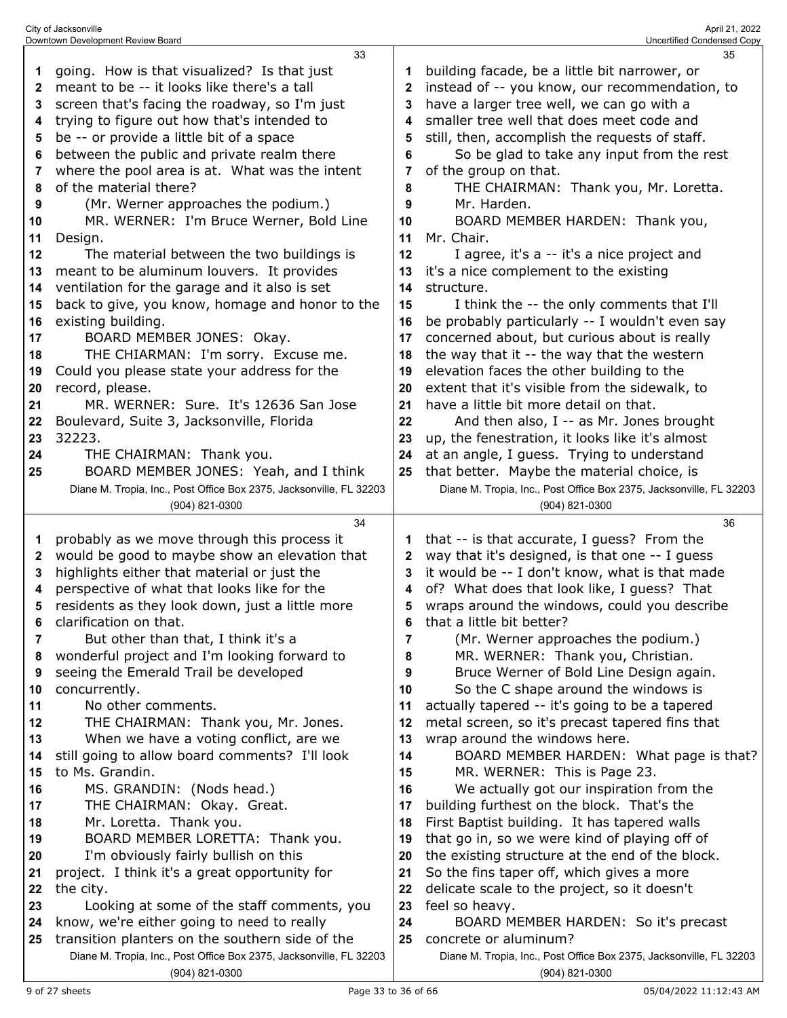|              | 33                                                                  |              | 35                                                                  |
|--------------|---------------------------------------------------------------------|--------------|---------------------------------------------------------------------|
| 1            | going. How is that visualized? Is that just                         |              | building facade, be a little bit narrower, or                       |
| $\mathbf{2}$ | meant to be -- it looks like there's a tall                         | $\mathbf{2}$ | instead of -- you know, our recommendation, to                      |
| 3            | screen that's facing the roadway, so I'm just                       | 3            | have a larger tree well, we can go with a                           |
| 4            | trying to figure out how that's intended to                         | 4            | smaller tree well that does meet code and                           |
| 5            | be -- or provide a little bit of a space                            | 5            | still, then, accomplish the requests of staff.                      |
|              |                                                                     |              |                                                                     |
| 6            | between the public and private realm there                          | 6            | So be glad to take any input from the rest                          |
| 7            | where the pool area is at. What was the intent                      | 7            | of the group on that.                                               |
| 8            | of the material there?                                              | 8            | THE CHAIRMAN: Thank you, Mr. Loretta.                               |
| 9            | (Mr. Werner approaches the podium.)                                 | 9            | Mr. Harden.                                                         |
| 10           | MR. WERNER: I'm Bruce Werner, Bold Line                             | 10           | BOARD MEMBER HARDEN: Thank you,                                     |
| 11           | Design.                                                             | 11           | Mr. Chair.                                                          |
| 12           | The material between the two buildings is                           | 12           | I agree, it's a -- it's a nice project and                          |
| 13           | meant to be aluminum louvers. It provides                           | 13           | it's a nice complement to the existing                              |
| 14           | ventilation for the garage and it also is set                       | 14           | structure.                                                          |
| 15           | back to give, you know, homage and honor to the                     | 15           | I think the -- the only comments that I'll                          |
| 16           | existing building.                                                  | 16           | be probably particularly -- I wouldn't even say                     |
| 17           | BOARD MEMBER JONES: Okay.                                           | 17           | concerned about, but curious about is really                        |
| 18           | THE CHIARMAN: I'm sorry. Excuse me.                                 | 18           | the way that it -- the way that the western                         |
| 19           | Could you please state your address for the                         | 19           | elevation faces the other building to the                           |
| 20           | record, please.                                                     | 20           | extent that it's visible from the sidewalk, to                      |
| 21           | MR. WERNER: Sure. It's 12636 San Jose                               | 21           | have a little bit more detail on that.                              |
| 22           | Boulevard, Suite 3, Jacksonville, Florida                           | 22           | And then also, $I - a$ s Mr. Jones brought                          |
| 23           | 32223.                                                              | 23           | up, the fenestration, it looks like it's almost                     |
| 24           | THE CHAIRMAN: Thank you.                                            | 24           | at an angle, I guess. Trying to understand                          |
| 25           | BOARD MEMBER JONES: Yeah, and I think                               | 25           | that better. Maybe the material choice, is                          |
|              | Diane M. Tropia, Inc., Post Office Box 2375, Jacksonville, FL 32203 |              | Diane M. Tropia, Inc., Post Office Box 2375, Jacksonville, FL 32203 |
|              | $(904)$ 821-0300                                                    |              | (904) 821-0300                                                      |
|              |                                                                     |              |                                                                     |
|              |                                                                     |              |                                                                     |
|              | 34                                                                  |              | 36                                                                  |
| 1            | probably as we move through this process it                         | 1            | that -- is that accurate, I guess? From the                         |
| $\mathbf{2}$ | would be good to maybe show an elevation that                       | 2            | way that it's designed, is that one -- I guess                      |
| 3            | highlights either that material or just the                         | 3            | it would be -- I don't know, what is that made                      |
| 4            | perspective of what that looks like for the                         | 4            | of? What does that look like, I guess? That                         |
| 5            | residents as they look down, just a little more                     | 5            | wraps around the windows, could you describe                        |
| R            | clarification on that.                                              | ĥ            | that a little bit better?                                           |
| 7            | But other than that, I think it's a                                 | 7            | (Mr. Werner approaches the podium.)                                 |
| 8            | wonderful project and I'm looking forward to                        | 8            | MR. WERNER: Thank you, Christian.                                   |
| 9            | seeing the Emerald Trail be developed                               | 9            | Bruce Werner of Bold Line Design again.                             |
| 10           | concurrently.                                                       | 10           | So the C shape around the windows is                                |
| 11           | No other comments.                                                  | 11           | actually tapered -- it's going to be a tapered                      |
| 12           | THE CHAIRMAN: Thank you, Mr. Jones.                                 | 12           | metal screen, so it's precast tapered fins that                     |
| 13           | When we have a voting conflict, are we                              | 13           | wrap around the windows here.                                       |
| 14           | still going to allow board comments? I'll look                      | 14           | BOARD MEMBER HARDEN: What page is that?                             |
| 15           | to Ms. Grandin.                                                     | 15           | MR. WERNER: This is Page 23.                                        |
| 16           | MS. GRANDIN: (Nods head.)                                           | 16           | We actually got our inspiration from the                            |
| 17           | THE CHAIRMAN: Okay. Great.                                          | 17           | building furthest on the block. That's the                          |
| 18           | Mr. Loretta. Thank you.                                             | 18           | First Baptist building. It has tapered walls                        |
| 19           | BOARD MEMBER LORETTA: Thank you.                                    | 19           | that go in, so we were kind of playing off of                       |
| 20           | I'm obviously fairly bullish on this                                | 20           | the existing structure at the end of the block.                     |
| 21           | project. I think it's a great opportunity for                       | 21           | So the fins taper off, which gives a more                           |
| 22           | the city.                                                           | 22           | delicate scale to the project, so it doesn't                        |
| 23           | Looking at some of the staff comments, you                          | 23           | feel so heavy.                                                      |
| 24           | know, we're either going to need to really                          | 24           | BOARD MEMBER HARDEN: So it's precast                                |
| 25           | transition planters on the southern side of the                     | 25           | concrete or aluminum?                                               |
|              | Diane M. Tropia, Inc., Post Office Box 2375, Jacksonville, FL 32203 |              | Diane M. Tropia, Inc., Post Office Box 2375, Jacksonville, FL 32203 |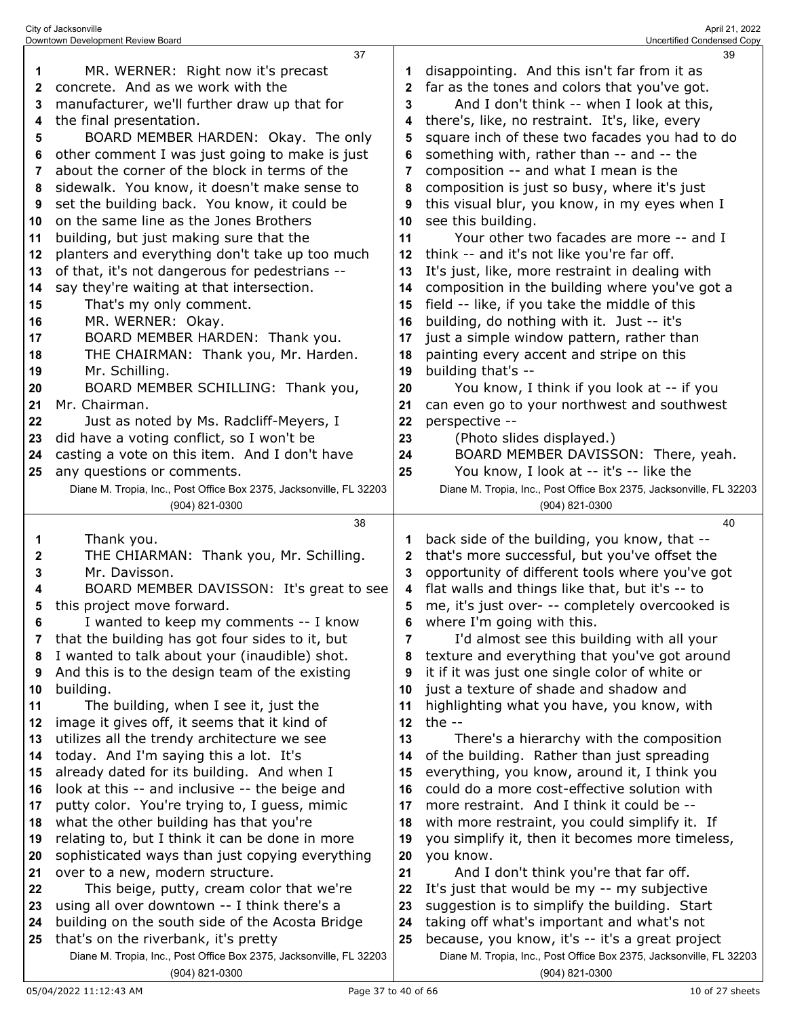|    | 37                                                                                    |              | 39                                                                                    |
|----|---------------------------------------------------------------------------------------|--------------|---------------------------------------------------------------------------------------|
|    | MR. WERNER: Right now it's precast                                                    |              | disappointing. And this isn't far from it as                                          |
| 1  |                                                                                       |              |                                                                                       |
| 2  | concrete. And as we work with the                                                     | $\mathbf{2}$ | far as the tones and colors that you've got.                                          |
| 3  | manufacturer, we'll further draw up that for                                          | 3            | And I don't think -- when I look at this,                                             |
| 4  | the final presentation.                                                               | 4            | there's, like, no restraint. It's, like, every                                        |
| 5  | BOARD MEMBER HARDEN: Okay. The only                                                   | 5            | square inch of these two facades you had to do                                        |
| 6  | other comment I was just going to make is just                                        | 6            | something with, rather than -- and -- the                                             |
|    |                                                                                       |              |                                                                                       |
| 7  | about the corner of the block in terms of the                                         | 7            | composition -- and what I mean is the                                                 |
| 8  | sidewalk. You know, it doesn't make sense to                                          | 8            | composition is just so busy, where it's just                                          |
| 9  | set the building back. You know, it could be                                          | 9            | this visual blur, you know, in my eyes when I                                         |
| 10 | on the same line as the Jones Brothers                                                | 10           | see this building.                                                                    |
| 11 | building, but just making sure that the                                               | 11           | Your other two facades are more -- and I                                              |
| 12 | planters and everything don't take up too much                                        | 12           | think -- and it's not like you're far off.                                            |
|    |                                                                                       |              |                                                                                       |
| 13 | of that, it's not dangerous for pedestrians --                                        | 13           | It's just, like, more restraint in dealing with                                       |
| 14 | say they're waiting at that intersection.                                             | 14           | composition in the building where you've got a                                        |
| 15 | That's my only comment.                                                               | 15           | field -- like, if you take the middle of this                                         |
| 16 | MR. WERNER: Okay.                                                                     | 16           | building, do nothing with it. Just -- it's                                            |
| 17 | BOARD MEMBER HARDEN: Thank you.                                                       | 17           | just a simple window pattern, rather than                                             |
| 18 | THE CHAIRMAN: Thank you, Mr. Harden.                                                  | 18           | painting every accent and stripe on this                                              |
|    | Mr. Schilling.                                                                        | 19           | building that's --                                                                    |
| 19 |                                                                                       |              |                                                                                       |
| 20 | BOARD MEMBER SCHILLING: Thank you,                                                    | 20           | You know, I think if you look at -- if you                                            |
| 21 | Mr. Chairman.                                                                         | 21           | can even go to your northwest and southwest                                           |
| 22 | Just as noted by Ms. Radcliff-Meyers, I                                               | 22           | perspective --                                                                        |
| 23 | did have a voting conflict, so I won't be                                             | 23           | (Photo slides displayed.)                                                             |
| 24 | casting a vote on this item. And I don't have                                         | 24           | BOARD MEMBER DAVISSON: There, yeah.                                                   |
| 25 | any questions or comments.                                                            | 25           | You know, I look at -- it's -- like the                                               |
|    | Diane M. Tropia, Inc., Post Office Box 2375, Jacksonville, FL 32203                   |              | Diane M. Tropia, Inc., Post Office Box 2375, Jacksonville, FL 32203                   |
|    | (904) 821-0300                                                                        |              | (904) 821-0300                                                                        |
|    |                                                                                       |              |                                                                                       |
|    |                                                                                       |              |                                                                                       |
|    | 38                                                                                    |              | 40                                                                                    |
| 1  | Thank you.                                                                            | 1            | back side of the building, you know, that --                                          |
| 2  | THE CHIARMAN: Thank you, Mr. Schilling.                                               | 2            | that's more successful, but you've offset the                                         |
| 3  | Mr. Davisson.                                                                         | 3            | opportunity of different tools where you've got                                       |
| 4  |                                                                                       | 4            |                                                                                       |
|    | BOARD MEMBER DAVISSON: It's great to see                                              |              | flat walls and things like that, but it's -- to                                       |
| 5  | this project move forward.                                                            | 5            | me, it's just over- -- completely overcooked is                                       |
|    | I wanted to keep my comments -- I know                                                |              | where I'm going with this.                                                            |
| 7  | that the building has got four sides to it, but                                       | 7            | I'd almost see this building with all your                                            |
| 8  | I wanted to talk about your (inaudible) shot.                                         | 8            | texture and everything that you've got around                                         |
| 9  | And this is to the design team of the existing                                        | 9            | it if it was just one single color of white or                                        |
| 10 | building.                                                                             | 10           | just a texture of shade and shadow and                                                |
| 11 | The building, when I see it, just the                                                 | 11           | highlighting what you have, you know, with                                            |
| 12 | image it gives off, it seems that it kind of                                          | 12           | the $-$                                                                               |
| 13 | utilizes all the trendy architecture we see                                           | 13           | There's a hierarchy with the composition                                              |
| 14 |                                                                                       |              |                                                                                       |
|    | today. And I'm saying this a lot. It's                                                | 14           | of the building. Rather than just spreading                                           |
| 15 | already dated for its building. And when I                                            | 15           | everything, you know, around it, I think you                                          |
| 16 | look at this -- and inclusive -- the beige and                                        | 16           | could do a more cost-effective solution with                                          |
| 17 | putty color. You're trying to, I guess, mimic                                         | 17           | more restraint. And I think it could be --                                            |
| 18 | what the other building has that you're                                               | 18           | with more restraint, you could simplify it. If                                        |
| 19 | relating to, but I think it can be done in more                                       | 19           | you simplify it, then it becomes more timeless,                                       |
| 20 | sophisticated ways than just copying everything                                       | 20           | you know.                                                                             |
| 21 | over to a new, modern structure.                                                      | 21           | And I don't think you're that far off.                                                |
| 22 |                                                                                       | 22           |                                                                                       |
|    | This beige, putty, cream color that we're                                             |              | It's just that would be my -- my subjective                                           |
| 23 | using all over downtown -- I think there's a                                          | 23           | suggestion is to simplify the building. Start                                         |
| 24 | building on the south side of the Acosta Bridge                                       | 24           | taking off what's important and what's not                                            |
| 25 | that's on the riverbank, it's pretty                                                  | 25           | because, you know, it's -- it's a great project                                       |
|    | Diane M. Tropia, Inc., Post Office Box 2375, Jacksonville, FL 32203<br>(904) 821-0300 |              | Diane M. Tropia, Inc., Post Office Box 2375, Jacksonville, FL 32203<br>(904) 821-0300 |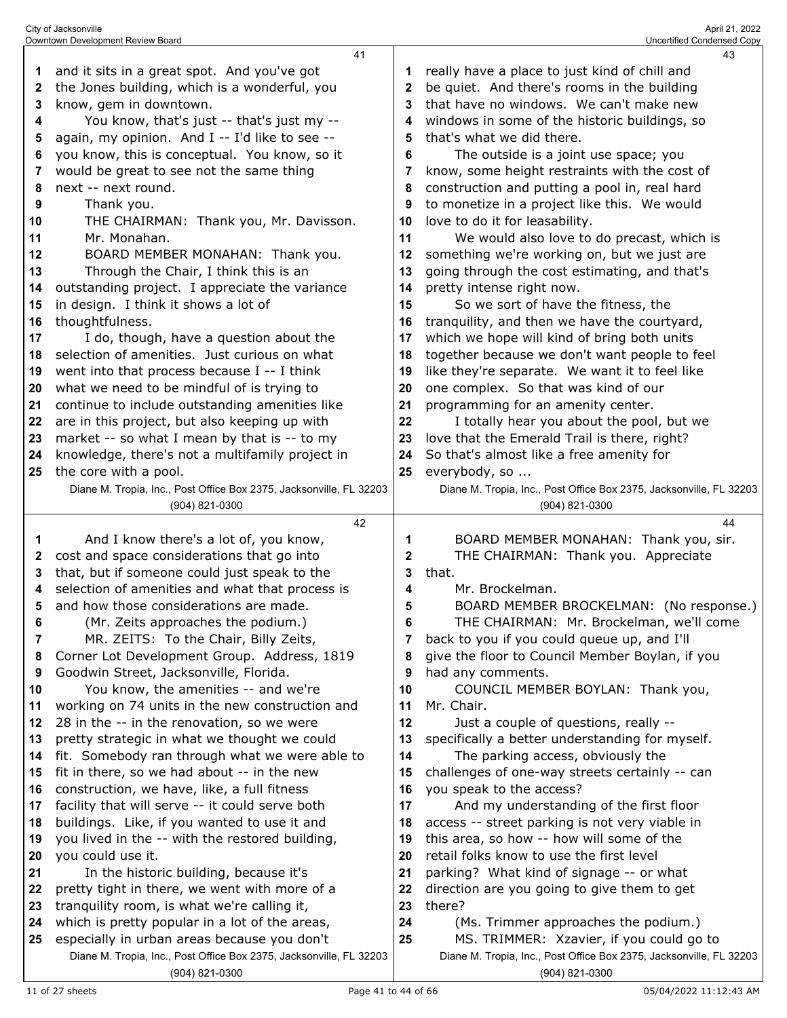|          | 41                                                                                                                 |          | 43                                                                                                              |
|----------|--------------------------------------------------------------------------------------------------------------------|----------|-----------------------------------------------------------------------------------------------------------------|
| 1        | and it sits in a great spot. And you've got                                                                        | 1        | really have a place to just kind of chill and                                                                   |
| 2        | the Jones building, which is a wonderful, you                                                                      | 2        | be quiet. And there's rooms in the building                                                                     |
| 3        | know, gem in downtown.                                                                                             | 3        | that have no windows. We can't make new                                                                         |
| 4        | You know, that's just -- that's just my --                                                                         | 4        | windows in some of the historic buildings, so                                                                   |
| 5        | again, my opinion. And I -- I'd like to see --                                                                     | 5        | that's what we did there.                                                                                       |
| 6        | you know, this is conceptual. You know, so it                                                                      | 6        | The outside is a joint use space; you                                                                           |
| 7        | would be great to see not the same thing                                                                           | 7        | know, some height restraints with the cost of                                                                   |
| 8        | next -- next round.                                                                                                | 8        | construction and putting a pool in, real hard                                                                   |
| 9        | Thank you.                                                                                                         | 9        | to monetize in a project like this. We would                                                                    |
| 10       | THE CHAIRMAN: Thank you, Mr. Davisson.                                                                             | 10       | love to do it for leasability.                                                                                  |
| 11       | Mr. Monahan.                                                                                                       | 11       | We would also love to do precast, which is                                                                      |
| 12       | BOARD MEMBER MONAHAN: Thank you.                                                                                   | 12       | something we're working on, but we just are                                                                     |
| 13       | Through the Chair, I think this is an                                                                              | 13       | going through the cost estimating, and that's                                                                   |
| 14       | outstanding project. I appreciate the variance                                                                     | 14       | pretty intense right now.                                                                                       |
| 15       | in design. I think it shows a lot of                                                                               | 15       | So we sort of have the fitness, the                                                                             |
| 16       | thoughtfulness.                                                                                                    | 16       | tranquility, and then we have the courtyard,                                                                    |
| 17       | I do, though, have a question about the                                                                            | 17       | which we hope will kind of bring both units                                                                     |
| 18       | selection of amenities. Just curious on what                                                                       | 18       | together because we don't want people to feel                                                                   |
| 19       | went into that process because I -- I think                                                                        | 19       | like they're separate. We want it to feel like                                                                  |
| 20       | what we need to be mindful of is trying to                                                                         | 20       | one complex. So that was kind of our                                                                            |
| 21       | continue to include outstanding amenities like                                                                     | 21       | programming for an amenity center.                                                                              |
| 22       | are in this project, but also keeping up with                                                                      | 22       | I totally hear you about the pool, but we                                                                       |
| 23       | market -- so what I mean by that is -- to my                                                                       | 23       | love that the Emerald Trail is there, right?                                                                    |
| 24       | knowledge, there's not a multifamily project in                                                                    | 24       | So that's almost like a free amenity for                                                                        |
| 25       | the core with a pool.                                                                                              | 25       | everybody, so                                                                                                   |
|          | Diane M. Tropia, Inc., Post Office Box 2375, Jacksonville, FL 32203                                                |          | Diane M. Tropia, Inc., Post Office Box 2375, Jacksonville, FL 32203                                             |
|          | (904) 821-0300                                                                                                     |          | (904) 821-0300                                                                                                  |
|          | 42                                                                                                                 |          | 44                                                                                                              |
|          |                                                                                                                    |          |                                                                                                                 |
| 1        | And I know there's a lot of, you know,                                                                             | 1        | BOARD MEMBER MONAHAN: Thank you, sir.                                                                           |
| 2        | cost and space considerations that go into                                                                         | 2        | THE CHAIRMAN: Thank you. Appreciate                                                                             |
| 3        | that, but if someone could just speak to the                                                                       | 3        | that.                                                                                                           |
| 4        | selection of amenities and what that process is                                                                    | 4        | Mr. Brockelman.                                                                                                 |
| 5        | and how those considerations are made.                                                                             | 5        | BOARD MEMBER BROCKELMAN: (No response.)                                                                         |
| 6        | (Mr. Zeits approaches the podium.)                                                                                 | 6        | THE CHAIRMAN: Mr. Brockelman, we'll come                                                                        |
| 7        | MR. ZEITS: To the Chair, Billy Zeits,                                                                              | 7        | back to you if you could queue up, and I'll                                                                     |
| 8        | Corner Lot Development Group. Address, 1819                                                                        | 8        | give the floor to Council Member Boylan, if you                                                                 |
| 9        | Goodwin Street, Jacksonville, Florida.                                                                             | 9        | had any comments.                                                                                               |
| 10       | You know, the amenities -- and we're                                                                               | 10       | COUNCIL MEMBER BOYLAN: Thank you,                                                                               |
| 11       | working on 74 units in the new construction and                                                                    | 11       | Mr. Chair.                                                                                                      |
| 12       | 28 in the -- in the renovation, so we were                                                                         | 12       | Just a couple of questions, really --                                                                           |
| 13       | pretty strategic in what we thought we could                                                                       | 13       | specifically a better understanding for myself.                                                                 |
| 14       | fit. Somebody ran through what we were able to                                                                     | 14       | The parking access, obviously the                                                                               |
| 15       | fit in there, so we had about -- in the new                                                                        | 15       | challenges of one-way streets certainly -- can                                                                  |
| 16       | construction, we have, like, a full fitness                                                                        | 16       | you speak to the access?                                                                                        |
| 17       | facility that will serve -- it could serve both                                                                    | 17       | And my understanding of the first floor                                                                         |
| 18       | buildings. Like, if you wanted to use it and                                                                       | 18       | access -- street parking is not very viable in                                                                  |
| 19       | you lived in the -- with the restored building,                                                                    | 19       | this area, so how -- how will some of the                                                                       |
| 20       | you could use it.                                                                                                  | 20       | retail folks know to use the first level                                                                        |
| 21       | In the historic building, because it's                                                                             | 21       | parking? What kind of signage -- or what                                                                        |
| 22       | pretty tight in there, we went with more of a                                                                      | 22       | direction are you going to give them to get                                                                     |
| 23       | tranquility room, is what we're calling it,                                                                        | 23       | there?                                                                                                          |
| 24<br>25 | which is pretty popular in a lot of the areas,                                                                     | 24<br>25 | (Ms. Trimmer approaches the podium.)                                                                            |
|          | especially in urban areas because you don't<br>Diane M. Tropia, Inc., Post Office Box 2375, Jacksonville, FL 32203 |          | MS. TRIMMER: Xzavier, if you could go to<br>Diane M. Tropia, Inc., Post Office Box 2375, Jacksonville, FL 32203 |

City of Jacksonville April 21, 2022 Downtown Development Review Board Uncertified Condensed Copy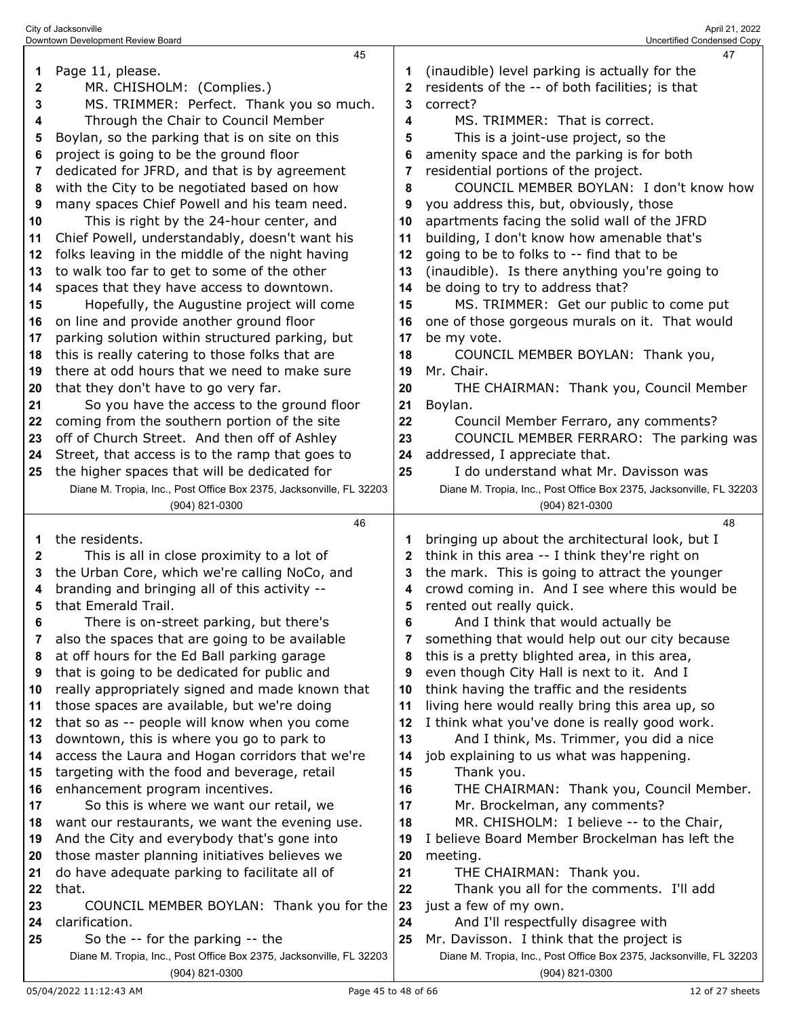|          | Downtown Development Review Board                                   |              | Uncertified Condensed Copy                                          |
|----------|---------------------------------------------------------------------|--------------|---------------------------------------------------------------------|
|          | 45                                                                  |              | 47                                                                  |
| 1        | Page 11, please.                                                    | 1            | (inaudible) level parking is actually for the                       |
| 2        | MR. CHISHOLM: (Complies.)                                           | $\mathbf{2}$ | residents of the -- of both facilities; is that                     |
| 3        | MS. TRIMMER: Perfect. Thank you so much.                            | 3            | correct?                                                            |
| 4        | Through the Chair to Council Member                                 | 4            | MS. TRIMMER: That is correct.                                       |
| 5        | Boylan, so the parking that is on site on this                      | 5            | This is a joint-use project, so the                                 |
| 6        | project is going to be the ground floor                             | 6            | amenity space and the parking is for both                           |
| 7        | dedicated for JFRD, and that is by agreement                        | 7            | residential portions of the project.                                |
| 8        | with the City to be negotiated based on how                         | 8            | COUNCIL MEMBER BOYLAN: I don't know how                             |
| 9        | many spaces Chief Powell and his team need.                         | 9            | you address this, but, obviously, those                             |
| 10       | This is right by the 24-hour center, and                            | 10           | apartments facing the solid wall of the JFRD                        |
| 11       | Chief Powell, understandably, doesn't want his                      | 11           | building, I don't know how amenable that's                          |
| 12       | folks leaving in the middle of the night having                     | 12           | going to be to folks to -- find that to be                          |
| 13       | to walk too far to get to some of the other                         | 13           | (inaudible). Is there anything you're going to                      |
| 14       | spaces that they have access to downtown.                           | 14           | be doing to try to address that?                                    |
| 15       | Hopefully, the Augustine project will come                          | 15           | MS. TRIMMER: Get our public to come put                             |
| 16       | on line and provide another ground floor                            | 16           | one of those gorgeous murals on it. That would                      |
| 17       | parking solution within structured parking, but                     | 17           | be my vote.                                                         |
| 18       | this is really catering to those folks that are                     | 18           | COUNCIL MEMBER BOYLAN: Thank you,                                   |
| 19       | there at odd hours that we need to make sure                        | 19           | Mr. Chair.                                                          |
| 20       | that they don't have to go very far.                                | 20           | THE CHAIRMAN: Thank you, Council Member                             |
| 21       | So you have the access to the ground floor                          | 21           | Boylan.                                                             |
| 22       | coming from the southern portion of the site                        | 22           | Council Member Ferraro, any comments?                               |
| 23       | off of Church Street. And then off of Ashley                        | 23           | COUNCIL MEMBER FERRARO: The parking was                             |
| 24       | Street, that access is to the ramp that goes to                     | 24           | addressed, I appreciate that.                                       |
| 25       | the higher spaces that will be dedicated for                        | 25           | I do understand what Mr. Davisson was                               |
|          |                                                                     |              |                                                                     |
|          | Diane M. Tropia, Inc., Post Office Box 2375, Jacksonville, FL 32203 |              | Diane M. Tropia, Inc., Post Office Box 2375, Jacksonville, FL 32203 |
|          | (904) 821-0300                                                      |              | (904) 821-0300                                                      |
|          | 46                                                                  |              | 48                                                                  |
| 1        | the residents.                                                      |              | bringing up about the architectural look, but I                     |
| 2        | This is all in close proximity to a lot of                          | 2            | think in this area -- I think they're right on                      |
| 3        | the Urban Core, which we're calling NoCo, and                       | 3            | the mark. This is going to attract the younger                      |
| 4        | branding and bringing all of this activity --                       | 4            | crowd coming in. And I see where this would be                      |
| 5        | that Emerald Trail.                                                 | 5            | rented out really quick.                                            |
| 6        | There is on-street parking, but there's                             | 6            | And I think that would actually be                                  |
| 7        | also the spaces that are going to be available                      | 7            | something that would help out our city because                      |
| 8        | at off hours for the Ed Ball parking garage                         | 8            | this is a pretty blighted area, in this area,                       |
| 9        | that is going to be dedicated for public and                        | 9            | even though City Hall is next to it. And I                          |
| 10       | really appropriately signed and made known that                     | 10           | think having the traffic and the residents                          |
| 11       | those spaces are available, but we're doing                         | 11           | living here would really bring this area up, so                     |
| 12       | that so as -- people will know when you come                        | 12           | I think what you've done is really good work.                       |
| 13       | downtown, this is where you go to park to                           | 13           | And I think, Ms. Trimmer, you did a nice                            |
| 14       | access the Laura and Hogan corridors that we're                     | 14           | job explaining to us what was happening.                            |
| 15       | targeting with the food and beverage, retail                        | 15           | Thank you.                                                          |
| 16       | enhancement program incentives.                                     | 16           | THE CHAIRMAN: Thank you, Council Member.                            |
| 17       | So this is where we want our retail, we                             | 17           | Mr. Brockelman, any comments?                                       |
| 18       | want our restaurants, we want the evening use.                      | 18           | MR. CHISHOLM: I believe -- to the Chair,                            |
| 19       | And the City and everybody that's gone into                         | 19           | I believe Board Member Brockelman has left the                      |
| 20       | those master planning initiatives believes we                       | 20           | meeting.                                                            |
| 21       | do have adequate parking to facilitate all of                       | 21           | THE CHAIRMAN: Thank you.                                            |
| 22       | that.                                                               | 22           | Thank you all for the comments. I'll add                            |
| 23<br>24 | COUNCIL MEMBER BOYLAN: Thank you for the<br>clarification.          | 23<br>24     | just a few of my own.<br>And I'll respectfully disagree with        |

Diane M. Tropia, Inc., Post Office Box 2375, Jacksonville, FL 32203 (904) 821-0300

Diane M. Tropia, Inc., Post Office Box 2375, Jacksonville, FL 32203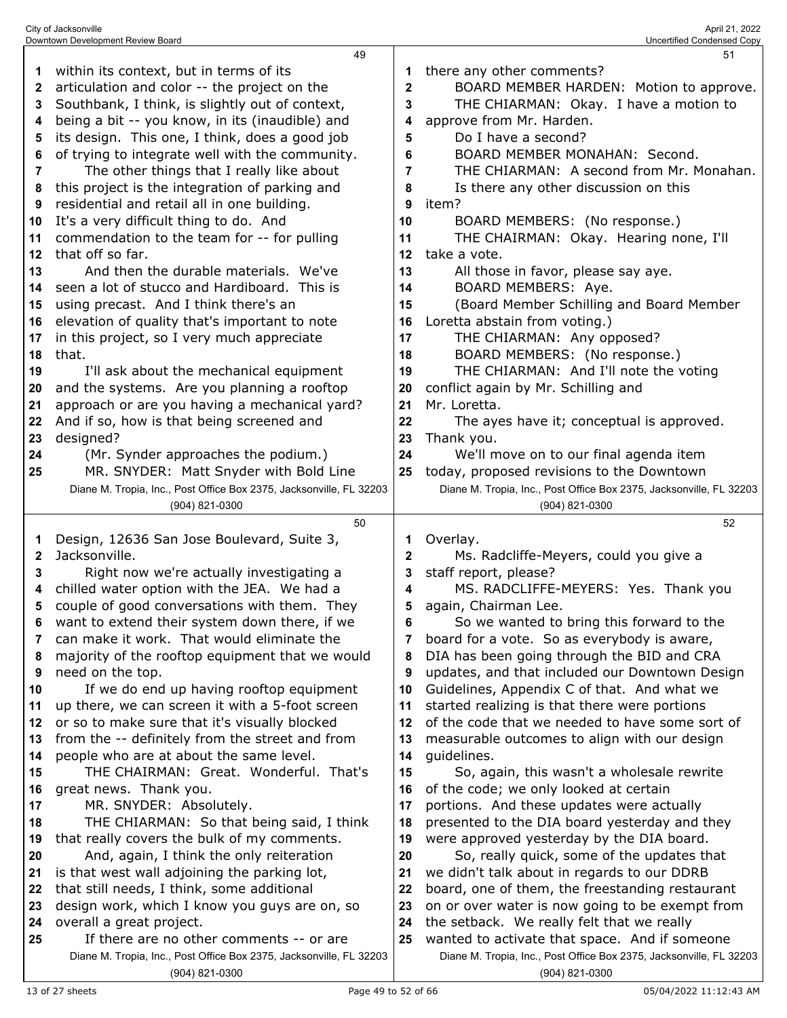|    | Downtown Development Review Board                                                                               |              | Uncertified Condensed Copy                                                                                           |
|----|-----------------------------------------------------------------------------------------------------------------|--------------|----------------------------------------------------------------------------------------------------------------------|
|    | 49                                                                                                              |              | 51                                                                                                                   |
| 1  | within its context, but in terms of its                                                                         |              | there any other comments?                                                                                            |
| 2  | articulation and color -- the project on the                                                                    | $\mathbf{2}$ | BOARD MEMBER HARDEN: Motion to approve.                                                                              |
| 3  | Southbank, I think, is slightly out of context,                                                                 | 3            | THE CHIARMAN: Okay. I have a motion to                                                                               |
| 4  | being a bit -- you know, in its (inaudible) and                                                                 | 4            | approve from Mr. Harden.                                                                                             |
| 5  | its design. This one, I think, does a good job                                                                  | 5            | Do I have a second?                                                                                                  |
|    | of trying to integrate well with the community.                                                                 |              | BOARD MEMBER MONAHAN: Second.                                                                                        |
| 6  |                                                                                                                 | 6            |                                                                                                                      |
| 7  | The other things that I really like about                                                                       | 7            | THE CHIARMAN: A second from Mr. Monahan.                                                                             |
| 8  | this project is the integration of parking and                                                                  | 8            | Is there any other discussion on this                                                                                |
| 9  | residential and retail all in one building.                                                                     | 9            | item?                                                                                                                |
| 10 | It's a very difficult thing to do. And                                                                          | 10           | BOARD MEMBERS: (No response.)                                                                                        |
| 11 | commendation to the team for -- for pulling                                                                     | 11           | THE CHAIRMAN: Okay. Hearing none, I'll                                                                               |
| 12 | that off so far.                                                                                                | 12           | take a vote.                                                                                                         |
| 13 | And then the durable materials. We've                                                                           | 13           | All those in favor, please say aye.                                                                                  |
| 14 | seen a lot of stucco and Hardiboard. This is                                                                    | 14           | BOARD MEMBERS: Aye.                                                                                                  |
| 15 | using precast. And I think there's an                                                                           | 15           | (Board Member Schilling and Board Member                                                                             |
| 16 | elevation of quality that's important to note                                                                   | 16           | Loretta abstain from voting.)                                                                                        |
| 17 | in this project, so I very much appreciate                                                                      | 17           | THE CHIARMAN: Any opposed?                                                                                           |
| 18 | that.                                                                                                           | 18           | BOARD MEMBERS: (No response.)                                                                                        |
|    |                                                                                                                 |              | THE CHIARMAN: And I'll note the voting                                                                               |
| 19 | I'll ask about the mechanical equipment                                                                         | 19           |                                                                                                                      |
| 20 | and the systems. Are you planning a rooftop                                                                     | 20           | conflict again by Mr. Schilling and                                                                                  |
| 21 | approach or are you having a mechanical yard?                                                                   | 21           | Mr. Loretta.                                                                                                         |
| 22 | And if so, how is that being screened and                                                                       | 22           | The ayes have it; conceptual is approved.                                                                            |
| 23 | designed?                                                                                                       | 23           | Thank you.                                                                                                           |
| 24 | (Mr. Synder approaches the podium.)                                                                             | 24           | We'll move on to our final agenda item                                                                               |
| 25 | MR. SNYDER: Matt Snyder with Bold Line                                                                          | 25           | today, proposed revisions to the Downtown                                                                            |
|    | Diane M. Tropia, Inc., Post Office Box 2375, Jacksonville, FL 32203                                             |              | Diane M. Tropia, Inc., Post Office Box 2375, Jacksonville, FL 32203                                                  |
|    |                                                                                                                 |              |                                                                                                                      |
|    | (904) 821-0300                                                                                                  |              | (904) 821-0300                                                                                                       |
|    | 50                                                                                                              |              | 52                                                                                                                   |
| 1  | Design, 12636 San Jose Boulevard, Suite 3,                                                                      | 1            | Overlay.                                                                                                             |
| 2  | Jacksonville.                                                                                                   | $\mathbf{2}$ | Ms. Radcliffe-Meyers, could you give a                                                                               |
| 3  | Right now we're actually investigating a                                                                        | 3            | staff report, please?                                                                                                |
| 4  |                                                                                                                 | 4            |                                                                                                                      |
| 5  | chilled water option with the JEA. We had a                                                                     | 5            | MS. RADCLIFFE-MEYERS: Yes. Thank you                                                                                 |
|    | couple of good conversations with them. They                                                                    |              | again, Chairman Lee.                                                                                                 |
| 6  | want to extend their system down there, if we                                                                   | 6            | So we wanted to bring this forward to the                                                                            |
| 7  | can make it work. That would eliminate the                                                                      | 7            | board for a vote. So as everybody is aware,                                                                          |
| 8  | majority of the rooftop equipment that we would                                                                 | 8            | DIA has been going through the BID and CRA                                                                           |
| 9  | need on the top.                                                                                                | 9            | updates, and that included our Downtown Design                                                                       |
| 10 | If we do end up having rooftop equipment                                                                        | 10           | Guidelines, Appendix C of that. And what we                                                                          |
| 11 | up there, we can screen it with a 5-foot screen                                                                 | 11           | started realizing is that there were portions                                                                        |
| 12 | or so to make sure that it's visually blocked                                                                   | 12           | of the code that we needed to have some sort of                                                                      |
| 13 | from the -- definitely from the street and from                                                                 | 13           | measurable outcomes to align with our design                                                                         |
| 14 | people who are at about the same level.                                                                         | 14           | guidelines.                                                                                                          |
| 15 | THE CHAIRMAN: Great. Wonderful. That's                                                                          | 15           | So, again, this wasn't a wholesale rewrite                                                                           |
| 16 | great news. Thank you.                                                                                          | 16           | of the code; we only looked at certain                                                                               |
| 17 | MR. SNYDER: Absolutely.                                                                                         | 17           | portions. And these updates were actually                                                                            |
| 18 | THE CHIARMAN: So that being said, I think                                                                       | 18           | presented to the DIA board yesterday and they                                                                        |
| 19 | that really covers the bulk of my comments.                                                                     | 19           | were approved yesterday by the DIA board.                                                                            |
| 20 | And, again, I think the only reiteration                                                                        | 20           | So, really quick, some of the updates that                                                                           |
| 21 | is that west wall adjoining the parking lot,                                                                    | 21           | we didn't talk about in regards to our DDRB                                                                          |
| 22 | that still needs, I think, some additional                                                                      | 22           | board, one of them, the freestanding restaurant                                                                      |
| 23 | design work, which I know you guys are on, so                                                                   | 23           | on or over water is now going to be exempt from                                                                      |
| 24 | overall a great project.                                                                                        | 24           | the setback. We really felt that we really                                                                           |
| 25 | If there are no other comments -- or are<br>Diane M. Tropia, Inc., Post Office Box 2375, Jacksonville, FL 32203 | 25           | wanted to activate that space. And if someone<br>Diane M. Tropia, Inc., Post Office Box 2375, Jacksonville, FL 32203 |

(904) 821-0300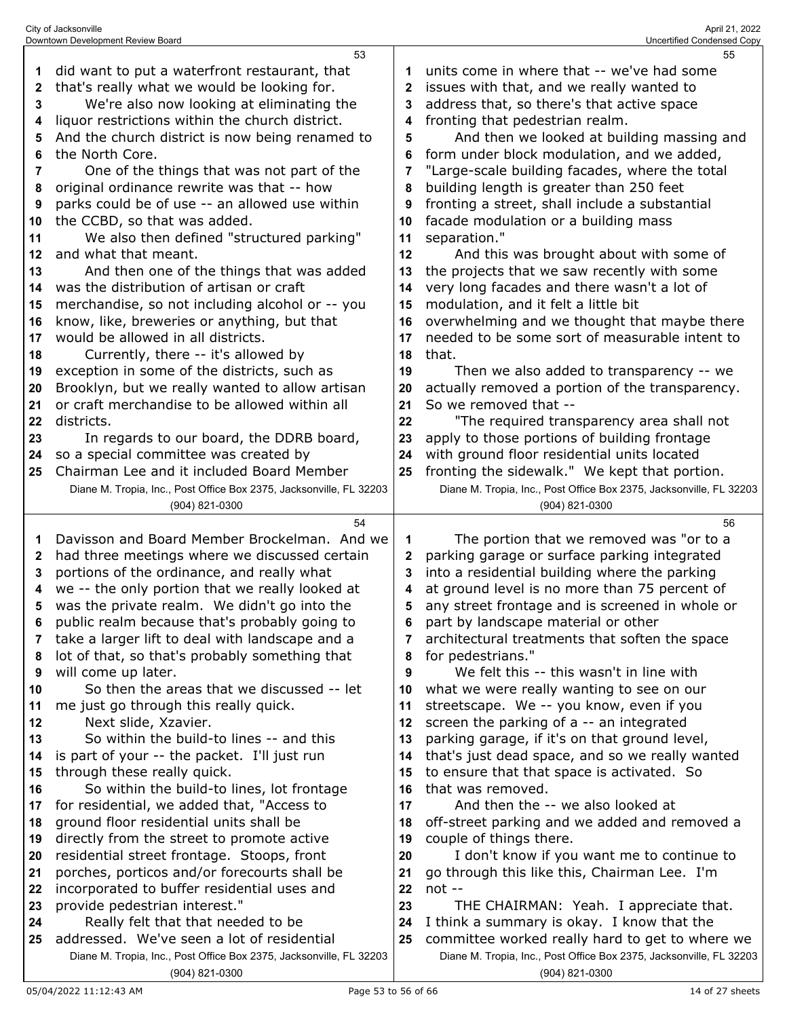|    | City of Jacksonville                                                |                | April 21, 2022                                                      |
|----|---------------------------------------------------------------------|----------------|---------------------------------------------------------------------|
|    | Downtown Development Review Board<br>53                             |                | Uncertified Condensed Copy<br>55                                    |
| 1  | did want to put a waterfront restaurant, that                       | 1              | units come in where that -- we've had some                          |
| 2  | that's really what we would be looking for.                         | $\mathbf 2$    | issues with that, and we really wanted to                           |
| 3  | We're also now looking at eliminating the                           | 3              | address that, so there's that active space                          |
| 4  | liquor restrictions within the church district.                     | 4              | fronting that pedestrian realm.                                     |
| 5  | And the church district is now being renamed to                     | 5              | And then we looked at building massing and                          |
| 6  | the North Core.                                                     | 6              | form under block modulation, and we added,                          |
| 7  | One of the things that was not part of the                          | $\overline{7}$ | "Large-scale building facades, where the total                      |
| 8  | original ordinance rewrite was that -- how                          | 8              | building length is greater than 250 feet                            |
| 9  | parks could be of use -- an allowed use within                      | 9              | fronting a street, shall include a substantial                      |
| 10 | the CCBD, so that was added.                                        | 10             | facade modulation or a building mass                                |
| 11 | We also then defined "structured parking"                           | 11             | separation."                                                        |
| 12 | and what that meant.                                                | 12             | And this was brought about with some of                             |
| 13 | And then one of the things that was added                           | 13             | the projects that we saw recently with some                         |
| 14 | was the distribution of artisan or craft                            | 14             | very long facades and there wasn't a lot of                         |
| 15 | merchandise, so not including alcohol or -- you                     | 15             | modulation, and it felt a little bit                                |
| 16 | know, like, breweries or anything, but that                         | 16             | overwhelming and we thought that maybe there                        |
| 17 | would be allowed in all districts.                                  | 17             | needed to be some sort of measurable intent to                      |
| 18 | Currently, there -- it's allowed by                                 | 18             | that.                                                               |
| 19 | exception in some of the districts, such as                         | 19             | Then we also added to transparency -- we                            |
| 20 | Brooklyn, but we really wanted to allow artisan                     | 20             | actually removed a portion of the transparency.                     |
| 21 | or craft merchandise to be allowed within all                       | 21             | So we removed that --                                               |
| 22 | districts.                                                          | 22             | "The required transparency area shall not                           |
| 23 | In regards to our board, the DDRB board,                            | 23             | apply to those portions of building frontage                        |
| 24 | so a special committee was created by                               | 24             | with ground floor residential units located                         |
| 25 | Chairman Lee and it included Board Member                           | 25             | fronting the sidewalk." We kept that portion.                       |
|    | Diane M. Tropia, Inc., Post Office Box 2375, Jacksonville, FL 32203 |                | Diane M. Tropia, Inc., Post Office Box 2375, Jacksonville, FL 32203 |
|    | (904) 821-0300                                                      |                | (904) 821-0300                                                      |
|    | 54                                                                  |                | 56                                                                  |
| 1  | Davisson and Board Member Brockelman. And we                        | 1              | The portion that we removed was "or to a                            |
| 2  | had three meetings where we discussed certain                       | 2              | parking garage or surface parking integrated                        |
| 3  | portions of the ordinance, and really what                          | 3              | into a residential building where the parking                       |
|    | we -- the only portion that we really looked at                     |                | at ground level is no more than 75 percent of                       |
| 5  | was the private realm. We didn't go into the                        | 5              | any street frontage and is screened in whole or                     |
| 6  | public realm because that's probably going to                       | 6              | part by landscape material or other                                 |
| 7  | take a larger lift to deal with landscape and a                     | 7              | architectural treatments that soften the space                      |
| 8  | lot of that, so that's probably something that                      | 8              | for pedestrians."                                                   |
| 9  | will come up later.                                                 | 9              | We felt this -- this wasn't in line with                            |
| 10 | So then the areas that we discussed -- let                          | 10             | what we were really wanting to see on our                           |
| 11 | me just go through this really quick.                               | 11             | streetscape. We -- you know, even if you                            |
| 12 | Next slide, Xzavier.                                                | 12             | screen the parking of a -- an integrated                            |
| 13 | So within the build-to lines -- and this                            | 13             | parking garage, if it's on that ground level,                       |
| 14 | is part of your -- the packet. I'll just run                        | 14             | that's just dead space, and so we really wanted                     |
| 15 | through these really quick.                                         | 15             | to ensure that that space is activated. So                          |
| 16 | So within the build-to lines, lot frontage                          | 16             | that was removed.                                                   |
| 17 | for residential, we added that, "Access to                          | 17             | And then the -- we also looked at                                   |

 off-street parking and we added and removed a couple of things there. I don't know if you want me to continue to

- go through this like this, Chairman Lee. I'm not --
- THE CHAIRMAN: Yeah. I appreciate that. I think a summary is okay. I know that the
- Diane M. Tropia, Inc., Post Office Box 2375, Jacksonville, FL 32203 committee worked really hard to get to where we Diane M. Tropia, Inc., Post Office Box 2375, Jacksonville, FL 32203 (904) 821-0300

 ground floor residential units shall be directly from the street to promote active residential street frontage. Stoops, front porches, porticos and/or forecourts shall be incorporated to buffer residential uses and

 Really felt that that needed to be addressed. We've seen a lot of residential

(904) 821-0300

provide pedestrian interest."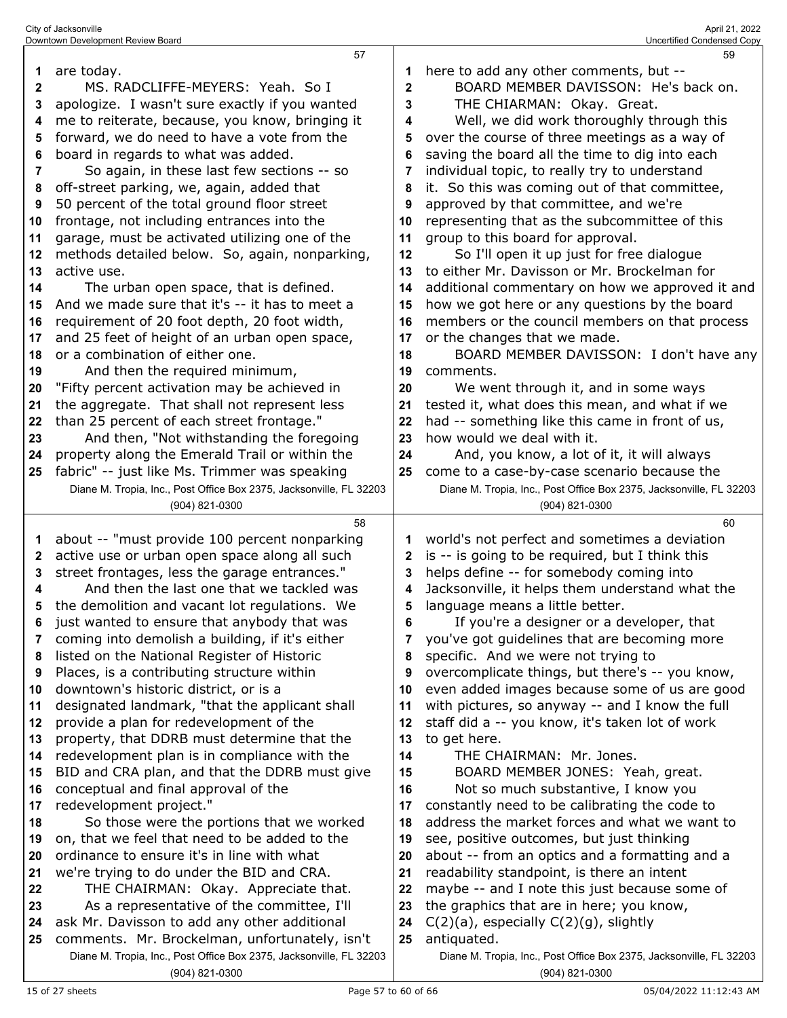| City of Jacksonville              | April 21, 2022             |
|-----------------------------------|----------------------------|
| Downtown Development Review Board | Uncertified Condensed Copy |

|              | 57                                                                                                                    |              | 59                                                                                 |
|--------------|-----------------------------------------------------------------------------------------------------------------------|--------------|------------------------------------------------------------------------------------|
| 1            | are today.                                                                                                            |              | here to add any other comments, but --                                             |
| $\mathbf{2}$ | MS. RADCLIFFE-MEYERS: Yeah. So I                                                                                      | $\mathbf{2}$ | BOARD MEMBER DAVISSON: He's back on.                                               |
| 3            | apologize. I wasn't sure exactly if you wanted                                                                        | 3            | THE CHIARMAN: Okay. Great.                                                         |
| 4            | me to reiterate, because, you know, bringing it                                                                       | 4            | Well, we did work thoroughly through this                                          |
| 5            | forward, we do need to have a vote from the                                                                           | 5            | over the course of three meetings as a way of                                      |
| 6            | board in regards to what was added.                                                                                   | 6            | saving the board all the time to dig into each                                     |
| 7            | So again, in these last few sections -- so                                                                            | 7            | individual topic, to really try to understand                                      |
| 8            | off-street parking, we, again, added that                                                                             | 8            | it. So this was coming out of that committee,                                      |
| 9            | 50 percent of the total ground floor street                                                                           | 9            | approved by that committee, and we're                                              |
| 10           | frontage, not including entrances into the                                                                            | 10           | representing that as the subcommittee of this                                      |
| 11           | garage, must be activated utilizing one of the                                                                        | 11           | group to this board for approval.                                                  |
| 12           | methods detailed below. So, again, nonparking,                                                                        | 12           | So I'll open it up just for free dialogue                                          |
| 13           | active use.                                                                                                           | 13           | to either Mr. Davisson or Mr. Brockelman for                                       |
| 14           | The urban open space, that is defined.                                                                                | 14           | additional commentary on how we approved it and                                    |
| 15           | And we made sure that it's -- it has to meet a                                                                        | 15           | how we got here or any questions by the board                                      |
| 16           | requirement of 20 foot depth, 20 foot width,                                                                          | 16           | members or the council members on that process                                     |
| 17           | and 25 feet of height of an urban open space,                                                                         | 17           | or the changes that we made.                                                       |
| 18           | or a combination of either one.                                                                                       | 18           | BOARD MEMBER DAVISSON: I don't have any                                            |
| 19           | And then the required minimum,                                                                                        | 19           | comments.                                                                          |
| 20           | "Fifty percent activation may be achieved in                                                                          | 20           | We went through it, and in some ways                                               |
| 21           | the aggregate. That shall not represent less                                                                          | 21           | tested it, what does this mean, and what if we                                     |
| 22           | than 25 percent of each street frontage."                                                                             | 22           | had -- something like this came in front of us,                                    |
| 23           | And then, "Not withstanding the foregoing                                                                             | 23           | how would we deal with it.                                                         |
| 24           | property along the Emerald Trail or within the                                                                        | 24           | And, you know, a lot of it, it will always                                         |
| 25           | fabric" -- just like Ms. Trimmer was speaking                                                                         | 25           | come to a case-by-case scenario because the                                        |
|              | Diane M. Tropia, Inc., Post Office Box 2375, Jacksonville, FL 32203                                                   |              | Diane M. Tropia, Inc., Post Office Box 2375, Jacksonville, FL 32203                |
|              | (904) 821-0300                                                                                                        |              |                                                                                    |
|              |                                                                                                                       |              | (904) 821-0300                                                                     |
|              | 58                                                                                                                    |              | 60                                                                                 |
| 1            | about -- "must provide 100 percent nonparking                                                                         | 1            | world's not perfect and sometimes a deviation                                      |
| $\mathbf{2}$ | active use or urban open space along all such                                                                         | 2            | is -- is going to be required, but I think this                                    |
| 3            | street frontages, less the garage entrances."                                                                         | 3            | helps define -- for somebody coming into                                           |
| 4            | And then the last one that we tackled was                                                                             | 4            | Jacksonville, it helps them understand what the                                    |
| 5            | the demolition and vacant lot regulations. We                                                                         | 5            | language means a little better.                                                    |
| ĥ            | just wanted to ensure that anybody that was                                                                           | ĥ            | If you're a designer or a developer, that                                          |
| 7            | coming into demolish a building, if it's either                                                                       | 7            | you've got guidelines that are becoming more                                       |
| 8            | listed on the National Register of Historic                                                                           | 8            | specific. And we were not trying to                                                |
| 9            | Places, is a contributing structure within                                                                            | 9            | overcomplicate things, but there's -- you know,                                    |
| 10           | downtown's historic district, or is a                                                                                 | 10           | even added images because some of us are good                                      |
| 11           | designated landmark, "that the applicant shall                                                                        | 11           | with pictures, so anyway -- and I know the full                                    |
| 12           | provide a plan for redevelopment of the                                                                               | 12           | staff did a -- you know, it's taken lot of work                                    |
| 13           | property, that DDRB must determine that the                                                                           | 13           | to get here.                                                                       |
| 14           | redevelopment plan is in compliance with the                                                                          | 14           | THE CHAIRMAN: Mr. Jones.                                                           |
| 15           | BID and CRA plan, and that the DDRB must give                                                                         | 15           | BOARD MEMBER JONES: Yeah, great.                                                   |
| 16           | conceptual and final approval of the                                                                                  | 16           | Not so much substantive, I know you                                                |
| 17           | redevelopment project."                                                                                               | 17           | constantly need to be calibrating the code to                                      |
| 18           | So those were the portions that we worked                                                                             | 18           | address the market forces and what we want to                                      |
| 19           | on, that we feel that need to be added to the                                                                         | 19           | see, positive outcomes, but just thinking                                          |
| 20           | ordinance to ensure it's in line with what                                                                            | 20           | about -- from an optics and a formatting and a                                     |
| 21           | we're trying to do under the BID and CRA.                                                                             | 21           | readability standpoint, is there an intent                                         |
| 22           | THE CHAIRMAN: Okay. Appreciate that.                                                                                  | 22           | maybe -- and I note this just because some of                                      |
| 23           | As a representative of the committee, I'll                                                                            | 23           | the graphics that are in here; you know,                                           |
| 24           | ask Mr. Davisson to add any other additional                                                                          | 24           | $C(2)(a)$ , especially $C(2)(g)$ , slightly                                        |
| 25           | comments. Mr. Brockelman, unfortunately, isn't<br>Diane M. Tropia, Inc., Post Office Box 2375, Jacksonville, FL 32203 | 25           | antiquated.<br>Diane M. Tropia, Inc., Post Office Box 2375, Jacksonville, FL 32203 |

(904) 821-0300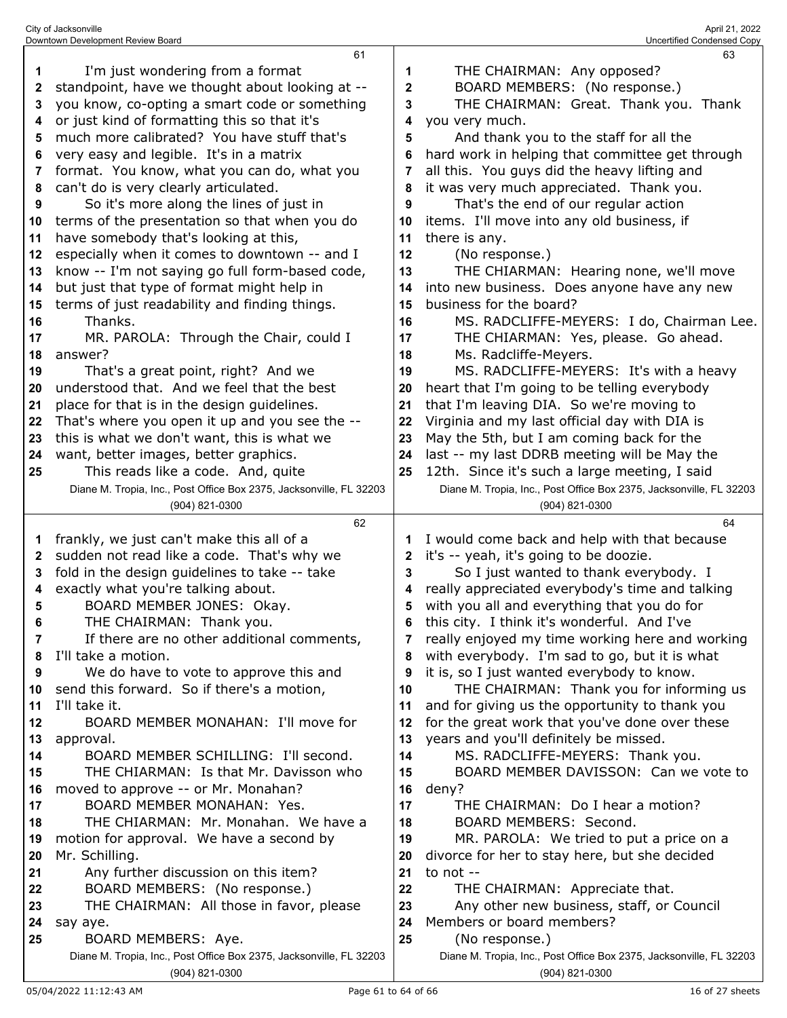|    | 61                                                                                    |    | 63                                                                                    |
|----|---------------------------------------------------------------------------------------|----|---------------------------------------------------------------------------------------|
| 1  | I'm just wondering from a format                                                      | 1  | THE CHAIRMAN: Any opposed?                                                            |
| 2  | standpoint, have we thought about looking at --                                       | 2  | BOARD MEMBERS: (No response.)                                                         |
| 3  | you know, co-opting a smart code or something                                         | 3  | THE CHAIRMAN: Great. Thank you. Thank                                                 |
| 4  | or just kind of formatting this so that it's                                          | 4  | you very much.                                                                        |
| 5  | much more calibrated? You have stuff that's                                           | 5  | And thank you to the staff for all the                                                |
| 6  | very easy and legible. It's in a matrix                                               | 6  | hard work in helping that committee get through                                       |
| 7  | format. You know, what you can do, what you                                           | 7  | all this. You guys did the heavy lifting and                                          |
| 8  | can't do is very clearly articulated.                                                 | 8  | it was very much appreciated. Thank you.                                              |
| 9  | So it's more along the lines of just in                                               | 9  | That's the end of our regular action                                                  |
| 10 | terms of the presentation so that when you do                                         | 10 | items. I'll move into any old business, if                                            |
| 11 | have somebody that's looking at this,                                                 | 11 | there is any.                                                                         |
| 12 | especially when it comes to downtown -- and I                                         | 12 | (No response.)                                                                        |
| 13 | know -- I'm not saying go full form-based code,                                       | 13 | THE CHIARMAN: Hearing none, we'll move                                                |
| 14 | but just that type of format might help in                                            | 14 | into new business. Does anyone have any new                                           |
| 15 | terms of just readability and finding things.                                         | 15 | business for the board?                                                               |
| 16 | Thanks.                                                                               | 16 | MS. RADCLIFFE-MEYERS: I do, Chairman Lee.                                             |
| 17 | MR. PAROLA: Through the Chair, could I                                                | 17 | THE CHIARMAN: Yes, please. Go ahead.                                                  |
| 18 | answer?                                                                               | 18 | Ms. Radcliffe-Meyers.                                                                 |
| 19 | That's a great point, right? And we                                                   | 19 | MS. RADCLIFFE-MEYERS: It's with a heavy                                               |
| 20 | understood that. And we feel that the best                                            | 20 | heart that I'm going to be telling everybody                                          |
| 21 | place for that is in the design guidelines.                                           | 21 | that I'm leaving DIA. So we're moving to                                              |
| 22 | That's where you open it up and you see the --                                        | 22 | Virginia and my last official day with DIA is                                         |
| 23 | this is what we don't want, this is what we                                           | 23 | May the 5th, but I am coming back for the                                             |
| 24 | want, better images, better graphics.                                                 | 24 | last -- my last DDRB meeting will be May the                                          |
| 25 | This reads like a code. And, quite                                                    | 25 | 12th. Since it's such a large meeting, I said                                         |
|    | Diane M. Tropia, Inc., Post Office Box 2375, Jacksonville, FL 32203                   |    | Diane M. Tropia, Inc., Post Office Box 2375, Jacksonville, FL 32203                   |
|    | (904) 821-0300                                                                        |    | (904) 821-0300                                                                        |
|    |                                                                                       |    |                                                                                       |
|    | 62                                                                                    |    | 64                                                                                    |
| 1  | frankly, we just can't make this all of a                                             | 1  | I would come back and help with that because                                          |
| 2  | sudden not read like a code. That's why we                                            | 2  | it's -- yeah, it's going to be doozie.                                                |
| 3  | fold in the design guidelines to take -- take                                         | 3  | So I just wanted to thank everybody. I                                                |
| 4  | exactly what you're talking about.                                                    | 4  | really appreciated everybody's time and talking                                       |
| 5  | BOARD MEMBER JONES: Okay.                                                             | 5  | with you all and everything that you do for                                           |
|    | THE CHAIRMAN: Thank you.                                                              | 6  | this city. I think it's wonderful. And I've                                           |
| 7  | If there are no other additional comments,                                            | 7  | really enjoyed my time working here and working                                       |
| 8  | I'll take a motion.                                                                   | 8  | with everybody. I'm sad to go, but it is what                                         |
| 9  | We do have to vote to approve this and                                                | 9  | it is, so I just wanted everybody to know.                                            |
| 10 | send this forward. So if there's a motion,                                            | 10 | THE CHAIRMAN: Thank you for informing us                                              |
| 11 | I'll take it.                                                                         | 11 | and for giving us the opportunity to thank you                                        |
| 12 | BOARD MEMBER MONAHAN: I'll move for                                                   | 12 | for the great work that you've done over these                                        |
| 13 | approval.                                                                             | 13 | years and you'll definitely be missed.                                                |
| 14 | BOARD MEMBER SCHILLING: I'll second.                                                  | 14 | MS. RADCLIFFE-MEYERS: Thank you.                                                      |
| 15 | THE CHIARMAN: Is that Mr. Davisson who                                                | 15 | BOARD MEMBER DAVISSON: Can we vote to                                                 |
| 16 | moved to approve -- or Mr. Monahan?                                                   | 16 | deny?                                                                                 |
| 17 | BOARD MEMBER MONAHAN: Yes.                                                            | 17 | THE CHAIRMAN: Do I hear a motion?                                                     |
| 18 | THE CHIARMAN: Mr. Monahan. We have a                                                  | 18 | BOARD MEMBERS: Second.                                                                |
| 19 | motion for approval. We have a second by                                              | 19 | MR. PAROLA: We tried to put a price on a                                              |
| 20 | Mr. Schilling.                                                                        | 20 | divorce for her to stay here, but she decided                                         |
| 21 | Any further discussion on this item?                                                  | 21 | to not --                                                                             |
| 22 | BOARD MEMBERS: (No response.)                                                         | 22 | THE CHAIRMAN: Appreciate that.                                                        |
| 23 | THE CHAIRMAN: All those in favor, please                                              | 23 | Any other new business, staff, or Council                                             |
| 24 | say aye.                                                                              | 24 | Members or board members?                                                             |
| 25 | BOARD MEMBERS: Aye.                                                                   | 25 | (No response.)                                                                        |
|    | Diane M. Tropia, Inc., Post Office Box 2375, Jacksonville, FL 32203<br>(904) 821-0300 |    | Diane M. Tropia, Inc., Post Office Box 2375, Jacksonville, FL 32203<br>(904) 821-0300 |

City of Jacksonville April 21, 2022 Downtown Development Review Board Uncertified Condensed Copy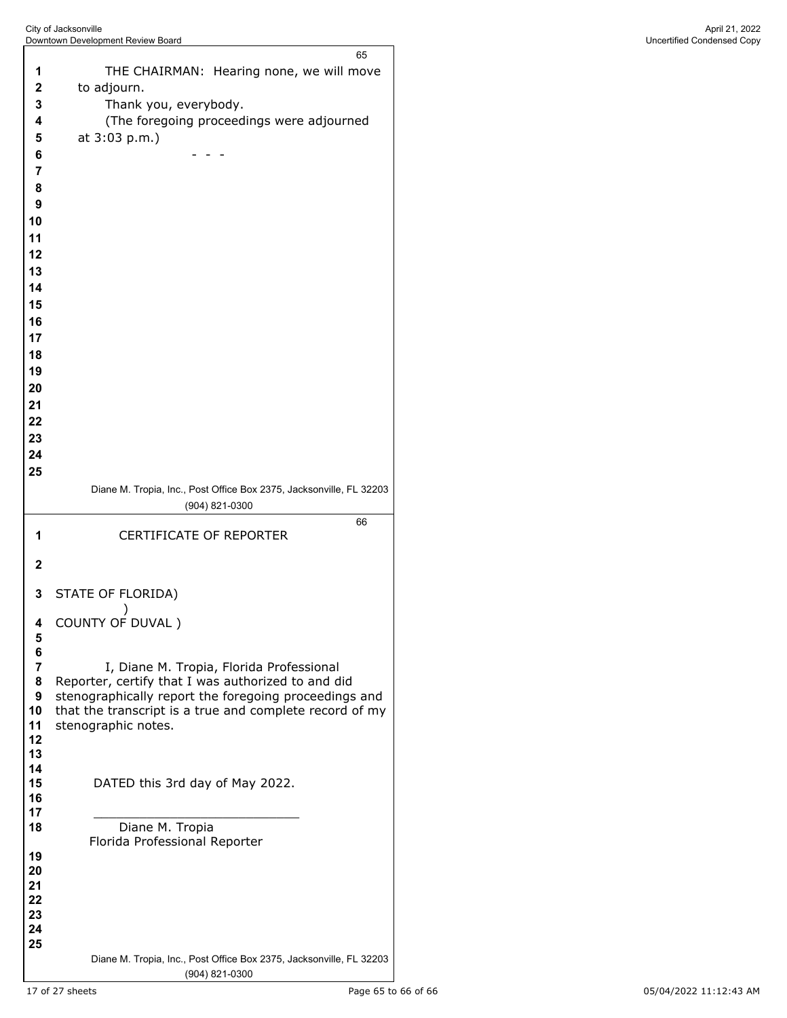THE CHAIRMAN: Hearing none, we will move to adjourn. Thank you, everybody. (The foregoing proceedings were adjourned at 3:03 p.m.) - - - Diane M. Tropia, Inc., Post Office Box 2375, Jacksonville, FL 32203 (904) 821-0300 CERTIFICATE OF REPORTER STATE OF FLORIDA)  $\overline{\phantom{a}}$  COUNTY OF DUVAL ) **7** I, Diane M. Tropia, Florida Professional<br>**8** Reporter, certify that I was authorized to and d Reporter, certify that I was authorized to and did stenographically report the foregoing proceedings and that the transcript is a true and complete record of my stenographic notes. DATED this 3rd day of May 2022. \_\_\_\_\_\_\_\_\_\_\_\_\_\_\_\_\_\_\_\_\_\_\_\_\_\_\_ Diane M. Tropia Florida Professional Reporter Diane M. Tropia, Inc., Post Office Box 2375, Jacksonville, FL 32203 (904) 821-0300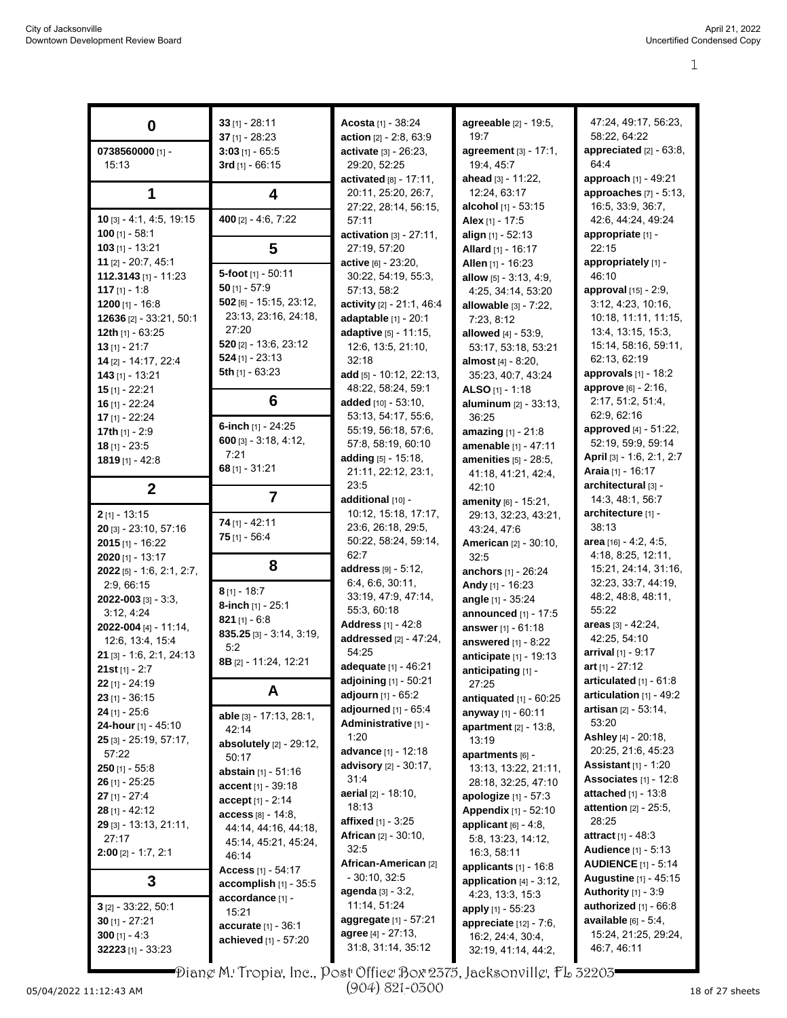|                             | $33$ [1] - 28:11            | Acosta [1] - 38:24                  | agreeable [2] - 19:5,        | 47:24, 49:17, 56:23,                                         |
|-----------------------------|-----------------------------|-------------------------------------|------------------------------|--------------------------------------------------------------|
| 0                           | 37 $[1] - 28:23$            | action [2] - 2:8, 63:9              | 19:7                         | 58:22, 64:22                                                 |
| 0738560000 [1] -            |                             | activate [3] - 26:23,               | agreement $[3] - 17:1$ ,     | appreciated [2] - 63:8,                                      |
|                             | $3:03$ [1] - 65:5           |                                     | 19.4, 45.7                   | 64:4                                                         |
| 15:13                       | 3rd [1] - 66:15             | 29:20, 52:25                        |                              |                                                              |
|                             |                             | activated $[8] - 17:11$ ,           | ahead [3] - 11:22,           | approach [1] - 49:21                                         |
| 1                           | 4                           | 20:11, 25:20, 26:7,                 | 12:24, 63:17                 | approaches $[7] - 5.13$ ,                                    |
|                             |                             | 27:22, 28:14, 56:15,                | <b>alcohol</b> [1] - 53:15   | 16:5, 33:9, 36:7,                                            |
| $10$ [3] - 4:1, 4:5, 19:15  | 400 [2] - 4:6, 7:22         | 57:11                               | Alex [1] - 17:5              | 42:6, 44:24, 49:24                                           |
| 100 $[1] - 58:1$            |                             | activation $[3] - 27:11$ ,          | align $[1] - 52:13$          | appropriate [1] -                                            |
| 103 [1] - 13:21             | 5                           | 27:19, 57:20                        | Allard [1] - 16:17           | 22:15                                                        |
| 11 [2] - 20:7, 45:1         |                             | <b>active</b> $[6] - 23:20$ ,       | Allen [1] - 16:23            | appropriately [1] -                                          |
| 112.3143 $[1] - 11.23$      | 5-foot [1] - 50:11          | 30:22, 54:19, 55:3,                 | allow $[5] - 3.13, 4.9$ ,    | 46:10                                                        |
| 117 $[1] - 1.8$             | $50$ [1] - 57:9             | 57:13, 58:2                         | 4:25, 34:14, 53:20           | approval [15] - 2:9,                                         |
| 1200 $[1] - 16.8$           | 502 [6] - 15:15, 23:12,     | activity [2] - 21:1, 46:4           | allowable [3] - 7:22,        | 3:12, 4:23, 10:16,                                           |
| 12636 [2] - 33:21, 50:1     | 23:13, 23:16, 24:18,        | adaptable [1] - 20:1                | 7:23, 8:12                   | 10:18, 11:11, 11:15,                                         |
| 12th $[1] - 63:25$          | 27:20                       | adaptive [5] - 11:15,               | allowed $[4] - 53.9$ ,       | 13:4, 13:15, 15:3,                                           |
| $13$ [1] - 21:7             | $520$ [2] - 13:6, 23:12     | 12:6, 13:5, 21:10,                  | 53:17, 53:18, 53:21          | 15:14, 58:16, 59:11,                                         |
| 14 [2] - 14:17, 22:4        | $524$ [1] - 23:13           | 32:18                               | almost [4] - 8:20,           | 62:13, 62:19                                                 |
| $143$ [1] - 13:21           | 5th [1] - 63:23             | add $[5] - 10:12$ , 22:13,          | 35:23, 40:7, 43:24           | approvals $[1] - 18:2$                                       |
| $15$ [1] - 22:21            |                             | 48:22, 58:24, 59:1                  | ALSO $[1] - 1:18$            | approve [6] - 2:16,                                          |
| 16 $[1] - 22:24$            | 6                           | added [10] - 53:10,                 | aluminum [2] - 33:13,        | 2:17, 51:2, 51:4,                                            |
| 17 [1] - 22:24              |                             | 53:13, 54:17, 55:6,                 | 36:25                        | 62:9, 62:16                                                  |
| 17th $[1] - 2:9$            | 6-inch $[1]$ - 24:25        | 55:19, 56:18, 57:6,                 | amazing [1] - 21:8           | approved [4] - 51:22,                                        |
| $18$ [1] - 23:5             | $600$ [3] - 3:18, 4:12,     | 57:8, 58:19, 60:10                  | amenable [1] - 47:11         | 52:19, 59:9, 59:14                                           |
| $1819$ [1] - 42:8           | 7:21                        | adding [5] - 15:18,                 | amenities [5] - 28:5,        | April [3] - 1:6, 2:1, 2:7                                    |
|                             | $68$ [1] - 31:21            | 21:11, 22:12, 23:1,                 | 41:18, 41:21, 42:4,          | <b>Araia</b> [1] - 16:17                                     |
|                             |                             | 23:5                                | 42:10                        | architectural [3] -                                          |
| $\boldsymbol{2}$            | $\overline{7}$              | additional [10] -                   | amenity [6] - 15:21,         | 14:3, 48:1, 56:7                                             |
| $2$ [1] - 13:15             |                             | 10:12, 15:18, 17:17,                | 29:13, 32:23, 43:21,         | architecture [1] -                                           |
| 20 [3] - 23:10, 57:16       | $74$ [1] - 42:11            | 23:6, 26:18, 29:5,                  | 43:24, 47:6                  | 38:13                                                        |
| $2015$ [1] - 16:22          | $75$ [1] - 56:4             | 50:22, 58:24, 59:14,                | <b>American</b> [2] - 30:10, | area [16] - 4:2, 4:5,                                        |
| $2020$ [1] - 13:17          |                             | 62:7                                | 32:5                         | 4:18, 8:25, 12:11,                                           |
| $2022$ [5] - 1:6, 2:1, 2:7, | 8                           | address [9] - 5:12,                 | anchors [1] - 26:24          | 15:21, 24:14, 31:16,                                         |
| 2.9,66.15                   |                             | 6:4, 6:6, 30:11,                    | Andy [1] - 16:23             | 32:23, 33:7, 44:19,                                          |
| 2022-003 [3] - 3:3,         | $8$ [1] - 18:7              | 33:19, 47:9, 47:14,                 | angle [1] - 35:24            | 48:2, 48:8, 48:11,                                           |
| 3:12, 4:24                  | 8-inch [1] - 25:1           | 55:3, 60:18                         | announced [1] - 17:5         | 55:22                                                        |
| 2022-004 [4] - 11:14,       | 821 $[1] - 6.8$             | Address [1] - 42:8                  |                              | areas [3] - 42:24,                                           |
| 12.6, 13.4, 15.4            | $835.25$ [3] - 3:14, 3:19,  | addressed [2] - 47:24,              | answer [1] - 61:18           | 42:25, 54:10                                                 |
|                             | 5:2                         | 54:25                               | answered $[1]$ - 8:22        | arrival $[1] - 9:17$                                         |
| 21 [3] - 1.6, 2:1, 24:13    | 8B [2] - 11:24, 12:21       | adequate [1] - 46:21                | anticipate [1] - 19:13       | art $[1] - 27:12$                                            |
| 21st $[1] - 2:7$            |                             | adjoining $[1] - 50:21$             | anticipating [1] -           | articulated $[1] - 61.8$                                     |
| $22$ [1] - 24:19            | A                           | adjourn [1] - 65:2                  | 27:25                        | articulation $[1]$ - 49:2                                    |
| $23$ [1] - 36:15            |                             | adjourned [1] - 65:4                | antiquated $[1]$ - $60:25$   | artisan [2] - 53:14,                                         |
| $24$ [1] - 25:6             | able [3] - 17:13, 28:1,     | Administrative [1] -                | anyway [1] - 60:11           | 53:20                                                        |
| 24-hour [1] - 45:10         | 42:14                       | 1:20                                | apartment $[2] - 13:8$ ,     | Ashley [4] - 20:18,                                          |
| $25$ [3] - 25:19, 57:17,    | absolutely $[2] - 29:12$ ,  | advance [1] - 12:18                 | 13:19                        | 20:25, 21:6, 45:23                                           |
| 57:22                       | 50:17                       | advisory [2] - 30:17,               | apartments $[6]$ -           | <b>Assistant</b> $[1] - 1:20$                                |
| $250$ [1] - 55:8            | abstain [1] - 51:16         | 31.4                                | 13:13, 13:22, 21:11,         | Associates $[1] - 12.8$                                      |
| $26$ [1] - 25:25            | <b>accent</b> $[1] - 39.18$ |                                     | 28:18, 32:25, 47:10          |                                                              |
| $27$ [1] - 27:4             | $accept[1] - 2.14$          | aerial [2] - 18:10,<br>18:13        | apologize $[1] - 57:3$       | <b>attached</b> $[1] - 13.8$<br><b>attention</b> [2] - 25:5, |
| 28 [1] - 42:12              | <b>access</b> [8] - 14:8.   |                                     | Appendix [1] - 52:10         |                                                              |
| 29 [3] - 13:13, 21:11,      | 44:14, 44:16, 44:18,        | <b>affixed</b> [1] - 3:25           | applicant $[6] - 4.8$ ,      | 28:25                                                        |
| 27:17                       | 45:14, 45:21, 45:24,        | <b>African</b> [2] - 30:10,<br>32:5 | 5.8, 13:23, 14:12,           | <b>attract</b> [1] - 48:3                                    |
| $2:00$ [2] - 1:7, 2:1       | 46:14                       |                                     | 16:3, 58:11                  | <b>Audience</b> [1] - 5:13                                   |
|                             | Access $[1] - 54:17$        | African-American [2]                | applicants [1] - 16:8        | <b>AUDIENCE</b> $[1]$ - 5:14                                 |
| 3                           | accomplish [1] - 35:5       | $-30:10, 32:5$                      | application $[4]$ - 3:12,    | Augustine [1] - 45:15                                        |
|                             | accordance [1] -            | agenda [3] - 3:2,                   | 4:23, 13:3, 15:3             | Authority $[1] - 3.9$                                        |
| $3$ [2] - 33:22, 50:1       | 15:21                       | 11:14, 51:24                        | apply $[1] - 55.23$          | authorized $[1]$ - $66:8$                                    |
| $30$ [1] - 27:21            | accurate [1] - 36:1         | aggregate [1] - 57:21               | appreciate [12] - 7:6,       | <b>available</b> $[6] - 5.4$ ,                               |
| 300 $[1] - 4:3$             | achieved [1] - 57:20        | agree $[4] - 27:13$ ,               | 16:2, 24:4, 30:4,            | 15:24, 21:25, 29:24,                                         |
| $32223$ [1] - 33:23         |                             | 31:8, 31:14, 35:12                  | 32.19, 41:14, 44:2,          | 46:7, 46:11                                                  |
|                             |                             |                                     |                              |                                                              |

Diane M. Tropia, Inc., Post Office Box 2375, Jacksonville, FL 32203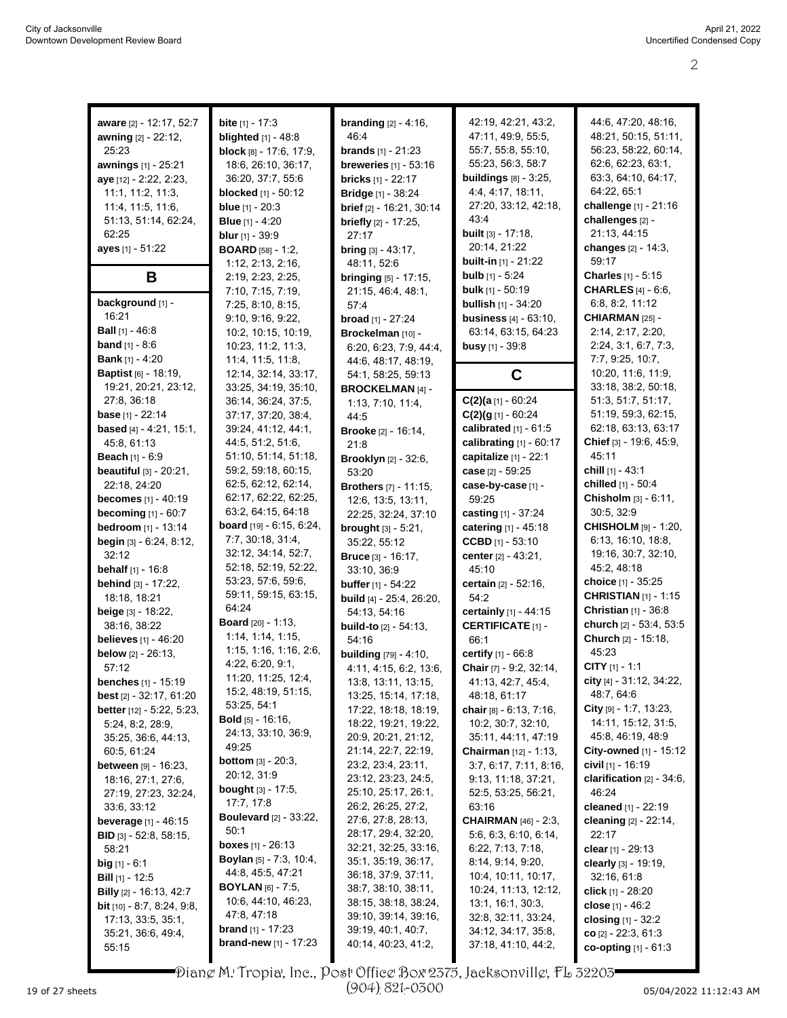| aware [2] - 12:17, 52:7             | <b>bite</b> $[1] - 17:3$         | <b>branding</b> $[2] - 4:16$ ,  | 42:19, 42:21, 43:2,                               | 44:6, 47:20, 48:16,          |
|-------------------------------------|----------------------------------|---------------------------------|---------------------------------------------------|------------------------------|
| awning [2] - 22:12,                 | <b>blighted</b> [1] - 48:8       | 46.4                            | 47:11, 49:9, 55:5,                                | 48:21, 50:15, 51:11,         |
| 25:23                               | block $[8] - 17.6, 17.9$ ,       | <b>brands</b> $[1] - 21:23$     | 55:7, 55:8, 55:10,                                | 56:23, 58:22, 60:14,         |
| awnings [1] - 25:21                 | 18:6, 26:10, 36:17,              | <b>breweries</b> [1] - 53:16    | 55:23, 56:3, 58:7                                 | 62:6, 62:23, 63:1,           |
|                                     |                                  |                                 |                                                   | 63:3, 64:10, 64:17,          |
| aye [12] - 2:22, 2:23,              | 36:20, 37:7, 55:6                | <b>bricks</b> $[1] - 22:17$     | <b>buildings</b> [8] - 3:25,<br>4:4, 4:17, 18:11, | 64:22, 65:1                  |
| 11:1, 11:2, 11:3,                   | <b>blocked</b> [1] - 50:12       | <b>Bridge</b> [1] - 38:24       |                                                   |                              |
| 11:4, 11:5, 11:6,                   | <b>blue</b> $[1] - 20:3$         | brief [2] - 16:21, 30:14        | 27:20, 33:12, 42:18,                              | challenge [1] - 21:16        |
| 51:13, 51:14, 62:24,                | <b>Blue</b> $[1] - 4:20$         | <b>briefly</b> $[2] - 17:25$ ,  | 43.4                                              | challenges [2] -             |
| 62:25                               | <b>blur</b> $[1] - 39.9$         | 27:17                           | <b>built</b> $[3] - 17:18$ ,                      | 21:13, 44:15                 |
| ayes [1] - 51:22                    | <b>BOARD</b> $[58] - 1:2$        | $bring [3] - 43:17,$            | 20:14, 21:22                                      | changes [2] - 14:3,          |
|                                     | 1:12, 2:13, 2:16,                | 48:11, 52:6                     | <b>built-in</b> [1] - 21:22                       | 59:17                        |
| B                                   | 2:19, 2:23, 2:25,                | <b>bringing</b> [5] - 17:15,    | <b>bulb</b> [1] - 5:24                            | Charles [1] - 5:15           |
|                                     | 7:10, 7:15, 7:19,                | 21:15, 46:4, 48:1,              | <b>bulk</b> $[1]$ - 50:19                         | <b>CHARLES</b> [4] - 6:6,    |
| background [1] -                    | 7:25, 8:10, 8:15,                | 57:4                            | <b>bullish</b> [1] - 34:20                        | 6:8, 8:2, 11:12              |
| 16:21                               | 9:10, 9:16, 9:22,                | <b>broad</b> $[1] - 27:24$      | <b>business</b> [4] - 63:10,                      | CHIARMAN <sub>[25]</sub> -   |
| <b>Ball</b> $[1]$ - 46:8            | 10:2, 10:15, 10:19,              | Brockelman [10] -               | 63:14, 63:15, 64:23                               | 2:14, 2:17, 2:20,            |
| <b>band</b> $[1] - 8:6$             | 10:23, 11:2, 11:3,               | 6:20, 6:23, 7:9, 44:4,          | <b>busy</b> [1] - 39:8                            | 2:24, 3:1, 6:7, 7:3,         |
| <b>Bank</b> [1] - 4:20              | 11:4, 11:5, 11:8,                | 44.6, 48.17, 48.19,             |                                                   | 7:7, 9:25, 10:7,             |
| <b>Baptist</b> [6] - 18:19,         | 12:14, 32:14, 33:17,             | 54:1, 58:25, 59:13              | C                                                 | 10:20, 11:6, 11:9,           |
| 19:21, 20:21, 23:12,                | 33:25, 34:19, 35:10,             | <b>BROCKELMAN [4] -</b>         |                                                   | 33:18, 38:2, 50:18,          |
| 27:8, 36:18                         | 36:14, 36:24, 37:5,              | 1:13, 7:10, 11:4,               | $C(2)(a_{11}-60:24)$                              | 51:3, 51:7, 51:17,           |
| <b>base</b> $[1] - 22:14$           | 37:17, 37:20, 38:4,              | 44:5                            | $C(2)(g_{11}-60:24)$                              | 51:19, 59:3, 62:15,          |
| based [4] - 4:21, 15:1,             | 39:24, 41:12, 44:1,              | <b>Brooke</b> [2] - 16:14,      | calibrated $[1]$ - $61:5$                         | 62:18, 63:13, 63:17          |
| 45.8, 61.13                         | 44:5, 51:2, 51:6,                | 21:8                            | calibrating $[1]$ - $60:17$                       | Chief [3] - 19:6, 45:9,      |
| Beach [1] - 6:9                     | 51:10, 51:14, 51:18,             | <b>Brooklyn</b> [2] - 32:6,     | capitalize [1] - 22:1                             | 45:11                        |
| beautiful [3] - 20:21,              | 59:2, 59:18, 60:15,              | 53:20                           | case [2] - 59:25                                  | <b>chill</b> $[1]$ - 43:1    |
| 22:18, 24:20                        | 62:5, 62:12, 62:14,              | <b>Brothers</b> [7] - 11:15,    | case-by-case [1] -                                | chilled [1] - 50:4           |
| <b>becomes</b> $[1] - 40:19$        | 62:17, 62:22, 62:25,             | 12:6, 13:5, 13:11,              | 59:25                                             | Chisholm [3] - 6.11,         |
| <b>becoming</b> [1] - 60:7          | 63:2, 64:15, 64:18               |                                 | casting [1] - 37:24                               | 30:5, 32:9                   |
| bedroom [1] - 13:14                 | board [19] - 6:15, 6:24,         | 22:25, 32:24, 37:10             |                                                   | <b>CHISHOLM</b> [9] - 1:20,  |
|                                     | 7:7, 30:18, 31:4,                | <b>brought</b> $[3] - 5:21$ ,   | catering [1] - 45:18                              | 6:13, 16:10, 18:8,           |
| begin [3] - 6:24, 8:12,             | 32:12, 34:14, 52:7,              | 35:22, 55:12                    | CCBD $[1] - 53.10$                                | 19:16, 30:7, 32:10,          |
| 32:12                               | 52:18, 52:19, 52:22,             | <b>Bruce</b> [3] - 16:17,       | center [2] - 43:21,                               | 45:2, 48:18                  |
| <b>behalf</b> $[1] - 16.8$          | 53:23, 57:6, 59:6,               | 33:10, 36:9                     | 45:10                                             |                              |
| behind [3] - 17:22,                 | 59:11, 59:15, 63:15,             | <b>buffer</b> $[1] - 54:22$     | certain [2] - 52:16,                              | choice [1] - 35:25           |
| 18:18, 18:21                        | 64:24                            | <b>build</b> [4] - 25:4, 26:20, | 54:2                                              | <b>CHRISTIAN [1] - 1:15</b>  |
| beige [3] - 18:22,                  | <b>Board</b> [20] - 1:13,        | 54:13, 54:16                    | certainly [1] - 44:15                             | Christian [1] - 36:8         |
| 38:16, 38:22                        |                                  | <b>build-to</b> [2] - 54:13,    | <b>CERTIFICATE [1] -</b>                          | church [2] - 53:4, 53:5      |
| <b>believes</b> $[1] - 46:20$       | 1:14, 1:14, 1:15,                | 54:16                           | 66:1                                              | Church [2] - 15:18,          |
| <b>below</b> $[2] - 26:13$ ,        | 1:15, 1:16, 1:16, 2:6,           | <b>building</b> [79] - 4:10,    | certify [1] - 66:8                                | 45:23                        |
| 57:12                               | 4.22, 6.20, 9.1,                 | 4:11, 4:15, 6:2, 13:6,          | Chair [7] - 9:2, 32:14,                           | $CITY$ [1] - 1:1             |
| <b>benches</b> $[1]$ - 15:19        | 11:20, 11:25, 12:4,              | 13:8, 13:11, 13:15,             | 41:13, 42:7, 45:4,                                | city [4] - 31:12, 34:22,     |
| <b>best</b> $[2] - 32:17, 61:20$    | 15:2, 48:19, 51:15,              | 13:25, 15:14, 17:18,            | 48.18, 61.17                                      | 48:7, 64:6                   |
| better [12] - 5:22, 5:23,           | 53:25, 54:1                      | 17:22, 18:18, 18:19,            | chair [8] - 6:13, 7:16,                           | City $[9] - 1.7, 13.23,$     |
| 5:24, 8:2, 28:9,                    | <b>Bold</b> $[5]$ - 16:16,       | 18:22, 19:21, 19:22,            | 10:2, 30:7, 32:10,                                | 14:11, 15:12, 31:5,          |
| 35:25, 36:6, 44:13,                 | 24:13, 33:10, 36:9,              | 20:9, 20:21, 21:12,             | 35:11, 44:11, 47:19                               | 45.8, 46.19, 48.9            |
| 60:5, 61:24                         | 49.25                            | 21:14, 22:7, 22:19,             | <b>Chairman</b> $[12] - 1:13$                     | City-owned [1] - 15:12       |
| <b>between</b> [9] - 16:23,         | <b>bottom</b> $[3] - 20:3$ ,     | 23:2, 23:4, 23:11,              | 3:7, 6:17, 7:11, 8:16,                            | civil [1] - 16:19            |
| 18:16, 27:1, 27:6,                  | 20:12, 31.9                      | 23:12, 23:23, 24:5,             | 9:13, 11:18, 37:21,                               | clarification $[2] - 34:6$ , |
| 27:19, 27:23, 32:24,                | <b>bought</b> [3] - 17:5,        | 25:10, 25:17, 26:1,             | 52:5, 53:25, 56:21,                               | 46:24                        |
| 33.6, 33.12                         | 17:7, 17:8                       | 26:2, 26:25, 27:2,              | 63:16                                             | cleaned [1] - 22:19          |
| <b>beverage</b> $[1] - 46:15$       | <b>Boulevard</b> [2] - 33:22,    | 27:6, 27:8, 28:13,              | <b>CHAIRMAN</b> [46] - 2:3,                       | cleaning [2] - 22:14,        |
| <b>BID</b> [3] - 52:8, 58:15,       | 50:1                             | 28:17, 29:4, 32:20,             | 5.6, 6.3, 6.10, 6.14,                             | 22:17                        |
| 58:21                               | <b>boxes</b> $[1]$ - 26:13       | 32:21, 32:25, 33:16,            | 6:22, 7:13, 7:18,                                 | clear $[1]$ - 29:13          |
| <b>big</b> $[1] - 6:1$              | <b>Boylan</b> $[5]$ - 7:3, 10:4, | 35:1, 35:19, 36:17,             | 8:14, 9:14, 9:20,                                 | clearly $[3] - 19:19$ ,      |
| <b>Bill</b> $[1]$ - 12:5            | 44:8, 45:5, 47:21                | 36:18, 37:9, 37:11,             | 10:4, 10:11, 10:17,                               | 32:16, 61:8                  |
|                                     | <b>BOYLAN</b> $[6] - 7:5$ ,      | 38:7, 38:10, 38:11,             | 10:24, 11:13, 12:12,                              | click $[1]$ - 28:20          |
| <b>Billy</b> [2] - 16:13, 42:7      | 10:6, 44:10, 46:23,              | 38:15, 38:18, 38:24,            | 13:1, 16:1, 30:3,                                 |                              |
| <b>bit</b> $[10] - 8.7, 8.24, 9.8,$ | 47:8, 47:18                      | 39:10, 39:14, 39:16,            | 32:8, 32:11, 33:24,                               | close $[1] - 46.2$           |
| 17:13, 33:5, 35:1,                  | <b>brand</b> $[1]$ - 17:23       | 39:19, 40:1, 40:7,              | 34:12, 34:17, 35:8,                               | closing [1] - 32:2           |
| 35:21, 36:6, 49:4,                  | <b>brand-new</b> $[1] - 17:23$   | 40:14, 40:23, 41:2,             | 37:18, 41:10, 44:2,                               | co $[2] - 22:3, 61:3$        |
| 55:15                               |                                  |                                 |                                                   | co-opting [1] - 61:3         |

Diane M. Tropia, Inc., Post Office Box 2375, Jacksonville, FL 32203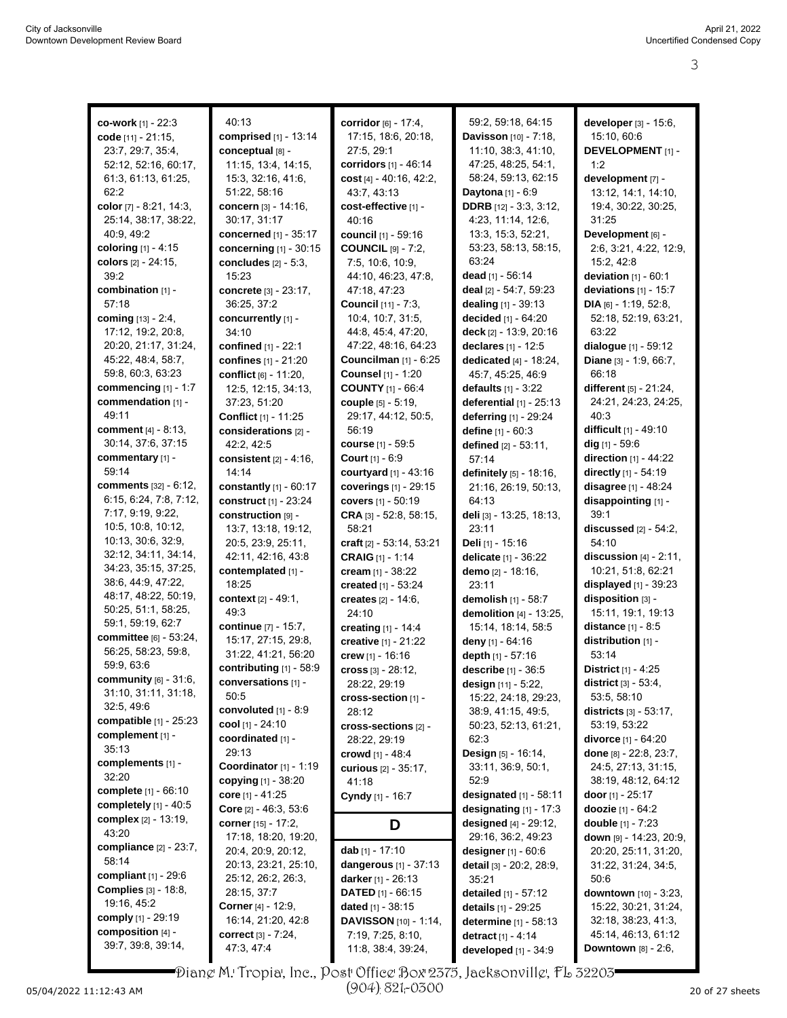| co-work $[1]$ - 22:3            | 40:13                          | corridor [6] - 17:4,       | 59:2, 59:18, 64:15              | developer [3] - 15:6,            |
|---------------------------------|--------------------------------|----------------------------|---------------------------------|----------------------------------|
| code [11] - 21:15.              | comprised [1] - 13:14          | 17:15, 18:6, 20:18,        | Davisson [10] - 7:18,           | 15:10, 60:6                      |
| 23:7, 29:7, 35:4,               | conceptual [8] -               | 27:5.29:1                  | 11:10, 38:3, 41:10,             | <b>DEVELOPMENT</b> [1] -         |
| 52:12, 52:16, 60:17,            | 11:15, 13:4, 14:15,            | corridors [1] - 46:14      | 47:25, 48:25, 54:1,             | 1.2                              |
|                                 |                                |                            | 58:24, 59:13, 62:15             |                                  |
| 61:3, 61:13, 61:25,             | 15:3, 32:16, 41:6,             | cost $[4] - 40:16$ , 42:2, |                                 | development [7] -                |
| 62:2                            | 51:22, 58:16                   | 43:7, 43:13                | Daytona [1] - 6:9               | 13:12, 14:1, 14:10,              |
| color [7] - 8:21, 14:3,         | concern [3] - 14:16,           | cost-effective [1] -       | <b>DDRB</b> [12] - 3:3, 3:12,   | 19:4, 30:22, 30:25,              |
| 25:14, 38:17, 38:22,            | 30:17, 31:17                   | 40:16                      | 4:23, 11:14, 12:6,              | 31:25                            |
| 40.9, 49.2                      | concerned [1] - 35:17          | council [1] - 59:16        | 13.3, 15.3, 52.21,              | Development [6] -                |
| coloring [1] - 4:15             | concerning [1] - 30:15         | <b>COUNCIL</b> [9] - 7:2,  | 53:23, 58:13, 58:15,            | 2:6, 3:21, 4:22, 12:9,           |
| colors [2] - 24:15,             | concludes $[2] - 5:3$ ,        | 7:5, 10:6, 10:9,           | 63:24                           | 15:2, 42:8                       |
| 39:2                            | 15:23                          | 44:10, 46:23, 47:8,        | dead $[1] - 56:14$              | <b>deviation</b> $[1] - 60:1$    |
| combination [1] -               | concrete [3] - 23:17,          | 47:18, 47:23               | deal [2] - 54:7, 59:23          | deviations [1] - 15:7            |
| 57:18                           | 36:25, 37:2                    | Council [11] - 7:3,        | dealing [1] - 39:13             | DIA $[6] - 1.19, 52.8$           |
| coming [13] - 2:4,              | concurrently [1] -             | 10:4, 10:7, 31:5,          | decided [1] - 64:20             | 52:18, 52:19, 63:21,             |
| 17:12, 19:2, 20:8,              | 34:10                          | 44:8, 45:4, 47:20,         | deck [2] - 13:9, 20:16          | 63:22                            |
| 20:20, 21:17, 31:24,            | confined [1] - 22:1            | 47:22, 48:16, 64:23        | declares [1] - 12:5             | dialogue $[1] - 59:12$           |
| 45:22, 48:4, 58:7,              |                                | Councilman $[1]$ - $6:25$  |                                 | <b>Diane</b> $[3] - 1.9, 66.7$ , |
| 59:8, 60:3, 63:23               | confines [1] - 21:20           | Counsel [1] - 1:20         | dedicated $[4] - 18.24$ ,       |                                  |
|                                 | <b>conflict</b> [6] - 11:20,   |                            | 45:7, 45:25, 46:9               | 66:18                            |
| commencing $[1] - 1:7$          | 12:5, 12:15, 34:13,            | <b>COUNTY</b> [1] - 66:4   | <b>defaults</b> $[1] - 3:22$    | different [5] - 21:24,           |
| commendation [1] -              | 37:23, 51:20                   | couple [5] - 5:19,         | deferential $[1]$ - 25:13       | 24:21, 24:23, 24:25,             |
| 49:11                           | Conflict [1] - 11:25           | 29:17, 44:12, 50:5,        | deferring [1] - 29:24           | 40:3                             |
| <b>comment</b> [4] - 8:13,      | considerations [2] -           | 56:19                      | define [1] - 60:3               | difficult [1] - 49:10            |
| 30:14, 37:6, 37:15              | 42:2, 42:5                     | course [1] - 59:5          | defined $[2] - 53:11$ ,         | dig [1] - 59:6                   |
| commentary [1] -                | consistent $[2] - 4:16$ ,      | <b>Court</b> $[1] - 6.9$   | 57:14                           | direction [1] - 44:22            |
| 59:14                           | 14:14                          | courtyard [1] - 43:16      | definitely [5] - 18:16,         | directly [1] - 54:19             |
| comments [32] - 6:12,           | constantly $[1] - 60:17$       | coverings [1] - 29:15      | 21:16, 26:19, 50:13,            | disagree [1] - 48:24             |
| 6:15, 6:24, 7:8, 7:12,          | construct [1] - 23:24          | covers [1] - 50:19         | 64:13                           | disappointing [1] -              |
| 7:17, 9:19, 9:22,               | construction [9] -             | CRA [3] - 52:8, 58:15,     | deli [3] - 13:25, 18:13,        | 39:1                             |
| 10.5, 10.8, 10.12,              | 13:7, 13:18, 19:12,            | 58:21                      | 23:11                           | discussed [2] - 54:2,            |
| 10:13, 30:6, 32:9,              | 20.5, 23.9, 25.11,             | craft $[2] - 53:14, 53:21$ | Deli [1] - 15:16                | 54:10                            |
| 32:12, 34:11, 34:14,            | 42:11, 42:16, 43:8             |                            |                                 |                                  |
| 34:23, 35:15, 37:25,            |                                | <b>CRAIG</b> [1] - 1:14    | delicate [1] - 36:22            | discussion $[4]$ - 2:11,         |
| 38.6, 44.9, 47.22,              | contemplated [1] -             | cream $[1] - 38:22$        | demo [2] - 18:16,               | 10:21, 51:8, 62:21               |
| 48:17, 48:22, 50:19,            | 18:25                          | created [1] - 53:24        | 23:11                           | displayed [1] - 39:23            |
| 50:25, 51:1, 58:25,             | context [2] - 49:1,            | creates [2] - 14:6,        | demolish [1] - 58:7             | disposition [3] -                |
|                                 | 49:3                           | 24:10                      | demolition [4] - 13:25,         | 15:11, 19:1, 19:13               |
| 59:1, 59:19, 62:7               | continue [7] - 15:7.           | creating [1] - 14:4        | 15:14, 18:14, 58:5              | distance [1] - 8:5               |
| <b>committee</b> [6] - 53:24,   | 15:17, 27:15, 29:8,            | creative [1] - 21:22       | deny [1] - 64:16                | distribution [1] -               |
| 56:25, 58:23, 59:8,             | 31:22, 41:21, 56:20            | crew [1] - 16:16           | depth [1] - 57:16               | 53:14                            |
| 59:9, 63:6                      | contributing [1] - 58:9        | cross [3] - 28:12,         | describe [1] - 36:5             | District [1] - 4:25              |
| community [6] - 31:6,           | conversations [1] -            | 28:22, 29:19               | design [11] - 5:22,             | <b>district</b> $[3] - 53.4$ ,   |
| 31:10, 31:11, 31:18,            | 50:5                           | cross-section [1] -        | 15:22, 24:18, 29:23,            | 53:5, 58:10                      |
| 32:5, 49:6                      | convoluted [1] - 8:9           | 28:12                      | 38.9, 41.15, 49.5,              | <b>districts</b> $[3] - 53:17$ , |
| <b>compatible</b> $[1]$ - 25:23 | cool [1] - 24:10               | cross-sections [2] -       | 50:23, 52:13, 61:21,            | 53:19, 53:22                     |
| complement [1] -                | coordinated [1] -              | 28:22, 29:19               | 62:3                            | <b>divorce</b> [1] - 64:20       |
| 35:13                           | 29:13                          | crowd [1] - 48:4           | Design [5] - 16:14,             | done [8] - 22.8, 23.7,           |
| complements [1] -               | Coordinator [1] - 1:19         | curious [2] - 35:17,       | 33:11, 36:9, 50:1,              | 24:5, 27:13, 31:15,              |
| 32:20                           | copying [1] - 38:20            |                            | 52:9                            | 38:19, 48:12, 64:12              |
| complete [1] - 66:10            | core [1] - 41:25               | 41:18                      |                                 | door $[1]$ - 25:17               |
| completely $[1]$ - 40:5         |                                | Cyndy [1] - 16:7           | <b>designated</b> $[1]$ - 58:11 |                                  |
| <b>complex</b> [2] - 13:19,     | <b>Core</b> $[2] - 46:3, 53:6$ |                            | designating $[1]$ - 17:3        | doozie [1] - 64:2                |
| 43:20                           | corner [15] - 17:2,            | D                          | designed [4] - 29:12,           | double [1] - 7:23                |
| compliance $[2] - 23:7$ ,       | 17:18, 18:20, 19:20,           |                            | 29:16, 36:2, 49:23              | down [9] - 14:23, 20:9,          |
|                                 | 20:4, 20:9, 20:12,             | dab [1] - 17:10            | designer $[1] - 60.6$           | 20:20, 25:11, 31:20,             |
| 58:14                           | 20:13, 23:21, 25:10,           | dangerous $[1] - 37:13$    | detail [3] - 20:2, 28:9,        | 31:22, 31:24, 34:5,              |
| compliant $[1]$ - 29:6          | 25:12, 26:2, 26:3,             | darker [1] - 26:13         | 35:21                           | 50:6                             |
| <b>Complies</b> [3] - 18:8,     | 28:15, 37:7                    | <b>DATED</b> $[1]$ - 66:15 | detailed [1] - 57:12            | downtown [10] - 3:23,            |
| 19:16, 45:2                     | <b>Corner</b> [4] - 12:9,      | <b>dated</b> [1] - $38:15$ | details [1] - 29:25             | 15:22, 30:21, 31:24,             |
| <b>comply</b> [1] - 29:19       | 16:14, 21:20, 42:8             | DAVISSON [10] - 1:14,      | determine [1] - 58:13           | 32:18, 38:23, 41:3,              |
| composition [4] -               | <b>correct</b> $[3] - 7:24$ ,  | 7:19, 7:25, 8:10,          | detract [1] - 4:14              | 45:14, 46:13, 61:12              |
| 39.7, 39.8, 39.14,              | 47:3, 47:4                     | 11:8, 38:4, 39:24,         | developed [1] - 34:9            | <b>Downtown</b> $[8] - 2:6$ ,    |
|                                 |                                |                            |                                 |                                  |

Diane M. Tropia, Inc., Post Office Box 2375, Jacksonville, FL 32203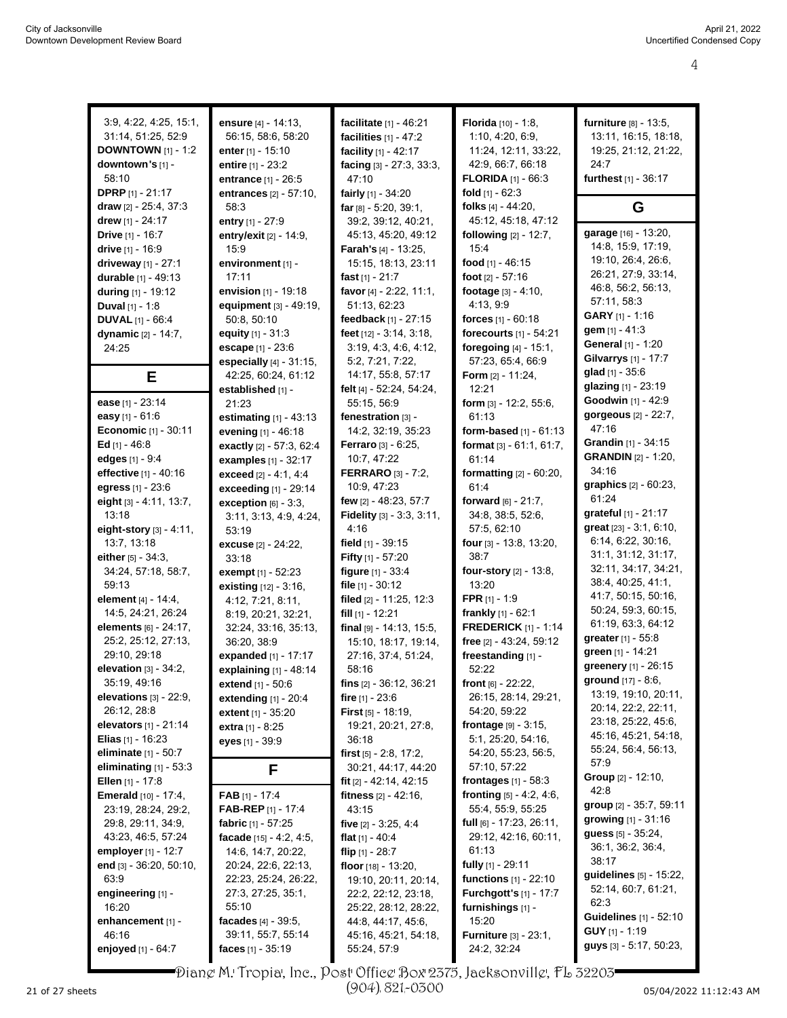| 3:9, 4:22, 4:25, 15:1,                               | ensure [4] - 14:13,                      | facilitate [1] - 46:21                           | Florida [10] - 1:8,                                         | furniture [8] - 13:5,                       |
|------------------------------------------------------|------------------------------------------|--------------------------------------------------|-------------------------------------------------------------|---------------------------------------------|
| 31:14, 51:25, 52:9                                   | 56:15, 58:6, 58:20                       | facilities [1] - 47:2                            | 1:10, 4:20, 6:9,                                            | 13:11, 16:15, 18:18,                        |
| <b>DOWNTOWN</b> [1] - 1:2                            | enter [1] - 15:10                        | facility [1] - 42:17                             | 11:24, 12:11, 33:22,                                        | 19:25, 21:12, 21:22,                        |
| downtown's [1] -                                     | entire $[1] - 23:2$                      | facing $[3] - 27:3, 33:3,$                       | 42:9, 66:7, 66:18                                           | 24:7                                        |
| 58:10                                                | entrance [1] - 26:5                      | 47:10                                            | <b>FLORIDA</b> $[1] - 66.3$                                 | furthest [1] - 36:17                        |
| <b>DPRP</b> $[1] - 21:17$                            | entrances [2] - 57:10,                   | fairly [1] - 34:20                               | fold $[1] - 62:3$                                           |                                             |
| draw $[2] - 25:4, 37:3$                              | 58.3                                     | far $[8] - 5.20, 39.1,$                          | folks $[4] - 44:20$ ,                                       | G                                           |
| drew [1] - 24:17                                     | entry $[1] - 27:9$                       | 39:2, 39:12, 40:21,                              | 45:12, 45:18, 47:12                                         |                                             |
| Drive [1] - 16:7                                     | entry/exit [2] - 14:9,                   | 45:13, 45:20, 49:12                              | following $[2] - 12:7$ ,                                    | garage [16] - 13:20,                        |
| drive [1] - 16:9                                     | 15:9                                     | Farah's [4] - 13:25,                             | 15:4                                                        | 14:8, 15:9, 17:19,                          |
| driveway [1] - 27:1                                  | environment [1] -                        | 15:15, 18:13, 23:11                              | food $[1] - 46.15$                                          | 19:10, 26:4, 26:6,                          |
| durable [1] - 49:13                                  | 17:11                                    | fast $[1] - 21:7$                                | foot $[2] - 57:16$                                          | 26:21, 27:9, 33:14,<br>46:8, 56:2, 56:13,   |
| during [1] - 19:12                                   | envision $[1] - 19:18$                   | favor [4] - 2:22, 11:1,                          | footage $[3] - 4:10$ ,                                      | 57:11, 58:3                                 |
| Duval $[1] - 1.8$                                    | equipment [3] - 49:19,                   | 51:13, 62:23                                     | 4:13, 9:9                                                   | <b>GARY</b> $[1]$ - 1:16                    |
| <b>DUVAL</b> $[1] - 66:4$                            | 50:8, 50:10                              | feedback [1] - 27:15                             | <b>forces</b> $[1] - 60.18$                                 | gem $[1] - 41:3$                            |
| dynamic [2] - 14:7,                                  | equity $[1] - 31.3$                      | feet $[12] - 3:14, 3:18,$                        | forecourts $[1] - 54:21$                                    | General [1] - 1:20                          |
| 24:25                                                | escape [1] - 23:6                        | 3:19, 4:3, 4:6, 4:12,                            | foregoing $[4] - 15:1$ ,                                    | Gilvarrys [1] - 17:7                        |
|                                                      | especially $[4] - 31:15$ ,               | 5.2, 7.21, 7.22,<br>14:17, 55:8, 57:17           | 57:23, 65:4, 66:9<br>Form [2] - 11:24,                      | <b>glad</b> $[1]$ - 35:6                    |
| Е                                                    | 42:25, 60:24, 61:12<br>established [1] - | felt [4] - 52:24, 54:24,                         | 12:21                                                       | glazing [1] - 23:19                         |
| ease [1] - 23:14                                     | 21:23                                    | 55:15, 56:9                                      | form [3] - 12:2, 55:6,                                      | Goodwin [1] - 42:9                          |
| easy [1] - 61:6                                      | estimating $[1]$ - 43:13                 | fenestration [3] -                               | 61:13                                                       | gorgeous [2] - 22:7,                        |
| Economic [1] - 30:11                                 | evening [1] - 46:18                      | 14:2, 32:19, 35:23                               | form-based $[1] - 61:13$                                    | 47:16                                       |
| Ed $[1] - 46.8$                                      | exactly [2] - 57:3, 62:4                 | Ferraro [3] - 6:25,                              | format [3] - 61:1, 61:7,                                    | Grandin [1] - 34:15                         |
| edges [1] - 9:4                                      | examples [1] - 32:17                     | 10:7, 47:22                                      | 61:14                                                       | <b>GRANDIN</b> [2] - 1:20,                  |
| effective [1] - 40:16                                | exceed $[2] - 4.1, 4.4$                  | <b>FERRARO</b> [3] - 7:2,                        | <b>formatting</b> $[2] - 60:20$ ,                           | 34:16                                       |
| egress [1] - 23:6                                    | exceeding [1] - 29:14                    | 10:9, 47:23                                      | 61:4                                                        | graphics $[2] - 60.23$ ,                    |
| eight [3] - 4:11, 13:7,                              | exception $[6]$ - 3:3,                   | few [2] - 48:23, 57:7                            | forward $[6] - 21:7$ ,                                      | 61:24                                       |
| 13:18                                                | 3:11, 3:13, 4:9, 4:24,                   | <b>Fidelity</b> $[3] - 3:3, 3:11,$               | 34:8, 38:5, 52:6,                                           | grateful [1] - 21:17                        |
| eight-story [3] - 4:11,                              | 53:19                                    | 4:16                                             | 57:5, 62:10                                                 | great [23] - 3:1, 6:10,                     |
| 13:7, 13:18                                          | excuse [2] - 24:22,                      | field $[1]$ - 39:15                              | four [3] - 13:8, 13:20,                                     | 6:14, 6:22, 30:16,                          |
| either [5] - 34:3,                                   | 33:18                                    | Fifty [1] - 57:20                                | 38:7                                                        | 31:1, 31:12, 31:17,                         |
| 34:24, 57:18, 58:7,                                  | exempt [1] - 52:23                       | figure [1] - 33:4                                | four-story [2] - 13:8,                                      | 32:11, 34:17, 34:21,                        |
| 59:13                                                | existing [12] - 3:16,                    | file $[1] - 30:12$                               | 13:20                                                       | 38:4, 40:25, 41:1,                          |
| element [4] - 14:4,                                  | 4:12, 7:21, 8:11,                        | filed [2] - 11:25, 12:3                          | <b>FPR</b> $[1] - 1:9$                                      | 41:7, 50:15, 50:16,                         |
| 14.5, 24:21, 26:24                                   | 8:19, 20:21, 32:21,                      | fill $[1]$ - 12:21                               | frankly [1] - 62:1                                          | 50:24, 59:3, 60:15,                         |
| elements [6] - 24:17,                                | 32:24, 33:16, 35:13,                     | final [9] - 14:13, 15:5,                         | <b>FREDERICK [1] - 1:14</b>                                 | 61:19, 63:3, 64:12                          |
| 25:2, 25:12, 27:13,                                  | 36:20, 38.9                              | 15:10, 18:17, 19:14,                             | free [2] - 43:24, 59:12                                     | greater [1] - 55:8                          |
| 29:10, 29:18                                         | expanded [1] - 17:17                     | 27:16, 37:4, 51:24,                              | freestanding [1] -                                          | green [1] - 14:21                           |
| elevation $[3] - 34:2$ ,                             | explaining $[1]$ - 48:14                 | 58:16                                            | 52:22                                                       | greenery [1] - 26:15                        |
| 35:19, 49:16                                         | extend [1] - 50:6                        | fins [2] - 36:12, 36:21                          | front $[6] - 22:22$ ,                                       | ground [17] - 8:6,                          |
| elevations $[3] - 22:9$ ,                            | extending [1] - 20:4                     | fire $[1] - 23.6$                                | 26:15, 28:14, 29:21,                                        | 13:19, 19:10, 20:11,                        |
| 26:12, 28:8                                          | extent [1] - 35:20                       | <b>First</b> $[5] - 18.19$ ,                     | 54:20, 59:22                                                | 20:14, 22:2, 22:11,                         |
| elevators [1] - 21:14                                | extra [1] - 8:25                         | 19:21, 20:21, 27:8,                              | <b>frontage</b> $[9] - 3.15$ ,                              | 23:18, 25:22, 45:6,<br>45:16, 45:21, 54:18, |
| <b>Elias</b> $[1]$ - 16:23                           | eyes [1] - 39:9                          | 36:18                                            | 5.1, 25.20, 54.16,                                          | 55:24, 56:4, 56:13,                         |
| <b>eliminate</b> $[1] - 50:7$                        |                                          | first $[5] - 2.8, 17.2,$                         | 54:20, 55:23, 56:5,                                         | 57:9                                        |
| eliminating $[1]$ - 53:3                             | F                                        | 30:21, 44:17, 44:20                              | 57:10, 57:22                                                | Group [2] - 12:10,                          |
| Ellen $[1] - 17:8$<br><b>Emerald</b> $[10] - 17.4$ , | <b>FAB</b> $[1] - 17:4$                  | fit $[2] - 42.14, 42.15$<br>fitness [2] - 42:16, | frontages $[1]$ - 58:3<br><b>fronting</b> $[5] - 4.2, 4.6,$ | 42:8                                        |
| 23:19, 28:24, 29:2,                                  | <b>FAB-REP</b> [1] - 17:4                | 43:15                                            | 55:4, 55:9, 55:25                                           | group [2] - 35:7, 59:11                     |
| 29:8, 29:11, 34:9,                                   | fabric $[1] - 57:25$                     | five $[2] - 3.25, 4.4$                           | full <sub>[6]</sub> - 17:23, 26:11,                         | growing [1] - 31:16                         |
| 43:23, 46:5, 57:24                                   | facade $[15] - 4:2, 4:5,$                | flat $[1] - 40.4$                                | 29:12, 42:16, 60:11,                                        | quess $[5] - 35:24$ ,                       |
| employer $[1]$ - 12:7                                | 14.6, 14.7, 20.22,                       | flip $[1] - 28:7$                                | 61:13                                                       | 36:1, 36:2, 36:4,                           |
| end $[3] - 36:20, 50:10,$                            | 20:24, 22:6, 22:13,                      | floor [18] - 13:20,                              | fully $[1]$ - 29:11                                         | 38:17                                       |
| 63.9                                                 | 22:23, 25:24, 26:22,                     | 19:10, 20:11, 20:14,                             | functions [1] - 22:10                                       | guidelines [5] - 15:22,                     |
| engineering [1] -                                    | 27:3, 27:25, 35:1,                       | 22:2, 22:12, 23:18,                              | <b>Furchgott's</b> [1] - 17:7                               | 52:14, 60:7, 61:21,                         |
| 16:20                                                | 55:10                                    | 25:22, 28:12, 28:22,                             | furnishings און -                                           | 62:3                                        |
| enhancement [1] -                                    | facades $[4] - 39.5$ ,                   | 44.8, 44.17, 45.6,                               | 15:20                                                       | <b>Guidelines</b> [1] - 52:10               |
| 46:16                                                | 39:11, 55:7, 55:14                       | 45:16, 45:21, 54:18,                             | <b>Furniture</b> [3] - 23:1,                                | GUY [1] - 1:19                              |
| enjoyed [1] - 64:7                                   | faces $[1] - 35:19$                      | 55:24, 57:9                                      | 24:2, 32:24                                                 | guys [3] - 5:17, 50:23,                     |
|                                                      |                                          |                                                  |                                                             |                                             |

Diane M. Tropia, Inc., Post Office Box 2375, Jacksonville, FL 32203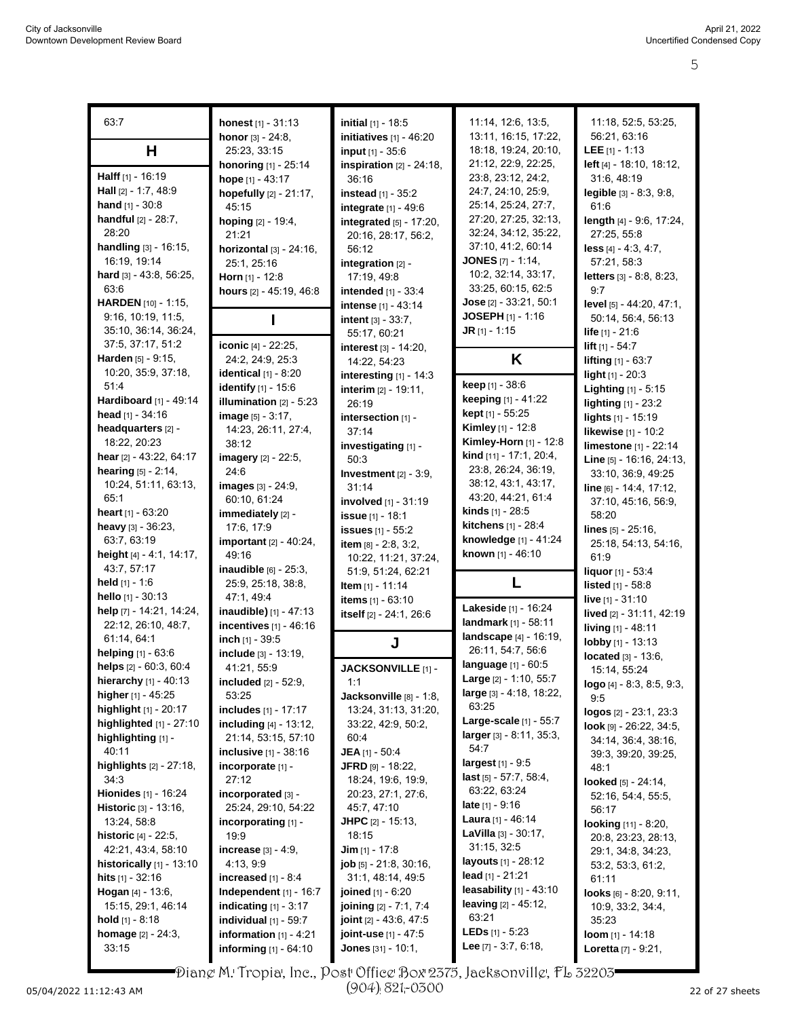| 63:7                                        | honest [1] - 31:13                                      | <b>initial</b> $[1]$ - 18:5     | 11:14, 12:6, 13:5,                            | 11:18, 52:5, 53:25,                              |
|---------------------------------------------|---------------------------------------------------------|---------------------------------|-----------------------------------------------|--------------------------------------------------|
|                                             | honor [3] - 24:8,                                       | initiatives [1] - 46:20         | 13:11, 16:15, 17:22,                          | 56:21, 63:16                                     |
| н                                           | 25:23, 33:15                                            | input [1] - 35:6                | 18:18, 19:24, 20:10,                          | <b>LEE</b> $[1] - 1:13$                          |
|                                             | honoring [1] - 25:14                                    | inspiration $[2] - 24:18$ ,     | 21:12, 22:9, 22:25,                           | left [4] - 18:10, 18:12,                         |
| Halff $[1] - 16:19$                         | hope [1] - 43:17                                        | 36:16                           | 23:8, 23:12, 24:2,                            | 31:6, 48:19                                      |
| <b>Hall</b> $[2] - 1:7, 48.9$               | hopefully [2] - 21:17,                                  | instead $[1] - 35.2$            | 24:7, 24:10, 25:9,                            | legible [3] - 8:3, 9:8,                          |
| hand $[1] - 30.8$                           | 45:15                                                   | integrate [1] - 49:6            | 25:14, 25:24, 27:7,                           | 61:6                                             |
| handful [2] - 28:7,                         | hoping [2] - 19:4,                                      | integrated [5] - 17:20,         | 27:20, 27:25, 32:13,                          | length [4] - 9.6, 17:24,                         |
| 28:20                                       | 21:21                                                   | 20:16, 28:17, 56:2,             | 32:24, 34:12, 35:22,                          | 27:25, 55:8                                      |
| handling [3] - 16:15,                       | horizontal [3] - 24:16,                                 | 56:12                           | 37:10, 41:2, 60:14                            | $less$ [4] - 4:3, 4:7,                           |
| 16:19, 19:14                                | 25:1, 25:16                                             | integration $[2]$ -             | <b>JONES</b> $[7] - 1.14$ ,                   | 57:21, 58:3                                      |
| <b>hard</b> [3] - 43:8, 56:25,              | Horn $[1]$ - 12:8                                       | 17:19, 49:8                     | 10:2, 32:14, 33:17,                           | letters [3] - 8:8, 8:23,                         |
| 63.6                                        | hours [2] - 45:19, 46:8                                 | intended [1] - 33:4             | 33:25, 60:15, 62:5                            | 9:7                                              |
| HARDEN [10] - 1:15,                         |                                                         | <b>intense</b> [1] - 43:14      | Jose [2] - 33:21, 50:1                        | level [5] - 44:20, 47:1,                         |
| 9:16, 10:19, 11:5,                          |                                                         | <b>intent</b> $[3] - 33:7$ ,    | <b>JOSEPH</b> $[1] - 1.16$                    | 50:14, 56:4, 56:13                               |
| 35:10, 36:14, 36:24,<br>37:5, 37:17, 51:2   |                                                         | 55:17, 60:21                    | <b>JR</b> $[1] - 1:15$                        | <b>life</b> $[1] - 21:6$                         |
| Harden [5] - 9:15,                          | iconic [4] - 22:25,<br>24:2, 24:9, 25:3                 | interest [3] - 14:20,           | K                                             | <b>lift</b> $[1] - 54:7$                         |
| 10:20, 35:9, 37:18,                         |                                                         | 14:22, 54:23                    |                                               | <b>lifting</b> $[1] - 63:7$                      |
| 51.4                                        | <b>identical</b> $[1] - 8:20$                           | interesting [1] - 14:3          | keep [1] - 38:6                               | light [1] - 20:3                                 |
| Hardiboard [1] - 49:14                      | <b>identify</b> [1] - 15:6<br>illumination $[2] - 5:23$ | interim $[2] - 19:11$ ,         | keeping [1] - 41:22                           | Lighting [1] - 5:15                              |
| <b>head</b> $[1] - 34:16$                   | <b>image</b> $[5] - 3:17$ ,                             | 26:19                           | kept [1] - 55:25                              | <b>lighting</b> [1] - 23:2<br>lights [1] - 15:19 |
| headquarters [2] -                          | 14:23, 26:11, 27:4,                                     | intersection [1] -<br>37:14     | <b>Kimley</b> [1] - 12:8                      | <b>likewise</b> [1] - 10:2                       |
| 18:22, 20:23                                | 38:12                                                   | investigating [1] -             | Kimley-Horn [1] - 12:8                        | limestone [1] - 22:14                            |
| hear [2] - 43.22, 64:17                     | imagery [2] - 22:5,                                     | 50:3                            | kind [11] - 17:1, 20:4,                       | Line [5] - 16:16, 24:13,                         |
| hearing [5] - 2:14,                         | 24:6                                                    | Investment $[2] - 3.9$ ,        | 23.8, 26.24, 36:19,                           | 33:10, 36:9, 49:25                               |
| 10:24, 51:11, 63:13,                        | images [3] - 24:9,                                      | 31:14                           | 38:12, 43:1, 43:17,                           | line [6] - 14:4, 17:12,                          |
| 65:1                                        | 60:10, 61:24                                            | involved [1] - 31:19            | 43:20, 44:21, 61:4                            | 37:10, 45:16, 56:9,                              |
| <b>heart</b> $[1] - 63.20$                  | immediately [2] -                                       | issue [1] - 18:1                | <b>kinds</b> $[1]$ - 28:5                     | 58:20                                            |
| heavy $[3] - 36:23$ ,                       | 17:6, 17:9                                              | <b>issues</b> [1] - 55:2        | kitchens [1] - 28:4                           | lines $[5] - 25:16$ ,                            |
| 63:7, 63:19                                 | important [2] - 40:24,                                  | item [8] - 2:8, 3:2,            | knowledge [1] - 41:24                         | 25:18, 54:13, 54:16,                             |
| height [4] - 4:1, 14:17,                    | 49:16                                                   | 10:22, 11:21, 37:24,            | known [1] - 46:10                             | 61.9                                             |
| 43:7, 57:17                                 | inaudible $[6]$ - $25:3$ ,                              | 51:9, 51:24, 62:21              |                                               | liquor [1] - 53:4                                |
| held $[1] - 1.6$                            | 25.9, 25.18, 38.8,                                      | <b>Item</b> [1] - 11:14         |                                               | <b>listed</b> $[1] - 58.8$                       |
| hello [1] - 30:13                           | 47:1, 49:4                                              | items [1] - 63:10               |                                               | live [1] - 31:10                                 |
| help [7] - 14:21, 14:24,                    | inaudible) [1] - 47:13                                  | itself [2] - 24:1, 26:6         | Lakeside [1] - 16:24                          | lived [2] - 31:11, 42:19                         |
| 22:12, 26:10, 48:7,                         | incentives [1] - 46:16                                  |                                 | landmark [1] - 58:11                          | living [1] - 48:11                               |
| 61:14, 64:1                                 | inch [1] - 39:5                                         | J                               | landscape [4] - 16:19,<br>26:11, 54:7, 56:6   | lobby [1] - 13:13                                |
| helping [1] - 63:6                          | include [3] - 13:19,                                    |                                 |                                               | located [3] - 13:6,                              |
| helps [2] - 60:3, 60:4                      | 41:21, 55.9                                             | JACKSONVILLE [1] -              | language [1] - 60:5<br>Large [2] - 1:10, 55:7 | 15:14, 55:24                                     |
| hierarchy [1] - 40:13                       | <b>included</b> $[2] - 52.9$ ,                          | 1:1                             | large [3] - 4:18, 18:22,                      | $logo$ [4] - 8:3, 8:5, 9:3,                      |
| higher [1] - 45:25<br>highlight [1] - 20:17 | 53:25                                                   | Jacksonville [8] - 1:8,         | 63:25                                         | 9:5                                              |
| highlighted [1] - 27:10                     | includes [1] - 17:17<br>including [4] - 13:12,          | 13:24, 31:13, 31:20,            | Large-scale [1] - 55:7                        | logos [2] - 23:1, 23:3                           |
| highlighting [1] -                          | 21:14, 53:15, 57:10                                     | 33:22, 42:9, 50:2,<br>60:4      | $larger[3] - 8.11, 35.3,$                     | look [9] - 26:22, 34:5,                          |
| 40:11                                       | <b>inclusive</b> $[1]$ - 38:16                          | <b>JEA</b> [1] - 50:4           | 54:7                                          | 34:14, 36:4, 38:16,                              |
| <b>highlights</b> $[2] - 27:18$ ,           | incorporate [1] -                                       | JFRD [9] - 18:22,               | largest [1] - 9:5                             | 39:3, 39:20, 39:25,<br>48:1                      |
| 34:3                                        | 27:12                                                   | 18:24, 19:6, 19:9,              | last $[5] - 57:7, 58:4,$                      | looked [5] - 24:14,                              |
| Hionides [1] - 16:24                        | incorporated [3] -                                      | 20:23, 27:1, 27:6,              | 63.22, 63.24                                  | 52:16, 54:4, 55:5,                               |
| Historic [3] - 13:16,                       | 25:24, 29:10, 54:22                                     | 45:7, 47:10                     | <b>late</b> $[1] - 9.16$                      | 56:17                                            |
| 13:24, 58:8                                 | incorporating [1] -                                     | <b>JHPC</b> $[2] - 15:13$ ,     | <b>Laura</b> [1] - 46:14                      | looking [11] - 8:20,                             |
| <b>historic</b> $[4] - 22:5$ ,              | 19:9                                                    | 18:15                           | <b>LaVilla</b> $[3] - 30:17$ ,                | 20:8, 23:23, 28:13,                              |
| 42:21, 43:4, 58:10                          | <b>increase</b> $[3] - 4.9$ ,                           | <b>Jim</b> $[1]$ - 17:8         | 31:15, 32:5                                   | 29:1, 34:8, 34:23,                               |
| historically $[1]$ - 13:10                  | 4:13, 9:9                                               | job [5] - 21:8, 30:16,          | <b>layouts</b> [1] - 28:12                    | 53:2, 53:3, 61:2,                                |
| <b>hits</b> $[1] - 32.16$                   | increased $[1] - 8.4$                                   | 31:1, 48:14, 49:5               | lead $[1] - 21:21$                            | 61:11                                            |
| <b>Hogan</b> $[4] - 13:6$ ,                 | Independent $[1]$ - 16:7                                | joined [1] - 6:20               | leasability $[1]$ - 43:10                     | looks $[6] - 8:20, 9:11,$                        |
| 15:15, 29:1, 46:14                          | indicating $[1] - 3:17$                                 | joining [2] - 7:1, 7:4          | <b>leaving</b> $[2] - 45:12$ ,                | 10:9, 33:2, 34:4,                                |
| <b>hold</b> $[1]$ - 8:18                    | individual $[1]$ - 59:7                                 | <b>joint</b> $[2] - 43.6, 47.5$ | 63:21                                         | 35:23                                            |
| <b>homage</b> $[2] - 24:3$ ,                | information $[1] - 4:21$                                | joint-use [1] - 47:5            | <b>LEDs</b> $[1] - 5:23$                      | loom [1] - 14:18                                 |
| 33:15                                       | informing [1] - 64:10                                   | <b>Jones</b> $[31] - 10:1$ ,    | Lee $[7] - 3.7, 6.18,$                        | <b>Loretta</b> [7] - 9:21,                       |

Diane M. Tropia, Inc., Post Office Box 2375, Jacksonville, FL 32203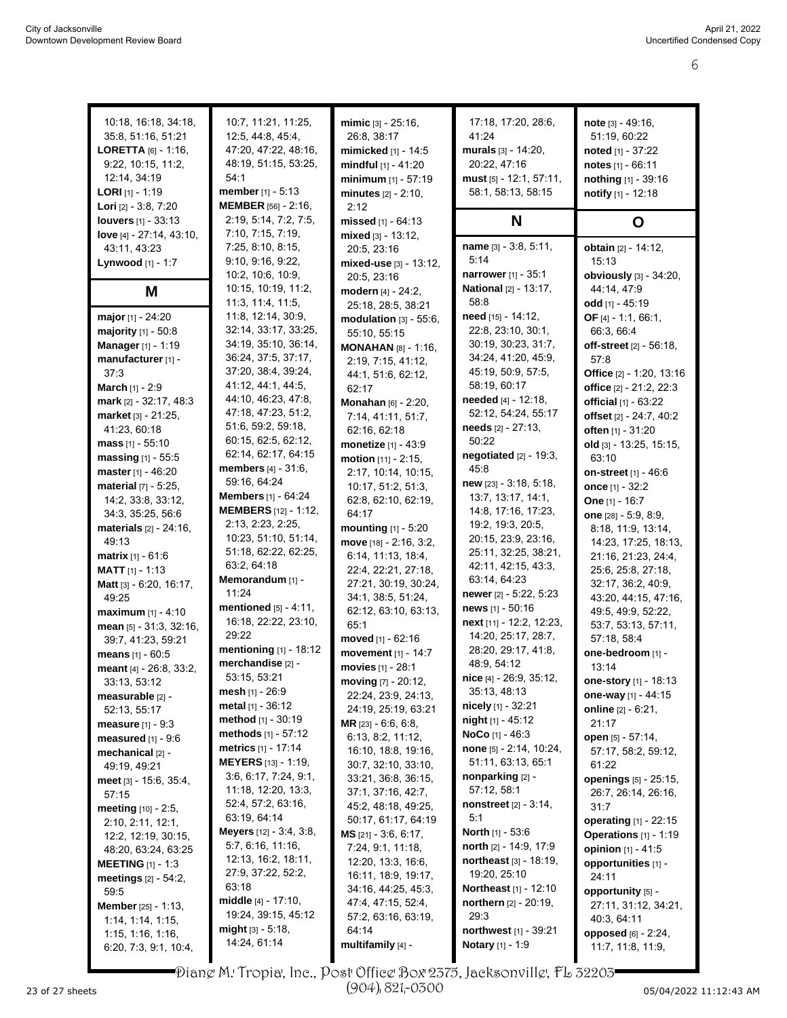| 10:18, 16:18, 34:18,              | 10:7, 11:21, 11:25,              | mimic [3] - 25:16,                         | 17:18, 17:20, 28:6,              | note $[3] - 49.16$ ,           |
|-----------------------------------|----------------------------------|--------------------------------------------|----------------------------------|--------------------------------|
| 35.8, 51.16, 51.21                | 12:5, 44:8, 45:4,                | 26:8, 38:17                                | 41:24                            | 51:19, 60:22                   |
| <b>LORETTA</b> $[6] - 1:16$ ,     | 47:20, 47:22, 48:16,             | mimicked [1] - 14:5                        | murals $[3] - 14:20$ ,           | noted $[1] - 37:22$            |
| 9.22, 10.15, 11.2,                | 48:19, 51:15, 53:25,             | mindful $[1] - 41:20$                      | 20:22, 47:16                     | notes $[1] - 66:11$            |
| 12:14, 34:19                      | 54:1                             | minimum $[1] - 57:19$                      | must [5] - 12:1, 57:11,          | nothing [1] - 39:16            |
| <b>LORI</b> $[1]$ - 1:19          | <b>member</b> $[1] - 5:13$       | $minutes_{[2]} - 2:10$ ,                   | 58:1, 58:13, 58:15               | notify [1] - 12:18             |
| <b>Lori</b> $[2] - 3.8, 7.20$     | <b>MEMBER</b> [56] - 2:16,       | 2:12                                       |                                  |                                |
| <b>louvers</b> [1] - 33:13        | 2:19, 5:14, 7:2, 7:5,            |                                            |                                  |                                |
|                                   | 7:10, 7:15, 7:19,                | missed $[1] - 64:13$                       | N                                | O                              |
| <b>love</b> $[4] - 27:14, 43:10,$ | 7:25, 8:10, 8:15,                | mixed $[3] - 13:12$ ,                      | name [3] - 3:8, 5:11,            | obtain [2] - 14:12,            |
| 43:11, 43:23                      | 9:10, 9:16, 9:22,                | 20:5, 23:16                                | 5:14                             | 15:13                          |
| Lynwood [1] - 1:7                 |                                  | mixed-use [3] - 13:12,                     | narrower [1] - 35:1              |                                |
|                                   | 10:2, 10:6, 10:9,                | 20:5, 23:16                                |                                  | obviously [3] - 34:20,         |
| Μ                                 | 10:15, 10:19, 11:2,              | modern [4] - 24:2,                         | <b>National</b> [2] - 13:17,     | 44:14, 47:9                    |
|                                   | 11.3, 11.4, 11.5,                | 25:18, 28:5, 38:21                         | 58:8                             | odd [1] - 45:19                |
| major [1] - 24:20                 | 11:8, 12:14, 30:9,               | modulation $[3] - 55:6$ ,                  | need [15] - 14:12,               | OF [4] - 1:1, 66:1,            |
| <b>majority</b> $[1] - 50.8$      | 32:14, 33:17, 33:25,             | 55:10, 55:15                               | 22:8, 23:10, 30:1,               | 66:3, 66:4                     |
| Manager [1] - 1:19                | 34:19, 35:10, 36:14,             | <b>MONAHAN</b> [8] - 1:16,                 | 30:19, 30:23, 31:7,              | off-street [2] - 56:18,        |
| manufacturer [1] -                | 36:24, 37:5, 37:17,              | 2:19, 7:15, 41:12,                         | 34:24, 41:20, 45:9,              | 57:8                           |
| 37:3                              | 37:20, 38:4, 39:24,              | 44:1, 51:6, 62:12,                         | 45:19, 50:9, 57:5,               | Office [2] - 1:20, 13:16       |
| <b>March</b> [1] - 2:9            | 41:12, 44:1, 44:5,               | 62:17                                      | 58:19, 60:17                     | office [2] - 21:2, 22:3        |
| mark [2] - 32:17, 48:3            | 44:10, 46:23, 47:8,              | Monahan [6] - 2:20,                        | needed [4] - 12:18,              | official [1] - 63:22           |
| market [3] - 21:25.               | 47:18, 47:23, 51:2,              | 7:14, 41:11, 51:7,                         | 52:12, 54:24, 55:17              | offset [2] - 24:7, 40:2        |
| 41:23, 60:18                      | 51:6, 59:2, 59:18,               | 62:16, 62:18                               | <b>needs</b> $[2] - 27:13$ ,     | often [1] - 31:20              |
| <b>mass</b> $[1] - 55:10$         | 60:15, 62:5, 62:12,              | monetize [1] - 43:9                        | 50:22                            | old [3] - 13:25, 15:15,        |
| massing $[1] - 55.5$              | 62:14, 62:17, 64:15              | motion $[11] - 2:15$ ,                     | negotiated $[2] - 19:3$ ,        | 63:10                          |
| master [1] - 46:20                | <b>members</b> $[4] - 31:6$ ,    | 2:17, 10:14, 10:15,                        | 45:8                             | <b>on-street</b> $[1]$ - 46:6  |
| material [7] - 5:25,              | 59:16, 64:24                     | 10:17, 51:2, 51:3,                         | new [23] - 3:18, 5:18,           | once [1] - 32:2                |
| 14:2, 33:8, 33:12,                | <b>Members</b> [1] - 64:24       | 62:8, 62:10, 62:19,                        | 13:7, 13:17, 14:1,               | One $[1] - 16:7$               |
| 34:3, 35:25, 56:6                 | <b>MEMBERS</b> [12] - 1:12,      | 64:17                                      | 14.8, 17.16, 17:23,              | one $[28] - 5.9, 8.9,$         |
| materials [2] - 24:16,            | 2:13, 2:23, 2:25,                | mounting $[1]$ - 5:20                      | 19:2, 19:3, 20:5,                | 8:18, 11:9, 13:14,             |
| 49:13                             | 10:23, 51:10, 51:14,             | move [18] - 2:16, 3:2,                     | 20:15, 23:9, 23:16,              | 14:23, 17:25, 18:13,           |
| matrix [1] - 61:6                 | 51:18, 62:22, 62:25,             | 6:14, 11:13, 18:4,                         | 25:11, 32:25, 38:21,             | 21:16, 21:23, 24:4,            |
| <b>MATT</b> $[1] - 1:13$          | 63:2, 64:18                      | 22:4, 22:21, 27:18,                        | 42:11, 42:15, 43:3,              | 25:6, 25:8, 27:18,             |
| Matt [3] - 6:20, 16:17,           | Memorandum [1] -                 | 27:21, 30:19, 30:24,                       | 63.14, 64.23                     | 32:17, 36:2, 40:9,             |
| 49:25                             | 11:24                            | 34:1, 38:5, 51:24,                         | newer [2] - 5:22, 5:23           | 43:20, 44:15, 47:16,           |
| maximum $[1] - 4.10$              | mentioned [5] - 4:11,            | 62:12, 63:10, 63:13,                       | news $[1] - 50.16$               | 49:5, 49:9, 52:22,             |
| mean [5] - 31:3, 32:16,           | 16:18, 22:22, 23:10,             | 65:1                                       | next [11] - 12:2, 12:23,         | 53:7, 53:13, 57:11,            |
| 39:7, 41:23, 59:21                | 29:22                            | moved [1] - 62:16                          | 14:20, 25:17, 28:7,              | 57:18, 58:4                    |
| means $[1] - 60:5$                | mentioning [1] - 18:12           | movement [1] - 14:7                        | 28:20, 29:17, 41:8,              | one-bedroom [1] -              |
| meant [4] - 26:8, 33:2,           | merchandise [2] -                | movies [1] - 28:1                          | 48:9, 54:12                      | 13:14                          |
| 33:13, 53:12                      | 53:15, 53:21                     | moving [7] - 20:12,                        | nice [4] - 26:9, 35:12,          | one-story [1] - 18:13          |
|                                   | <b>mesh</b> $[1] - 26.9$         | 22:24, 23:9, 24:13,                        | 35:13, 48:13                     | one-way [1] - 44:15            |
| measurable [2] -<br>52:13, 55:17  | metal $[1] - 36.12$              | 24:19, 25:19, 63:21                        | nicely [1] - 32:21               | <b>online</b> [2] - 6:21,      |
|                                   | method [1] - 30:19               | <b>MR</b> $[23] - 6.6, 6.8$                | <b>night</b> $[1] - 45:12$       | 21:17                          |
| <b>measure</b> $[1] - 9:3$        | methods [1] - 57:12              | 6:13, 8:2, 11:12,                          | <b>NoCo</b> [1] - 46:3           | open [5] - 57:14,              |
| measured $[1]$ - $9.6$            | metrics [1] - 17:14              | 16:10, 18:8, 19:16,                        | none [5] - 2:14, 10:24,          | 57:17, 58:2, 59:12,            |
| mechanical [2] -                  | <b>MEYERS</b> [13] - 1:19,       | 30:7, 32:10, 33:10,                        | 51:11, 63:13, 65:1               | 61:22                          |
| 49:19, 49:21                      | 3.6, 6.17, 7.24, 9.1,            | 33:21, 36:8, 36:15,                        | nonparking [2] -                 |                                |
| meet $[3] - 15.6, 35.4,$          | 11:18, 12:20, 13:3,              | 37:1, 37:16, 42:7,                         | 57:12, 58:1                      | openings [5] - 25:15,          |
| 57:15                             | 52.4, 57.2, 63.16,               |                                            | <b>nonstreet</b> [2] - 3:14,     | 26:7, 26:14, 26:16,            |
| <b>meeting</b> [10] - 2:5,        | 63:19, 64:14                     | 45.2, 48.18, 49.25,<br>50:17, 61:17, 64:19 | 5:1                              | 31:7                           |
| 2:10, 2:11, 12:1,                 | <b>Meyers</b> $[12] - 3.4, 3.8,$ | MS [21] - 3:6, 6:17,                       | North [1] - 53:6                 | <b>operating</b> $[1] - 22:15$ |
| 12:2, 12:19, 30:15,               | 5:7, 6:16, 11:16,                |                                            | north [2] - 14:9, 17:9           | Operations [1] - 1:19          |
| 48:20, 63:24, 63:25               | 12:13, 16:2, 18:11,              | 7:24, 9:1, 11:18,                          |                                  | opinion $[1] - 41.5$           |
| <b>MEETING</b> $[1] - 1:3$        | 27.9, 37.22, 52.2,               | 12:20, 13:3, 16:6,                         | <b>northeast</b> $[3] - 18:19$ , | opportunities [1] -            |
| meetings $[2] - 54:2$ ,           | 63:18                            | 16:11, 18:9, 19:17,                        | 19:20, 25:10                     | 24:11                          |
| 59:5                              | middle $[4] - 17:10$ ,           | 34:16, 44:25, 45:3,                        | <b>Northeast</b> [1] - 12:10     | opportunity [5] -              |
| <b>Member</b> [25] - 1:13,        | 19:24, 39:15, 45:12              | 47:4, 47:15, 52:4,                         | northern [2] - 20:19,            | 27:11, 31:12, 34:21,           |
| 1:14, 1:14, 1:15,                 |                                  | 57:2, 63:16, 63:19,                        | 29:3                             | 40:3, 64:11                    |
| 1:15, 1:16, 1:16,                 | <b>might</b> $[3] - 5:18$ ,      | 64:14                                      | northwest [1] - 39:21            | opposed [6] - 2:24,            |
| 6:20, 7:3, 9:1, 10:4,             | 14:24, 61:14                     | multifamily [4] -                          | Notary [1] - 1:9                 | 11:7, 11:8, 11:9,              |

Diane M. Tropia, Inc., Post Office Box 2375, Jacksonville, FL 32203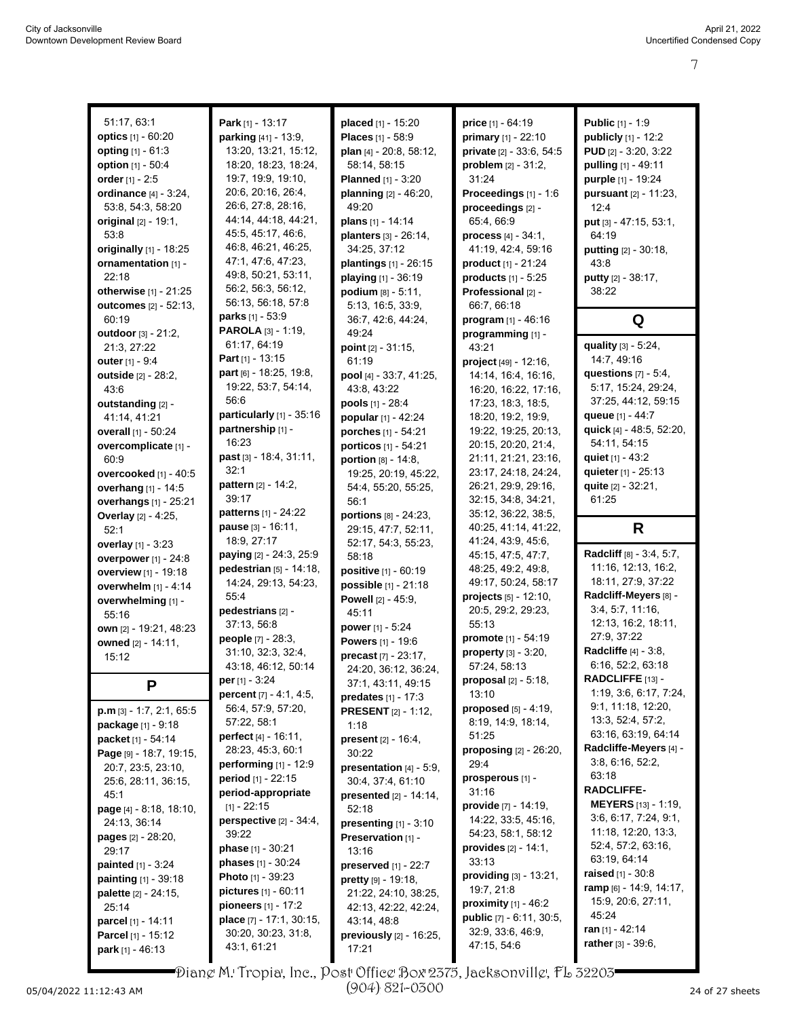| 51:17, 63:1                            | Park [1] - 13:17                   | placed [1] - 15:20            | price [1] - 64:19                | <b>Public</b> [1] - 1:9                 |
|----------------------------------------|------------------------------------|-------------------------------|----------------------------------|-----------------------------------------|
| optics [1] - 60:20                     | parking [41] - 13:9,               | Places [1] - 58:9             | primary [1] - 22:10              | publicly [1] - 12:2                     |
| <b>opting</b> $[1] - 61:3$             | 13:20, 13:21, 15:12,               | plan [4] - 20:8, 58:12,       | private [2] - 33:6, 54:5         | <b>PUD</b> [2] - 3:20, 3:22             |
| option [1] - 50:4                      | 18:20, 18:23, 18:24,               | 58:14, 58:15                  | problem $[2] - 31:2$ ,           | pulling [1] - 49:11                     |
| order [1] - 2:5                        | 19:7, 19:9, 19:10,                 | <b>Planned</b> [1] - 3:20     | 31:24                            | purple [1] - 19:24                      |
| ordinance [4] - 3:24,                  | 20:6, 20:16, 26:4,                 | planning $[2] - 46:20$ ,      | Proceedings [1] - 1:6            | pursuant [2] - 11:23,                   |
|                                        | 26:6, 27:8, 28:16,                 | 49:20                         |                                  |                                         |
| 53:8, 54:3, 58:20                      | 44:14, 44:18, 44:21,               |                               | proceedings [2] -                | 12:4                                    |
| original [2] - 19:1,                   | 45.5, 45.17, 46.6,                 | plans [1] - 14:14             | 65:4, 66:9                       | put [3] - 47:15, 53:1,                  |
| 53:8                                   | 46.8, 46.21, 46:25,                | planters [3] - 26:14,         | <b>process</b> $[4] - 34:1$ ,    | 64:19                                   |
| originally [1] - 18:25                 | 47:1, 47:6, 47:23,                 | 34:25, 37:12                  | 41:19, 42:4, 59:16               | putting [2] - 30:18,                    |
| ornamentation [1] -                    | 49.8, 50.21, 53:11,                | plantings [1] - 26:15         | product [1] - 21:24              | 43:8                                    |
| 22:18                                  | 56:2, 56:3, 56:12,                 | playing [1] - 36:19           | products $[1]$ - 5:25            | putty [2] - 38:17,                      |
| otherwise [1] - 21:25                  | 56:13, 56:18, 57:8                 | podium [8] - 5:11,            | Professional [2] -               | 38:22                                   |
| outcomes [2] - 52:13,                  | <b>parks</b> $[1] - 53.9$          | 5:13, 16:5, 33:9,             | 66:7, 66:18                      |                                         |
| 60:19                                  | PAROLA [3] - 1:19,                 | 36:7, 42:6, 44:24,            | program [1] - 46:16              | Q                                       |
| outdoor [3] - 21:2,                    | 61:17, 64:19                       | 49:24                         | programming [1] -                | quality [3] - 5:24,                     |
| 21:3, 27:22                            | Part $[1]$ - 13:15                 | point [2] - 31:15,            | 43:21                            | 14:7, 49:16                             |
| outer [1] - 9:4                        | part [6] - 18:25, 19:8,            | 61:19                         | project [49] - 12:16,            |                                         |
| outside [2] - 28:2,                    |                                    | pool [4] - 33:7, 41:25,       | 14:14, 16:4, 16:16,              | questions $[7] - 5.4$ ,                 |
| 43.6                                   | 19:22, 53:7, 54:14,<br>56:6        | 43:8, 43:22                   | 16:20, 16:22, 17:16,             | 5:17, 15:24, 29:24,                     |
| outstanding [2] -                      |                                    | pools [1] - 28:4              | 17:23, 18:3, 18:5,               | 37:25, 44:12, 59:15                     |
| 41:14, 41:21                           | particularly [1] - 35:16           | popular [1] - 42:24           | 18:20, 19:2, 19:9,               | queue [1] - 44:7                        |
| overall [1] - 50:24                    | partnership [1] -                  | porches [1] - 54:21           | 19:22, 19:25, 20:13,             | quick [4] - 48:5, 52:20,                |
| overcomplicate [1] -                   | 16:23                              | porticos [1] - 54:21          | 20:15, 20:20, 21:4,              | 54:11, 54:15                            |
| 60:9                                   | past [3] - 18:4, 31:11,            | portion [8] - 14:8,           | 21:11, 21:21, 23:16,             | quiet [1] - 43:2                        |
| overcooked [1] - 40:5                  | 32:1                               | 19:25, 20:19, 45:22,          | 23:17, 24:18, 24:24,             | quieter [1] - 25:13                     |
| overhang [1] - 14:5                    | <b>pattern</b> [2] - 14:2,         | 54:4, 55:20, 55:25,           | 26:21, 29:9, 29:16,              | quite [2] - 32:21,                      |
| overhangs [1] - 25:21                  | 39:17                              | 56:1                          | 32:15, 34:8, 34:21,              | 61:25                                   |
| <b>Overlay</b> [2] - 4:25,             | patterns [1] - 24:22               | portions $[8] - 24.23$ ,      | 35:12, 36:22, 38:5,              |                                         |
| 52:1                                   | pause [3] - 16:11,                 | 29:15, 47:7, 52:11,           | 40:25, 41:14, 41:22,             | R                                       |
|                                        |                                    |                               |                                  |                                         |
| overlay [1] - 3:23                     | 18:9, 27:17                        | 52:17, 54:3, 55:23,           | 41:24, 43:9, 45:6,               |                                         |
| overpower [1] - 24:8                   | paying [2] - 24:3, 25:9            | 58:18                         | 45:15, 47:5, 47:7,               | Radcliff [8] - 3:4, 5:7,                |
| overview [1] - 19:18                   | pedestrian [5] - 14:18,            | positive [1] - 60:19          | 48:25, 49:2, 49:8,               | 11:16, 12:13, 16:2,                     |
| overwhelm [1] - 4:14                   | 14:24, 29:13, 54:23,               | possible [1] - 21:18          | 49:17, 50:24, 58:17              | 18:11, 27:9, 37:22                      |
| overwhelming [1] -                     | 55.4                               | <b>Powell</b> $[2] - 45:9$ ,  | projects $[5] - 12:10$ ,         | Radcliff-Meyers [8] -                   |
| 55:16                                  | pedestrians [2] -                  | 45:11                         | 20:5, 29:2, 29:23,               | 3:4, 5:7, 11:16                         |
| own [2] - 19:21, 48:23                 | 37:13, 56:8                        | power [1] - 5:24              | 55:13                            | 12:13, 16:2, 18:11,                     |
| owned [2] - 14:11,                     | people [7] - 28:3,                 | <b>Powers</b> [1] - 19:6      | promote [1] - 54:19              | 27:9, 37:22                             |
| 15:12                                  | 31:10, 32:3, 32:4,                 | precast [7] - 23:17,          | property [3] - 3:20,             | <b>Radcliffe</b> [4] - 3:8,             |
|                                        | 43:18, 46:12, 50:14                | 24:20, 36:12, 36:24,          | 57:24, 58:13                     | 6:16, 52:2, 63:18                       |
| P                                      | per [1] - 3:24                     | 37:1, 43:11, 49:15            | <b>proposal</b> $[2]$ - 5:18,    | <b>RADCLIFFE</b> $[13] -$               |
|                                        | percent [7] - 4:1, 4:5,            | <b>predates</b> $[1] - 17:3$  | 13:10                            | 1:19, 3:6, 6:17, 7:24,                  |
| $p.m$ [3] - 1:7, 2:1, 65:5             | 56.4, 57.9, 57.20,                 | <b>PRESENT</b> [2] - 1:12,    | proposed [5] - 4:19,             | 9:1, 11:18, 12:20,                      |
| package [1] - 9:18                     | 57:22, 58:1                        | 1:18                          | 8.19, 14.9, 18.14,               | 13.3, 52.4, 57.2,                       |
| packet [1] - 54:14                     | <b>perfect</b> $[4] - 16:11$ ,     | <b>present</b> $[2] - 16:4$ , | 51:25                            | 63:16, 63:19, 64:14                     |
| Page [9] - 18:7, 19:15,                | 28:23, 45:3, 60:1                  | 30:22                         | proposing [2] - 26:20,           | Radcliffe-Meyers [4] -                  |
| 20:7, 23:5, 23:10,                     | performing $[1]$ - 12:9            | presentation $[4] - 5.9$ ,    | 29:4                             | 3:8, 6:16, 52:2,                        |
| 25:6, 28:11, 36:15,                    | <b>period</b> $[1]$ - 22:15        | 30:4, 37:4, 61:10             | prosperous [1] -                 | 63:18                                   |
| 45:1                                   | period-appropriate                 | presented [2] - 14:14,        | 31:16                            | <b>RADCLIFFE-</b>                       |
| page [4] - 8:18, 18:10,                | $[1] - 22:15$                      | 52:18                         | provide [7] - 14:19,             | MEYERS [13] - 1:19,                     |
| 24:13, 36:14                           | perspective $[2] - 34:4$ ,         | presenting $[1]$ - 3:10       | 14:22, 33:5, 45:16,              | 3.6, 6.17, 7.24, 9.1,                   |
| pages [2] - 28:20,                     | 39:22                              | Preservation [1] -            | 54:23, 58:1, 58:12               | 11:18, 12:20, 13:3,                     |
| 29:17                                  | <b>phase</b> $[1] - 30:21$         | 13:16                         | <b>provides</b> $[2] - 14.1$ ,   | 52:4, 57:2, 63:16,                      |
| <b>painted</b> $[1] - 3:24$            | <b>phases</b> $[1] - 30.24$        | preserved [1] - 22:7          | 33:13                            | 63.19, 64.14                            |
| painting [1] - 39:18                   | <b>Photo</b> $[1]$ - 39:23         | <b>pretty</b> $[9] - 19.18$ , | providing [3] - 13:21,           | <b>raised</b> $[1] - 30.8$              |
| palette [2] - 24:15,                   | <b>pictures</b> $[1] - 60:11$      | 21:22, 24:10, 38:25,          | 19:7, 21:8                       | ramp [6] - 14:9, 14:17,                 |
| 25:14                                  | <b>pioneers</b> $[1] - 17:2$       | 42:13, 42:22, 42:24,          | proximity $[1]$ - 46:2           | 15:9, 20:6, 27:11,                      |
| parcel [1] - 14:11                     | <b>place</b> $[7] - 17:1$ , 30:15, | 43:14, 48:8                   | public [7] - 6:11, 30:5,         | 45:24                                   |
| Parcel [1] - 15:12<br>park [1] - 46:13 | 30:20, 30:23, 31:8,<br>43:1, 61:21 | previously [2] - 16:25,       | 32:9, 33:6, 46:9,<br>47:15, 54:6 | ran $[1] - 42.14$<br>rather [3] - 39:6, |

Diane M. Tropia, Inc., Post Office Box 2375, Jacksonville, FL 32203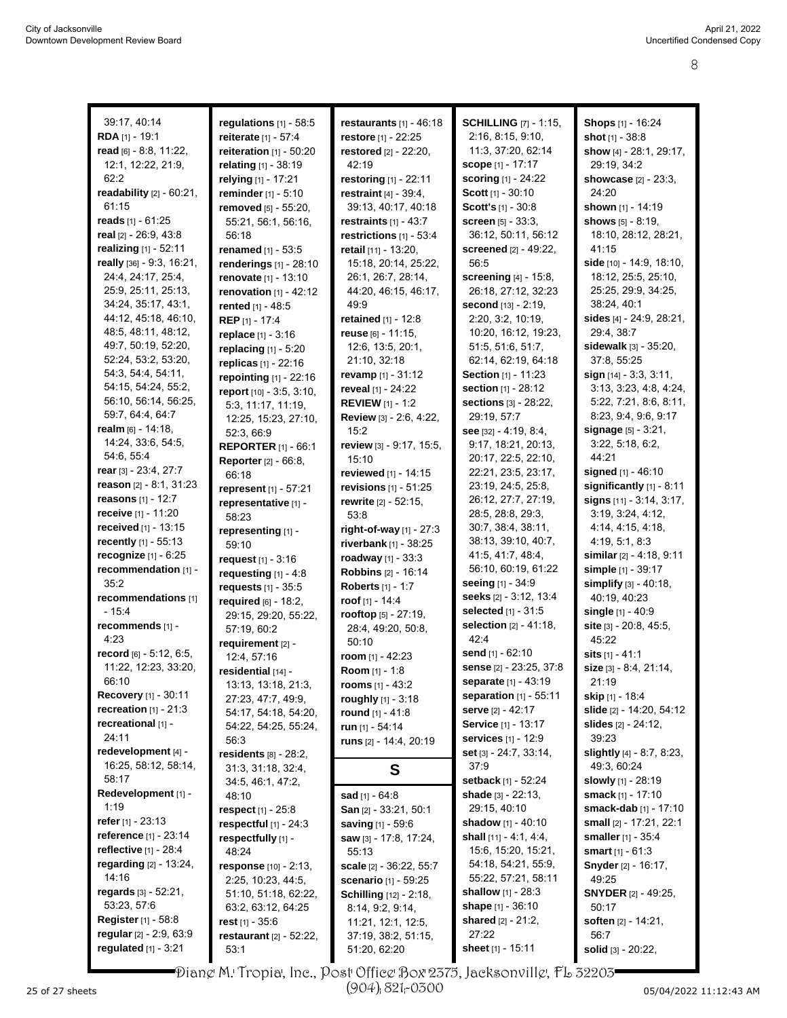| 39:17, 40:14<br>RDA [1] - 19:1 | regulations $[1]$ - 58:5<br>reiterate [1] - 57:4 | restaurants $[1] - 46:18$       | <b>SCHILLING</b> [7] - 1:15,<br>2:16, 8:15, 9:10, | <b>Shops</b> [1] - 16:24       |
|--------------------------------|--------------------------------------------------|---------------------------------|---------------------------------------------------|--------------------------------|
|                                |                                                  | restore [1] - 22:25             |                                                   | shot $[1] - 38.8$              |
| read [6] - 8.8, 11:22,         | reiteration $[1]$ - 50:20                        | restored [2] - 22:20,           | 11:3, 37:20, 62:14                                | show [4] - 28:1, 29:17,        |
| 12:1, 12:22, 21:9,             | relating [1] - 38:19                             | 42:19                           | <b>scope</b> [1] - 17:17                          | 29:19, 34:2                    |
| 62:2                           | relying [1] - 17:21                              | <b>restoring</b> $[1] - 22:11$  | <b>scoring</b> [1] - 24:22                        | <b>showcase</b> [2] - 23:3,    |
| readability [2] - 60:21,       | reminder [1] - 5:10                              | <b>restraint</b> $[4] - 39:4$ , | Scott [1] - 30:10                                 | 24:20                          |
| 61:15                          | removed [5] - 55:20,                             | 39:13, 40:17, 40:18             | Scott's [1] - 30:8                                | shown [1] - 14:19              |
| <b>reads</b> [1] - 61:25       | 55:21, 56:1, 56:16,                              | restraints $[1] - 43.7$         | <b>screen</b> $[5] - 33:3$ ,                      | shows [5] - 8:19,              |
| <b>real</b> [2] - 26:9, 43:8   | 56:18                                            | restrictions $[1]$ - 53:4       | 36:12, 50:11, 56:12                               | 18:10, 28:12, 28:21,           |
| realizing $[1] - 52:11$        | <b>renamed</b> $[1] - 53.5$                      | retail [11] - 13:20,            | screened [2] - 49:22,                             | 41:15                          |
| really [36] - 9:3, 16:21,      | renderings [1] - 28:10                           | 15:18, 20:14, 25:22,            | 56:5                                              | side [10] - 14:9, 18:10,       |
| 24:4, 24:17, 25:4,             | renovate [1] - 13:10                             | 26:1, 26:7, 28:14,              | screening [4] - 15:8,                             | 18:12, 25:5, 25:10,            |
| 25:9, 25:11, 25:13,            | <b>renovation</b> $[1] - 42:12$                  | 44:20, 46:15, 46:17,            | 26:18, 27:12, 32:23                               | 25:25, 29:9, 34:25,            |
| 34:24, 35:17, 43:1,            | rented [1] - 48:5                                | 49.9                            | second $[13] - 2:19$ ,                            | 38:24, 40:1                    |
| 44:12, 45:18, 46:10,           | REP [1] - 17:4                                   | retained [1] - 12:8             | 2:20, 3:2, 10:19,                                 | sides [4] - 24:9, 28:21,       |
| 48:5, 48:11, 48:12,            | replace [1] - 3:16                               | reuse [6] - 11:15,              | 10:20, 16:12, 19:23,                              | 29:4, 38:7                     |
| 49:7, 50:19, 52:20,            | replacing [1] - 5:20                             | 12:6, 13:5, 20:1,               | 51.5, 51.6, 51.7,                                 | <b>sidewalk</b> [3] - 35:20,   |
| 52:24, 53:2, 53:20,            | replicas [1] - 22:16                             | 21:10, 32:18                    | 62:14, 62:19, 64:18                               | 37:8, 55:25                    |
| 54:3, 54:4, 54:11,             | repointing $[1]$ - 22:16                         | revamp [1] - 31:12              | <b>Section</b> [1] - 11:23                        | sign [14] - 3.3, 3.11,         |
| 54:15, 54:24, 55:2,            | report [10] - 3:5, 3:10,                         | reveal [1] - 24:22              | section [1] - 28:12                               | 3:13, 3:23, 4:8, 4:24,         |
| 56:10, 56:14, 56:25,           | 5:3, 11:17, 11:19,                               | <b>REVIEW</b> [1] - 1:2         | sections [3] - 28:22,                             | 5:22, 7:21, 8:6, 8:11,         |
| 59:7, 64:4, 64:7               | 12:25, 15:23, 27:10,                             | Review [3] - 2:6, 4:22,         | 29:19, 57:7                                       | 8:23, 9:4, 9:6, 9:17           |
| <b>realm</b> [6] - 14:18,      | 52.3, 66.9                                       | 15:2                            | see $[32] - 4.19, 8.4,$                           | <b>signage</b> $[5] - 3.21$ ,  |
| 14:24, 33.6, 54.5,             | <b>REPORTER [1] - 66:1</b>                       | review [3] - 9:17, 15:5,        | 9:17, 18:21, 20:13,                               | 3.22, 5.18, 6.2,               |
| 54.6, 55.4                     | <b>Reporter</b> [2] - 66:8,                      | 15:10                           | 20:17, 22:5, 22:10,                               | 44:21                          |
| rear [3] - 23:4, 27:7          | 66:18                                            | reviewed [1] - 14:15            | 22:21, 23:5, 23:17,                               | signed [1] - 46:10             |
| <b>reason</b> [2] - 8:1, 31:23 | represent [1] - 57:21                            | revisions $[1] - 51:25$         | 23:19, 24:5, 25:8,                                | significantly [1] - 8:11       |
| <b>reasons</b> [1] - 12:7      | representative [1] -                             | rewrite [2] - 52:15,            | 26:12, 27:7, 27:19,                               | signs $[11] - 3.14, 3.17,$     |
| <b>receive</b> [1] - 11:20     | 58:23                                            | 53:8                            | 28:5, 28:8, 29:3,                                 | 3:19, 3:24, 4:12,              |
| <b>received</b> [1] - 13:15    | representing [1] -                               | right-of-way $[1]$ - 27:3       | 30:7, 38:4, 38:11,                                | 4:14, 4:15, 4:18,              |
| recently [1] - 55:13           | 59:10                                            | riverbank [1] - 38:25           | 38:13, 39:10, 40:7,                               | 4:19, 5:1, 8:3                 |
| recognize [1] - 6:25           | request $[1] - 3:16$                             | roadway [1] - 33:3              | 41:5, 41:7, 48:4,                                 | similar [2] - 4:18, 9:11       |
| recommendation [1] -           | requesting $[1] - 4.8$                           | <b>Robbins</b> [2] - 16:14      | 56:10, 60:19, 61:22                               | simple [1] - 39:17             |
| 35.2                           | requests [1] - 35:5                              | <b>Roberts</b> [1] - 1:7        | seeing [1] - 34:9                                 | simplify [3] - 40:18,          |
| recommendations [1]            | required [6] - 18:2.                             | roof [1] - 14:4                 | seeks [2] - 3:12, 13:4                            | 40:19, 40:23                   |
| $-15.4$                        | 29:15, 29:20, 55:22,                             | rooftop [5] - 27:19,            | selected [1] - 31:5                               | single [1] - 40:9              |
| recommends [1] -               | 57:19, 60:2                                      | 28:4, 49:20, 50:8,              | selection [2] - 41:18,                            | site [3] - 20:8, 45:5,         |
| 4:23                           | requirement [2] -                                | 50:10                           | 42:4                                              | 45:22                          |
| record [6] - 5:12, 6:5,        | 12:4, 57:16                                      | room $[1] - 42:23$              | send [1] - 62:10                                  | sits [1] - 41:1                |
| 11:22, 12:23, 33:20,           | residential [14] -                               | <b>Room</b> [1] - 1:8           | sense [2] - 23:25, 37:8                           | size [3] - 8.4, 21:14,         |
| 66:10                          | 13:13, 13:18, 21:3,                              | rooms $[1] - 43:2$              | separate [1] - 43:19                              | 21:19                          |
| Recovery [1] - 30:11           | 27:23, 47:7, 49:9,                               | roughly [1] - 3:18              | <b>separation</b> $[1] - 55:11$                   | skip [1] - 18:4                |
| <b>recreation</b> $[1]$ - 21:3 | 54:17, 54:18, 54:20,                             | round [1] - 41:8                | <b>serve</b> [2] - 42:17                          | slide [2] - 14:20, 54:12       |
| recreational [1] -             | 54:22, 54:25, 55:24,                             | run [1] - 54:14                 | <b>Service</b> [1] - 13:17                        | <b>slides</b> $[2] - 24:12$    |
| 24:11                          | 56.3                                             | runs $[2] - 14:4, 20:19$        | services [1] - 12:9                               | 39:23                          |
| redevelopment [4] -            | residents [8] - 28:2,                            |                                 | set $[3] - 24.7, 33.14,$                          | slightly [4] - 8:7, 8:23,      |
| 16:25, 58:12, 58:14,           | 31.3, 31.18, 32.4,                               | S                               | 37.9                                              | 49:3, 60:24                    |
| 58:17                          | 34:5, 46:1, 47:2,                                |                                 | <b>setback</b> [1] - 52:24                        | <b>slowly</b> [1] - 28:19      |
| Redevelopment [1] -            | 48:10                                            | <b>sad</b> [1] - $64:8$         | <b>shade</b> $[3] - 22:13$ ,                      | smack [1] - 17:10              |
| 1:19                           | respect $[1] - 25.8$                             | San [2] - 33:21, 50:1           | 29:15, 40:10                                      | <b>smack-dab</b> $[1]$ - 17:10 |
| <b>refer</b> [1] - 23:13       | respectful $[1]$ - 24:3                          | <b>saving</b> [1] - 59:6        | shadow $[1] - 40:10$                              | small [2] - 17:21, 22:1        |
| <b>reference</b> [1] - 23:14   | respectfully [1] -                               | saw [3] - 17:8, 17:24,          | <b>shall</b> $[11] - 4.1, 4.4,$                   | smaller [1] - 35:4             |
| <b>reflective</b> [1] - 28:4   | 48:24                                            | 55:13                           | 15:6, 15:20, 15:21,                               | smart $[1] - 61:3$             |
| <b>regarding</b> [2] - 13:24,  | response [10] - 2:13,                            | scale [2] - 36:22, 55:7         | 54:18, 54:21, 55:9,                               | <b>Snyder</b> [2] - 16:17,     |
| 14:16                          | 2:25, 10:23, 44:5,                               | scenario [1] - 59:25            | 55:22, 57:21, 58:11                               | 49:25                          |
| regards [3] - 52:21,           |                                                  |                                 | <b>shallow</b> $[1] - 28.3$                       | <b>SNYDER</b> [2] - 49:25,     |
| 53.23, 57:6                    | 51:10, 51:18, 62:22,                             | <b>Schilling</b> [12] - 2:18,   | shape $[1] - 36:10$                               | 50:17                          |
| <b>Register</b> [1] - 58:8     | 63:2, 63:12, 64:25                               | 8:14, 9:2, 9:14,                | shared [2] - 21:2,                                | soften [2] - 14:21,            |
| regular [2] - 2:9, 63:9        | rest $[1]$ - 35:6                                | 11:21, 12:1, 12:5,              | 27:22                                             | 56:7                           |
| <b>regulated</b> [1] - 3:21    | <b>restaurant</b> $[2] - 52.22$ ,                | 37:19, 38:2, 51:15,             | sheet [1] - 15:11                                 |                                |
|                                | 53:1                                             | 51:20, 62:20                    |                                                   | solid [3] - 20:22,             |

Diane M. Tropia, Inc., Post Office Box 2375, Jacksonville, FL 32203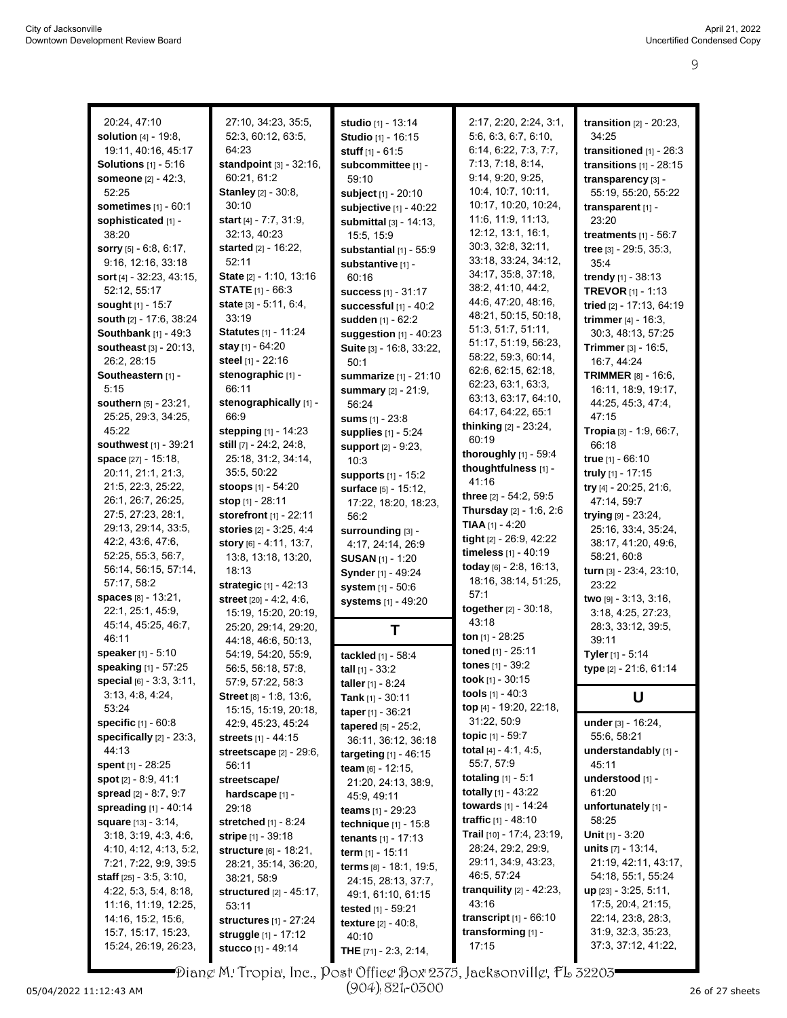|                                   |                                                                                                                                                                                                                                                                                                                                                                                                                                                                                                                                                                                                                                                                                                                                                                                                                                                           |                                                                                                                                                                                                                                                                                                                                                                                                                                                                                                                                                                                                                                                                                                                                                                                                                                                                                                                                         | transition $[2]$ - $20:23$ ,                                                                                                                                                                                                                                                                                                                                                                                                                                                                                                                                                                                                                                                                                                                                                                                                     |
|-----------------------------------|-----------------------------------------------------------------------------------------------------------------------------------------------------------------------------------------------------------------------------------------------------------------------------------------------------------------------------------------------------------------------------------------------------------------------------------------------------------------------------------------------------------------------------------------------------------------------------------------------------------------------------------------------------------------------------------------------------------------------------------------------------------------------------------------------------------------------------------------------------------|-----------------------------------------------------------------------------------------------------------------------------------------------------------------------------------------------------------------------------------------------------------------------------------------------------------------------------------------------------------------------------------------------------------------------------------------------------------------------------------------------------------------------------------------------------------------------------------------------------------------------------------------------------------------------------------------------------------------------------------------------------------------------------------------------------------------------------------------------------------------------------------------------------------------------------------------|----------------------------------------------------------------------------------------------------------------------------------------------------------------------------------------------------------------------------------------------------------------------------------------------------------------------------------------------------------------------------------------------------------------------------------------------------------------------------------------------------------------------------------------------------------------------------------------------------------------------------------------------------------------------------------------------------------------------------------------------------------------------------------------------------------------------------------|
|                                   |                                                                                                                                                                                                                                                                                                                                                                                                                                                                                                                                                                                                                                                                                                                                                                                                                                                           |                                                                                                                                                                                                                                                                                                                                                                                                                                                                                                                                                                                                                                                                                                                                                                                                                                                                                                                                         | 34:25                                                                                                                                                                                                                                                                                                                                                                                                                                                                                                                                                                                                                                                                                                                                                                                                                            |
| 64:23                             |                                                                                                                                                                                                                                                                                                                                                                                                                                                                                                                                                                                                                                                                                                                                                                                                                                                           |                                                                                                                                                                                                                                                                                                                                                                                                                                                                                                                                                                                                                                                                                                                                                                                                                                                                                                                                         | transitioned [1] - 26:3                                                                                                                                                                                                                                                                                                                                                                                                                                                                                                                                                                                                                                                                                                                                                                                                          |
|                                   |                                                                                                                                                                                                                                                                                                                                                                                                                                                                                                                                                                                                                                                                                                                                                                                                                                                           | 7:13, 7:18, 8:14,                                                                                                                                                                                                                                                                                                                                                                                                                                                                                                                                                                                                                                                                                                                                                                                                                                                                                                                       | transitions $[1]$ - 28:15                                                                                                                                                                                                                                                                                                                                                                                                                                                                                                                                                                                                                                                                                                                                                                                                        |
| 60:21, 61:2                       | 59:10                                                                                                                                                                                                                                                                                                                                                                                                                                                                                                                                                                                                                                                                                                                                                                                                                                                     | 9:14, 9:20, 9:25,                                                                                                                                                                                                                                                                                                                                                                                                                                                                                                                                                                                                                                                                                                                                                                                                                                                                                                                       | transparency [3] -                                                                                                                                                                                                                                                                                                                                                                                                                                                                                                                                                                                                                                                                                                                                                                                                               |
| Stanley [2] - 30:8,               |                                                                                                                                                                                                                                                                                                                                                                                                                                                                                                                                                                                                                                                                                                                                                                                                                                                           | 10:4, 10:7, 10:11,                                                                                                                                                                                                                                                                                                                                                                                                                                                                                                                                                                                                                                                                                                                                                                                                                                                                                                                      | 55:19, 55:20, 55:22                                                                                                                                                                                                                                                                                                                                                                                                                                                                                                                                                                                                                                                                                                                                                                                                              |
| 30:10                             | subjective [1] - 40:22                                                                                                                                                                                                                                                                                                                                                                                                                                                                                                                                                                                                                                                                                                                                                                                                                                    | 10:17, 10:20, 10:24,                                                                                                                                                                                                                                                                                                                                                                                                                                                                                                                                                                                                                                                                                                                                                                                                                                                                                                                    | transparent [1] -                                                                                                                                                                                                                                                                                                                                                                                                                                                                                                                                                                                                                                                                                                                                                                                                                |
| <b>start</b> $[4] - 7:7, 31:9,$   | submittal [3] - 14:13,                                                                                                                                                                                                                                                                                                                                                                                                                                                                                                                                                                                                                                                                                                                                                                                                                                    | 11:6, 11:9, 11:13,                                                                                                                                                                                                                                                                                                                                                                                                                                                                                                                                                                                                                                                                                                                                                                                                                                                                                                                      | 23:20                                                                                                                                                                                                                                                                                                                                                                                                                                                                                                                                                                                                                                                                                                                                                                                                                            |
| 32.13, 40.23                      | 15:5, 15:9                                                                                                                                                                                                                                                                                                                                                                                                                                                                                                                                                                                                                                                                                                                                                                                                                                                |                                                                                                                                                                                                                                                                                                                                                                                                                                                                                                                                                                                                                                                                                                                                                                                                                                                                                                                                         | treatments $[1]$ - 56:7                                                                                                                                                                                                                                                                                                                                                                                                                                                                                                                                                                                                                                                                                                                                                                                                          |
| <b>started</b> [2] - 16:22,       | substantial $[1]$ - 55:9                                                                                                                                                                                                                                                                                                                                                                                                                                                                                                                                                                                                                                                                                                                                                                                                                                  |                                                                                                                                                                                                                                                                                                                                                                                                                                                                                                                                                                                                                                                                                                                                                                                                                                                                                                                                         | tree [3] - 29:5, 35:3,                                                                                                                                                                                                                                                                                                                                                                                                                                                                                                                                                                                                                                                                                                                                                                                                           |
| 52:11                             | substantive [1] -                                                                                                                                                                                                                                                                                                                                                                                                                                                                                                                                                                                                                                                                                                                                                                                                                                         |                                                                                                                                                                                                                                                                                                                                                                                                                                                                                                                                                                                                                                                                                                                                                                                                                                                                                                                                         | 35:4                                                                                                                                                                                                                                                                                                                                                                                                                                                                                                                                                                                                                                                                                                                                                                                                                             |
|                                   | 60:16                                                                                                                                                                                                                                                                                                                                                                                                                                                                                                                                                                                                                                                                                                                                                                                                                                                     |                                                                                                                                                                                                                                                                                                                                                                                                                                                                                                                                                                                                                                                                                                                                                                                                                                                                                                                                         | trendy $[1] - 38:13$                                                                                                                                                                                                                                                                                                                                                                                                                                                                                                                                                                                                                                                                                                                                                                                                             |
|                                   | <b>success</b> [1] - 31:17                                                                                                                                                                                                                                                                                                                                                                                                                                                                                                                                                                                                                                                                                                                                                                                                                                |                                                                                                                                                                                                                                                                                                                                                                                                                                                                                                                                                                                                                                                                                                                                                                                                                                                                                                                                         | <b>TREVOR</b> $[1] - 1.13$                                                                                                                                                                                                                                                                                                                                                                                                                                                                                                                                                                                                                                                                                                                                                                                                       |
|                                   |                                                                                                                                                                                                                                                                                                                                                                                                                                                                                                                                                                                                                                                                                                                                                                                                                                                           |                                                                                                                                                                                                                                                                                                                                                                                                                                                                                                                                                                                                                                                                                                                                                                                                                                                                                                                                         | tried [2] - 17:13, 64:19                                                                                                                                                                                                                                                                                                                                                                                                                                                                                                                                                                                                                                                                                                                                                                                                         |
|                                   |                                                                                                                                                                                                                                                                                                                                                                                                                                                                                                                                                                                                                                                                                                                                                                                                                                                           |                                                                                                                                                                                                                                                                                                                                                                                                                                                                                                                                                                                                                                                                                                                                                                                                                                                                                                                                         | trimmer $[4] - 16.3$ ,                                                                                                                                                                                                                                                                                                                                                                                                                                                                                                                                                                                                                                                                                                                                                                                                           |
|                                   |                                                                                                                                                                                                                                                                                                                                                                                                                                                                                                                                                                                                                                                                                                                                                                                                                                                           |                                                                                                                                                                                                                                                                                                                                                                                                                                                                                                                                                                                                                                                                                                                                                                                                                                                                                                                                         | 30:3, 48:13, 57:25                                                                                                                                                                                                                                                                                                                                                                                                                                                                                                                                                                                                                                                                                                                                                                                                               |
|                                   |                                                                                                                                                                                                                                                                                                                                                                                                                                                                                                                                                                                                                                                                                                                                                                                                                                                           |                                                                                                                                                                                                                                                                                                                                                                                                                                                                                                                                                                                                                                                                                                                                                                                                                                                                                                                                         | Trimmer [3] - 16:5,                                                                                                                                                                                                                                                                                                                                                                                                                                                                                                                                                                                                                                                                                                                                                                                                              |
|                                   |                                                                                                                                                                                                                                                                                                                                                                                                                                                                                                                                                                                                                                                                                                                                                                                                                                                           |                                                                                                                                                                                                                                                                                                                                                                                                                                                                                                                                                                                                                                                                                                                                                                                                                                                                                                                                         | 16:7, 44:24                                                                                                                                                                                                                                                                                                                                                                                                                                                                                                                                                                                                                                                                                                                                                                                                                      |
|                                   |                                                                                                                                                                                                                                                                                                                                                                                                                                                                                                                                                                                                                                                                                                                                                                                                                                                           |                                                                                                                                                                                                                                                                                                                                                                                                                                                                                                                                                                                                                                                                                                                                                                                                                                                                                                                                         | TRIMMER [8] - 16:6,                                                                                                                                                                                                                                                                                                                                                                                                                                                                                                                                                                                                                                                                                                                                                                                                              |
|                                   |                                                                                                                                                                                                                                                                                                                                                                                                                                                                                                                                                                                                                                                                                                                                                                                                                                                           | 63:13, 63:17, 64:10,                                                                                                                                                                                                                                                                                                                                                                                                                                                                                                                                                                                                                                                                                                                                                                                                                                                                                                                    | 16:11, 18:9, 19:17,<br>44:25, 45:3, 47:4,                                                                                                                                                                                                                                                                                                                                                                                                                                                                                                                                                                                                                                                                                                                                                                                        |
|                                   |                                                                                                                                                                                                                                                                                                                                                                                                                                                                                                                                                                                                                                                                                                                                                                                                                                                           | 64:17, 64:22, 65:1                                                                                                                                                                                                                                                                                                                                                                                                                                                                                                                                                                                                                                                                                                                                                                                                                                                                                                                      | 47:15                                                                                                                                                                                                                                                                                                                                                                                                                                                                                                                                                                                                                                                                                                                                                                                                                            |
|                                   |                                                                                                                                                                                                                                                                                                                                                                                                                                                                                                                                                                                                                                                                                                                                                                                                                                                           | thinking [2] - 23:24,                                                                                                                                                                                                                                                                                                                                                                                                                                                                                                                                                                                                                                                                                                                                                                                                                                                                                                                   | Tropia [3] - 1:9, 66:7,                                                                                                                                                                                                                                                                                                                                                                                                                                                                                                                                                                                                                                                                                                                                                                                                          |
|                                   |                                                                                                                                                                                                                                                                                                                                                                                                                                                                                                                                                                                                                                                                                                                                                                                                                                                           | 60:19                                                                                                                                                                                                                                                                                                                                                                                                                                                                                                                                                                                                                                                                                                                                                                                                                                                                                                                                   | 66:18                                                                                                                                                                                                                                                                                                                                                                                                                                                                                                                                                                                                                                                                                                                                                                                                                            |
|                                   |                                                                                                                                                                                                                                                                                                                                                                                                                                                                                                                                                                                                                                                                                                                                                                                                                                                           | thoroughly [1] - 59:4                                                                                                                                                                                                                                                                                                                                                                                                                                                                                                                                                                                                                                                                                                                                                                                                                                                                                                                   | <b>true</b> $[1] - 66:10$                                                                                                                                                                                                                                                                                                                                                                                                                                                                                                                                                                                                                                                                                                                                                                                                        |
|                                   |                                                                                                                                                                                                                                                                                                                                                                                                                                                                                                                                                                                                                                                                                                                                                                                                                                                           | thoughtfulness [1] -                                                                                                                                                                                                                                                                                                                                                                                                                                                                                                                                                                                                                                                                                                                                                                                                                                                                                                                    | truly [1] - 17:15                                                                                                                                                                                                                                                                                                                                                                                                                                                                                                                                                                                                                                                                                                                                                                                                                |
|                                   |                                                                                                                                                                                                                                                                                                                                                                                                                                                                                                                                                                                                                                                                                                                                                                                                                                                           | 41:16                                                                                                                                                                                                                                                                                                                                                                                                                                                                                                                                                                                                                                                                                                                                                                                                                                                                                                                                   | try [4] - 20:25, 21:6,                                                                                                                                                                                                                                                                                                                                                                                                                                                                                                                                                                                                                                                                                                                                                                                                           |
|                                   |                                                                                                                                                                                                                                                                                                                                                                                                                                                                                                                                                                                                                                                                                                                                                                                                                                                           | three [2] - 54:2, 59:5                                                                                                                                                                                                                                                                                                                                                                                                                                                                                                                                                                                                                                                                                                                                                                                                                                                                                                                  | 47:14, 59:7                                                                                                                                                                                                                                                                                                                                                                                                                                                                                                                                                                                                                                                                                                                                                                                                                      |
|                                   |                                                                                                                                                                                                                                                                                                                                                                                                                                                                                                                                                                                                                                                                                                                                                                                                                                                           | <b>Thursday</b> $[2] - 1.6, 2.6$                                                                                                                                                                                                                                                                                                                                                                                                                                                                                                                                                                                                                                                                                                                                                                                                                                                                                                        | trying [9] - 23:24,                                                                                                                                                                                                                                                                                                                                                                                                                                                                                                                                                                                                                                                                                                                                                                                                              |
|                                   |                                                                                                                                                                                                                                                                                                                                                                                                                                                                                                                                                                                                                                                                                                                                                                                                                                                           |                                                                                                                                                                                                                                                                                                                                                                                                                                                                                                                                                                                                                                                                                                                                                                                                                                                                                                                                         | 25:16, 33:4, 35:24,                                                                                                                                                                                                                                                                                                                                                                                                                                                                                                                                                                                                                                                                                                                                                                                                              |
| <b>story</b> $[6] - 4.11$ , 13:7, |                                                                                                                                                                                                                                                                                                                                                                                                                                                                                                                                                                                                                                                                                                                                                                                                                                                           |                                                                                                                                                                                                                                                                                                                                                                                                                                                                                                                                                                                                                                                                                                                                                                                                                                                                                                                                         | 38:17, 41:20, 49:6,                                                                                                                                                                                                                                                                                                                                                                                                                                                                                                                                                                                                                                                                                                                                                                                                              |
| 13.8, 13.18, 13.20,               |                                                                                                                                                                                                                                                                                                                                                                                                                                                                                                                                                                                                                                                                                                                                                                                                                                                           |                                                                                                                                                                                                                                                                                                                                                                                                                                                                                                                                                                                                                                                                                                                                                                                                                                                                                                                                         | 58:21, 60:8                                                                                                                                                                                                                                                                                                                                                                                                                                                                                                                                                                                                                                                                                                                                                                                                                      |
| 18:13                             |                                                                                                                                                                                                                                                                                                                                                                                                                                                                                                                                                                                                                                                                                                                                                                                                                                                           |                                                                                                                                                                                                                                                                                                                                                                                                                                                                                                                                                                                                                                                                                                                                                                                                                                                                                                                                         | turn [3] - 23:4, 23:10,                                                                                                                                                                                                                                                                                                                                                                                                                                                                                                                                                                                                                                                                                                                                                                                                          |
| strategic [1] - 42:13             | system [1] - 50:6                                                                                                                                                                                                                                                                                                                                                                                                                                                                                                                                                                                                                                                                                                                                                                                                                                         |                                                                                                                                                                                                                                                                                                                                                                                                                                                                                                                                                                                                                                                                                                                                                                                                                                                                                                                                         | 23:22                                                                                                                                                                                                                                                                                                                                                                                                                                                                                                                                                                                                                                                                                                                                                                                                                            |
| street [20] - 4:2, 4:6,           | systems [1] - 49:20                                                                                                                                                                                                                                                                                                                                                                                                                                                                                                                                                                                                                                                                                                                                                                                                                                       |                                                                                                                                                                                                                                                                                                                                                                                                                                                                                                                                                                                                                                                                                                                                                                                                                                                                                                                                         | two [9] - 3:13, 3:16,                                                                                                                                                                                                                                                                                                                                                                                                                                                                                                                                                                                                                                                                                                                                                                                                            |
| 15:19, 15:20, 20:19,              |                                                                                                                                                                                                                                                                                                                                                                                                                                                                                                                                                                                                                                                                                                                                                                                                                                                           |                                                                                                                                                                                                                                                                                                                                                                                                                                                                                                                                                                                                                                                                                                                                                                                                                                                                                                                                         | 3:18, 4:25, 27:23,                                                                                                                                                                                                                                                                                                                                                                                                                                                                                                                                                                                                                                                                                                                                                                                                               |
|                                   | Τ                                                                                                                                                                                                                                                                                                                                                                                                                                                                                                                                                                                                                                                                                                                                                                                                                                                         |                                                                                                                                                                                                                                                                                                                                                                                                                                                                                                                                                                                                                                                                                                                                                                                                                                                                                                                                         | 28:3, 33:12, 39:5,                                                                                                                                                                                                                                                                                                                                                                                                                                                                                                                                                                                                                                                                                                                                                                                                               |
|                                   |                                                                                                                                                                                                                                                                                                                                                                                                                                                                                                                                                                                                                                                                                                                                                                                                                                                           |                                                                                                                                                                                                                                                                                                                                                                                                                                                                                                                                                                                                                                                                                                                                                                                                                                                                                                                                         | 39:11                                                                                                                                                                                                                                                                                                                                                                                                                                                                                                                                                                                                                                                                                                                                                                                                                            |
|                                   |                                                                                                                                                                                                                                                                                                                                                                                                                                                                                                                                                                                                                                                                                                                                                                                                                                                           |                                                                                                                                                                                                                                                                                                                                                                                                                                                                                                                                                                                                                                                                                                                                                                                                                                                                                                                                         | Tyler [1] - 5:14                                                                                                                                                                                                                                                                                                                                                                                                                                                                                                                                                                                                                                                                                                                                                                                                                 |
|                                   |                                                                                                                                                                                                                                                                                                                                                                                                                                                                                                                                                                                                                                                                                                                                                                                                                                                           |                                                                                                                                                                                                                                                                                                                                                                                                                                                                                                                                                                                                                                                                                                                                                                                                                                                                                                                                         | type [2] - 21:6, 61:14                                                                                                                                                                                                                                                                                                                                                                                                                                                                                                                                                                                                                                                                                                                                                                                                           |
|                                   |                                                                                                                                                                                                                                                                                                                                                                                                                                                                                                                                                                                                                                                                                                                                                                                                                                                           |                                                                                                                                                                                                                                                                                                                                                                                                                                                                                                                                                                                                                                                                                                                                                                                                                                                                                                                                         |                                                                                                                                                                                                                                                                                                                                                                                                                                                                                                                                                                                                                                                                                                                                                                                                                                  |
|                                   |                                                                                                                                                                                                                                                                                                                                                                                                                                                                                                                                                                                                                                                                                                                                                                                                                                                           |                                                                                                                                                                                                                                                                                                                                                                                                                                                                                                                                                                                                                                                                                                                                                                                                                                                                                                                                         | U                                                                                                                                                                                                                                                                                                                                                                                                                                                                                                                                                                                                                                                                                                                                                                                                                                |
|                                   |                                                                                                                                                                                                                                                                                                                                                                                                                                                                                                                                                                                                                                                                                                                                                                                                                                                           |                                                                                                                                                                                                                                                                                                                                                                                                                                                                                                                                                                                                                                                                                                                                                                                                                                                                                                                                         | under [3] - 16:24,                                                                                                                                                                                                                                                                                                                                                                                                                                                                                                                                                                                                                                                                                                                                                                                                               |
|                                   |                                                                                                                                                                                                                                                                                                                                                                                                                                                                                                                                                                                                                                                                                                                                                                                                                                                           | topic $[1] - 59.7$                                                                                                                                                                                                                                                                                                                                                                                                                                                                                                                                                                                                                                                                                                                                                                                                                                                                                                                      | 55:6, 58:21                                                                                                                                                                                                                                                                                                                                                                                                                                                                                                                                                                                                                                                                                                                                                                                                                      |
|                                   |                                                                                                                                                                                                                                                                                                                                                                                                                                                                                                                                                                                                                                                                                                                                                                                                                                                           |                                                                                                                                                                                                                                                                                                                                                                                                                                                                                                                                                                                                                                                                                                                                                                                                                                                                                                                                         | understandably [1] -                                                                                                                                                                                                                                                                                                                                                                                                                                                                                                                                                                                                                                                                                                                                                                                                             |
|                                   |                                                                                                                                                                                                                                                                                                                                                                                                                                                                                                                                                                                                                                                                                                                                                                                                                                                           | 55:7, 57:9                                                                                                                                                                                                                                                                                                                                                                                                                                                                                                                                                                                                                                                                                                                                                                                                                                                                                                                              | 45:11                                                                                                                                                                                                                                                                                                                                                                                                                                                                                                                                                                                                                                                                                                                                                                                                                            |
|                                   |                                                                                                                                                                                                                                                                                                                                                                                                                                                                                                                                                                                                                                                                                                                                                                                                                                                           | <b>totaling</b> $[1] - 5:1$                                                                                                                                                                                                                                                                                                                                                                                                                                                                                                                                                                                                                                                                                                                                                                                                                                                                                                             | understood [1] -                                                                                                                                                                                                                                                                                                                                                                                                                                                                                                                                                                                                                                                                                                                                                                                                                 |
| hardscape [1] -                   |                                                                                                                                                                                                                                                                                                                                                                                                                                                                                                                                                                                                                                                                                                                                                                                                                                                           | totally [1] - 43:22                                                                                                                                                                                                                                                                                                                                                                                                                                                                                                                                                                                                                                                                                                                                                                                                                                                                                                                     | 61:20                                                                                                                                                                                                                                                                                                                                                                                                                                                                                                                                                                                                                                                                                                                                                                                                                            |
| 29:18                             |                                                                                                                                                                                                                                                                                                                                                                                                                                                                                                                                                                                                                                                                                                                                                                                                                                                           | <b>towards</b> $[1] - 14:24$                                                                                                                                                                                                                                                                                                                                                                                                                                                                                                                                                                                                                                                                                                                                                                                                                                                                                                            | unfortunately [1] -                                                                                                                                                                                                                                                                                                                                                                                                                                                                                                                                                                                                                                                                                                                                                                                                              |
| stretched $[1]$ - 8:24            |                                                                                                                                                                                                                                                                                                                                                                                                                                                                                                                                                                                                                                                                                                                                                                                                                                                           | <b>traffic</b> $[1] - 48:10$                                                                                                                                                                                                                                                                                                                                                                                                                                                                                                                                                                                                                                                                                                                                                                                                                                                                                                            | 58:25                                                                                                                                                                                                                                                                                                                                                                                                                                                                                                                                                                                                                                                                                                                                                                                                                            |
| <b>stripe</b> [1] - 39:18         |                                                                                                                                                                                                                                                                                                                                                                                                                                                                                                                                                                                                                                                                                                                                                                                                                                                           | Trail [10] - 17:4, 23:19,                                                                                                                                                                                                                                                                                                                                                                                                                                                                                                                                                                                                                                                                                                                                                                                                                                                                                                               | <b>Unit</b> $[1]$ - 3:20                                                                                                                                                                                                                                                                                                                                                                                                                                                                                                                                                                                                                                                                                                                                                                                                         |
| structure [6] - 18:21,            | term <sub>[1]</sub> - 15:11                                                                                                                                                                                                                                                                                                                                                                                                                                                                                                                                                                                                                                                                                                                                                                                                                               | 28:24, 29:2, 29:9,                                                                                                                                                                                                                                                                                                                                                                                                                                                                                                                                                                                                                                                                                                                                                                                                                                                                                                                      | units $[7] - 13.14$ ,                                                                                                                                                                                                                                                                                                                                                                                                                                                                                                                                                                                                                                                                                                                                                                                                            |
| 28:21, 35:14, 36:20,              | <b>terms</b> $[8] - 18:1, 19:5,$                                                                                                                                                                                                                                                                                                                                                                                                                                                                                                                                                                                                                                                                                                                                                                                                                          | 29:11, 34:9, 43:23,                                                                                                                                                                                                                                                                                                                                                                                                                                                                                                                                                                                                                                                                                                                                                                                                                                                                                                                     | 21:19, 42:11, 43:17,                                                                                                                                                                                                                                                                                                                                                                                                                                                                                                                                                                                                                                                                                                                                                                                                             |
| 38:21, 58:9                       | 24:15, 28:13, 37:7,                                                                                                                                                                                                                                                                                                                                                                                                                                                                                                                                                                                                                                                                                                                                                                                                                                       | 46:5, 57:24                                                                                                                                                                                                                                                                                                                                                                                                                                                                                                                                                                                                                                                                                                                                                                                                                                                                                                                             | 54:18, 55:1, 55:24                                                                                                                                                                                                                                                                                                                                                                                                                                                                                                                                                                                                                                                                                                                                                                                                               |
| <b>structured</b> $[2] - 45:17$ , | 49:1, 61:10, 61:15                                                                                                                                                                                                                                                                                                                                                                                                                                                                                                                                                                                                                                                                                                                                                                                                                                        |                                                                                                                                                                                                                                                                                                                                                                                                                                                                                                                                                                                                                                                                                                                                                                                                                                                                                                                                         | up [23] - 3:25, 5:11,                                                                                                                                                                                                                                                                                                                                                                                                                                                                                                                                                                                                                                                                                                                                                                                                            |
| 53:11                             | <b>tested</b> [1] - 59:21                                                                                                                                                                                                                                                                                                                                                                                                                                                                                                                                                                                                                                                                                                                                                                                                                                 |                                                                                                                                                                                                                                                                                                                                                                                                                                                                                                                                                                                                                                                                                                                                                                                                                                                                                                                                         | 17:5, 20:4, 21:15,                                                                                                                                                                                                                                                                                                                                                                                                                                                                                                                                                                                                                                                                                                                                                                                                               |
| structures [1] - 27:24            | <b>texture</b> $[2] - 40:8$ ,                                                                                                                                                                                                                                                                                                                                                                                                                                                                                                                                                                                                                                                                                                                                                                                                                             |                                                                                                                                                                                                                                                                                                                                                                                                                                                                                                                                                                                                                                                                                                                                                                                                                                                                                                                                         | 22:14, 23:8, 28:3,                                                                                                                                                                                                                                                                                                                                                                                                                                                                                                                                                                                                                                                                                                                                                                                                               |
|                                   | 40:10                                                                                                                                                                                                                                                                                                                                                                                                                                                                                                                                                                                                                                                                                                                                                                                                                                                     |                                                                                                                                                                                                                                                                                                                                                                                                                                                                                                                                                                                                                                                                                                                                                                                                                                                                                                                                         | 31:9, 32:3, 35:23,                                                                                                                                                                                                                                                                                                                                                                                                                                                                                                                                                                                                                                                                                                                                                                                                               |
|                                   | <b>THE</b> $[71] - 2.3, 2.14,$                                                                                                                                                                                                                                                                                                                                                                                                                                                                                                                                                                                                                                                                                                                                                                                                                            |                                                                                                                                                                                                                                                                                                                                                                                                                                                                                                                                                                                                                                                                                                                                                                                                                                                                                                                                         | 37:3, 37:12, 41:22,                                                                                                                                                                                                                                                                                                                                                                                                                                                                                                                                                                                                                                                                                                                                                                                                              |
|                                   | 27:10, 34:23, 35:5,<br>52:3, 60:12, 63:5,<br>standpoint [3] - 32:16,<br>State [2] - 1:10, 13:16<br><b>STATE</b> $[1]$ - 66:3<br><b>state</b> $[3] - 5.11, 6.4,$<br>33:19<br><b>Statutes</b> [1] - 11:24<br><b>stay</b> $[1] - 64:20$<br>steel [1] - 22:16<br>stenographic [1] -<br>66:11<br>stenographically [1] -<br>66.9<br>stepping [1] - 14:23<br>still [7] - 24:2, 24:8,<br>25:18, 31:2, 34:14,<br>35:5, 50:22<br>stoops [1] - 54:20<br><b>stop</b> $[1]$ - 28:11<br>storefront [1] - 22:11<br>stories [2] - 3:25, 4:4<br>25:20, 29:14, 29:20,<br>44:18, 46:6, 50:13,<br>54:19, 54:20, 55:9,<br>56.5, 56.18, 57:8,<br>57:9, 57:22, 58:3<br>Street [8] - 1:8, 13:6,<br>15:15, 15:19, 20:18,<br>42:9, 45:23, 45:24<br><b>streets</b> $[1] - 44:15$<br>streetscape $[2]$ - 29:6,<br>56:11<br>streetscape/<br>struggle [1] - 17:12<br>stucco [1] - 49:14 | studio [1] - 13:14<br>Studio [1] - 16:15<br>stuff $[1] - 61.5$<br>subcommittee [1] -<br>subject [1] - 20:10<br>successful $[1]$ - $40:2$<br>sudden [1] - 62:2<br>suggestion $[1] - 40:23$<br>Suite [3] - 16:8, 33:22,<br>50:1<br>summarize [1] - 21:10<br><b>summary</b> [2] - 21:9,<br>56:24<br><b>sums</b> $[1] - 23:8$<br>supplies [1] - 5:24<br>support [2] - 9:23,<br>10:3<br><b>supports</b> $[1]$ - 15:2<br>surface [5] - 15:12,<br>17:22, 18:20, 18:23,<br>56:2<br>surrounding [3] -<br>4:17, 24:14, 26:9<br><b>SUSAN</b> [1] - 1:20<br>Synder [1] - 49:24<br>tackled [1] - 58:4<br>tall $[1] - 33:2$<br><b>taller</b> $[1] - 8:24$<br><b>Tank</b> [1] - 30:11<br>taper [1] - 36:21<br><b>tapered</b> $[5] - 25:2$ ,<br>36:11, 36:12, 36:18<br><b>targeting</b> $[1] - 46:15$<br>team $[6] - 12:15$ ,<br>21:20, 24:13, 38:9,<br>45:9, 49:11<br><b>teams</b> [1] - 29:23<br>technique [1] - 15:8<br><b>tenants</b> $[1] - 17:13$ | 2:17, 2:20, 2:24, 3:1,<br>5.6, 6.3, 6.7, 6.10,<br>6:14, 6:22, 7:3, 7:7,<br>12:12, 13:1, 16:1,<br>30:3, 32:8, 32:11,<br>33:18, 33:24, 34:12,<br>34:17, 35:8, 37:18,<br>38:2, 41:10, 44:2,<br>44:6, 47:20, 48:16,<br>48:21, 50:15, 50:18,<br>51:3, 51:7, 51:11,<br>51:17, 51:19, 56:23,<br>58:22, 59:3, 60:14,<br>62:6, 62:15, 62:18,<br>62:23, 63:1, 63:3,<br><b>TIAA</b> $[1] - 4:20$<br>tight [2] - 26:9, 42:22<br>timeless [1] - 40:19<br>today [6] - 2:8, 16:13,<br>18:16, 38:14, 51:25,<br>57:1<br>together [2] - 30:18,<br>43:18<br>ton $[1]$ - 28:25<br>toned [1] - 25:11<br><b>tones</b> $[1] - 39.2$<br>took [1] - $30:15$<br>tools $[1] - 40.3$<br>top [4] - 19:20, 22:18,<br>31:22, 50:9<br>total $[4] - 4:1, 4:5,$<br>tranquility $[2] - 42:23$ ,<br>43:16<br>transcript $[1]$ - 66:10<br>transforming [1] -<br>17:15 |

Diane M. Tropia, Inc., Post Office Box 2375, Jacksonville, FL 32203